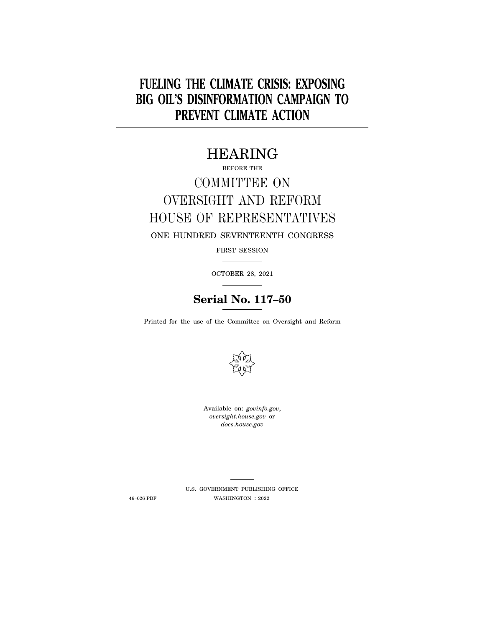# **FUELING THE CLIMATE CRISIS: EXPOSING BIG OIL'S DISINFORMATION CAMPAIGN TO PREVENT CLIMATE ACTION**

## HEARING

# BEFORE THE COMMITTEE ON OVERSIGHT AND REFORM HOUSE OF REPRESENTATIVES ONE HUNDRED SEVENTEENTH CONGRESS

FIRST SESSION

OCTOBER 28, 2021

## **Serial No. 117–50**

Printed for the use of the Committee on Oversight and Reform



Available on: *govinfo.gov*, *oversight.house.gov* or *docs.house.gov* 

U.S. GOVERNMENT PUBLISHING OFFICE 46–026 PDF WASHINGTON : 2022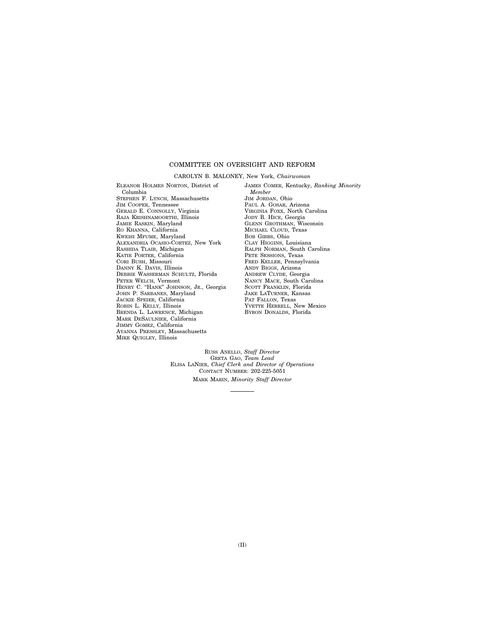#### COMMITTEE ON OVERSIGHT AND REFORM

#### CAROLYN B. MALONEY, New York, *Chairwoman*

ELEANOR HOLMES NORTON, District of Columbia STEPHEN F. LYNCH, Massachusetts JIM COOPER, Tennessee GERALD E. CONNOLLY, Virginia RAJA KRISHNAMOORTHI, Illinois JAMIE RASKIN, Maryland RO KHANNA, California KWEISI MFUME, Maryland ALEXANDRIA OCASIO-CORTEZ, New York RASHIDA TLAIB, Michigan KATIE PORTER, California CORI BUSH, Missouri DANNY K. DAVIS, Illinois DEBBIE WASSERMAN SCHULTZ, Florida PETER WELCH, Vermont HENRY C. ''HANK'' JOHNSON, JR., Georgia JOHN P. SARBANES, Maryland JACKIE SPEIER, California ROBIN L. KELLY, Illinois BRENDA L. LAWRENCE, Michigan MARK DESAULNIER, California JIMMY GOMEZ, California AYANNA PRESSLEY, Massachusetts MIKE QUIGLEY, Illinois

JAMES COMER, Kentucky, *Ranking Minority Member*  JIM JORDAN, Ohio PAUL A. GOSAR, Arizona VIRGINIA FOXX, North Carolina JODY B. HICE, Georgia GLENN GROTHMAN, Wisconsin MICHAEL CLOUD, Texas BOB GIBBS, Ohio CLAY HIGGINS, Louisiana RALPH NORMAN, South Carolina PETE SESSIONS, Texas FRED KELLER, Pennsylvania ANDY BIGGS, Arizona ANDREW CLYDE, Georgia NANCY MACE, South Carolina SCOTT FRANKLIN, Florida JAKE LATURNER, Kansas PAT FALLON, Texas YVETTE HERRELL, New Mexico BYRON DONALDS, Florida

RUSS ANELLO, *Staff Director*  GRETA GAO, *Team Lead*  ELISA LANIER, *Chief Clerk and Director of Operations*  CONTACT NUMBER: 202-225-5051 MARK MARIN, *Minority Staff Director*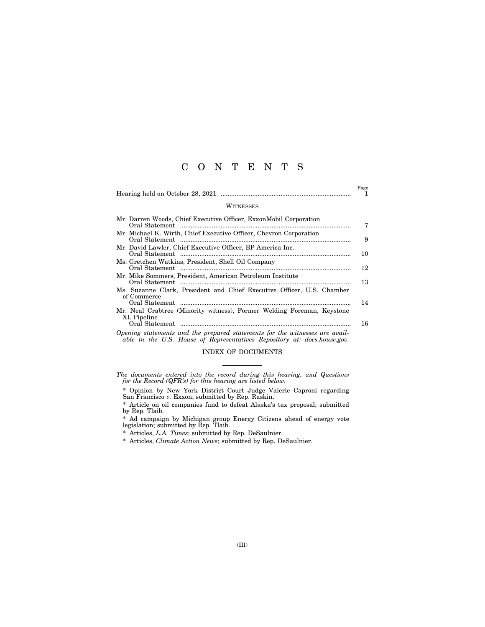### C O N T E N T S

|                                                                                                                                                         | Page<br>1 |
|---------------------------------------------------------------------------------------------------------------------------------------------------------|-----------|
| <b>WITNESSES</b>                                                                                                                                        |           |
| Mr. Darren Woods, Chief Executive Officer, ExxonMobil Corporation                                                                                       | 7         |
| Mr. Michael K. Wirth, Chief Executive Officer, Chevron Corporation                                                                                      | 9         |
| Mr. David Lawler, Chief Executive Officer, BP America Inc.                                                                                              | 10        |
| Ms. Gretchen Watkins, President, Shell Oil Company                                                                                                      | 12        |
| Mr. Mike Sommers, President, American Petroleum Institute                                                                                               | 13        |
| Ms. Suzanne Clark, President and Chief Executive Officer, U.S. Chamber<br>of Commerce                                                                   |           |
| Mr. Neal Crabtree (Minority witness), Former Welding Foreman, Keystone                                                                                  | 14        |
| XL Pipeline                                                                                                                                             | 16        |
| Opening statements and the prepared statements for the witnesses are avail-<br>able in the U.S. House of Representatives Repository at: docs.house.gov. |           |

INDEX OF DOCUMENTS

*The documents entered into the record during this hearing, and Questions for the Record (QFR's) for this hearing are listed below.* 

\* Opinion by New York District Court Judge Valerie Caproni regarding San Francisco *v.* Exxon; submitted by Rep. Raskin.

\* Article on oil companies fund to defeat Alaska's tax proposal; submitted by Rep. Tlaib.

\* Ad campaign by Michigan group Energy Citizens ahead of energy vote legislation; submitted by Rep. Tlaib.

\* Articles, *L.A. Times*; submitted by Rep. DeSaulnier.

\* Articles, *Climate Action News*; submitted by Rep. DeSaulnier.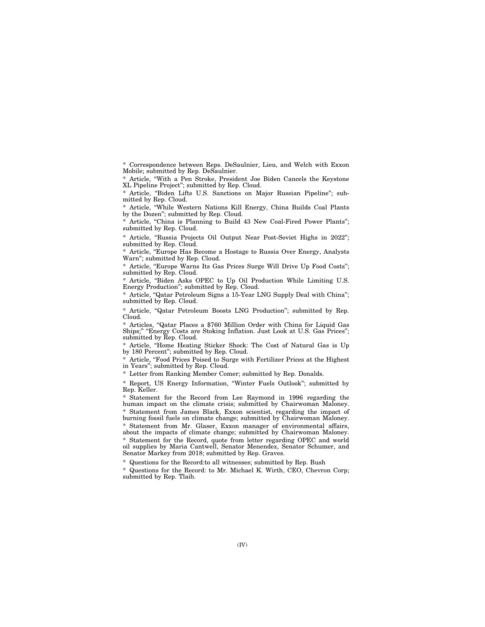\* Correspondence between Reps. DeSaulnier, Lieu, and Welch with Exxon Mobile; submitted by Rep. DeSaulnier.

\* Article, ''With a Pen Stroke, President Joe Biden Cancels the Keystone XL Pipeline Project''; submitted by Rep. Cloud.

\* Article, ''Biden Lifts U.S. Sanctions on Major Russian Pipeline''; submitted by Rep. Cloud.

\* Article, ''While Western Nations Kill Energy, China Builds Coal Plants by the Dozen''; submitted by Rep. Cloud.

\* Article, ''China is Planning to Build 43 New Coal-Fired Power Plants''; submitted by Rep. Cloud.

\* Article, ''Russia Projects Oil Output Near Post-Soviet Highs in 2022''; submitted by Rep. Cloud.

\* Article, ''Europe Has Become a Hostage to Russia Over Energy, Analysts Warn''; submitted by Rep. Cloud.

\* Article, "Europe Warns Its Gas Prices Surge Will Drive Up Food Costs"; submitted by Rep. Cloud.

Article, "Biden Asks OPEC to Up Oil Production While Limiting U.S. Energy Production''; submitted by Rep. Cloud.

\* Article, ''Qatar Petroleum Signs a 15-Year LNG Supply Deal with China''; submitted by Rep. Cloud.

\* Article, ''Qatar Petroleum Boosts LNG Production''; submitted by Rep. Cloud.

\* Articles, ''Qatar Places a \$760 Million Order with China for Liquid Gas "Energy Costs are Stoking Inflation. Just Look at U.S. Gas Prices"; submitted by Rep. Cloud.

\* Article, ''Home Heating Sticker Shock: The Cost of Natural Gas is Up by 180 Percent"; submitted by Rep. Cloud.

\* Article, ''Food Prices Poised to Surge with Fertilizer Prices at the Highest in Years''; submitted by Rep. Cloud.

\* Letter from Ranking Member Comer; submitted by Rep. Donalds.

\* Report, US Energy Information, ''Winter Fuels Outlook''; submitted by Rep. Keller.

Statement for the Record from Lee Raymond in 1996 regarding the human impact on the climate crisis; submitted by Chairwoman Maloney. \* Statement from James Black, Exxon scientist, regarding the impact of burning fossil fuels on climate change; submitted by Chairwoman Maloney. \* Statement from Mr. Glaser, Exxon manager of environmental affairs, about the impacts of climate change; submitted by Chairwoman Maloney. \* Statement for the Record, quote from letter regarding OPEC and world oil supplies by Maria Cantwell, Senator Menendez, Senator Schumer, and Senator Markey from 2018; submitted by Rep. Graves.

\* Questions for the Record:to all witnesses; submitted by Rep. Bush

\* Questions for the Record: to Mr. Michael K. Wirth, CEO, Chevron Corp; submitted by Rep. Tlaib.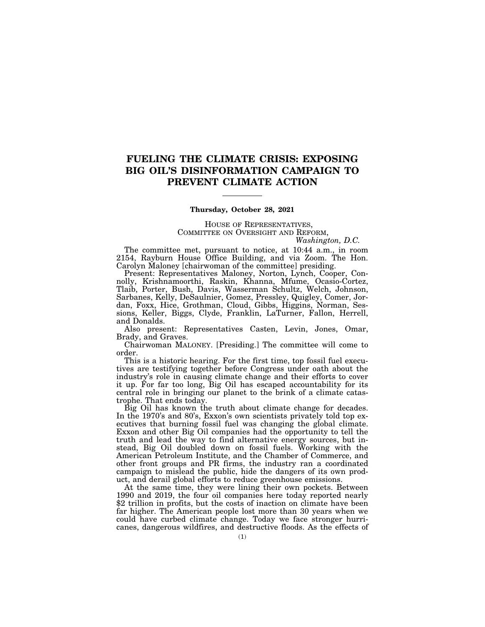### **FUELING THE CLIMATE CRISIS: EXPOSING BIG OIL'S DISINFORMATION CAMPAIGN TO PREVENT CLIMATE ACTION**

#### **Thursday, October 28, 2021**

#### HOUSE OF REPRESENTATIVES, COMMITTEE ON OVERSIGHT AND REFORM, *Washington, D.C.*

The committee met, pursuant to notice, at 10:44 a.m., in room 2154, Rayburn House Office Building, and via Zoom. The Hon. Carolyn Maloney [chairwoman of the committee] presiding.

Present: Representatives Maloney, Norton, Lynch, Cooper, Connolly, Krishnamoorthi, Raskin, Khanna, Mfume, Ocasio-Cortez, Tlaib, Porter, Bush, Davis, Wasserman Schultz, Welch, Johnson, Sarbanes, Kelly, DeSaulnier, Gomez, Pressley, Quigley, Comer, Jordan, Foxx, Hice, Grothman, Cloud, Gibbs, Higgins, Norman, Sessions, Keller, Biggs, Clyde, Franklin, LaTurner, Fallon, Herrell, and Donalds.

Also present: Representatives Casten, Levin, Jones, Omar, Brady, and Graves.

Chairwoman MALONEY. [Presiding.] The committee will come to order.

This is a historic hearing. For the first time, top fossil fuel executives are testifying together before Congress under oath about the industry's role in causing climate change and their efforts to cover it up. For far too long, Big Oil has escaped accountability for its central role in bringing our planet to the brink of a climate catastrophe. That ends today.

Big Oil has known the truth about climate change for decades. In the 1970's and 80's, Exxon's own scientists privately told top executives that burning fossil fuel was changing the global climate. Exxon and other Big Oil companies had the opportunity to tell the truth and lead the way to find alternative energy sources, but instead, Big Oil doubled down on fossil fuels. Working with the American Petroleum Institute, and the Chamber of Commerce, and other front groups and PR firms, the industry ran a coordinated campaign to mislead the public, hide the dangers of its own product, and derail global efforts to reduce greenhouse emissions.

At the same time, they were lining their own pockets. Between 1990 and 2019, the four oil companies here today reported nearly \$2 trillion in profits, but the costs of inaction on climate have been far higher. The American people lost more than 30 years when we could have curbed climate change. Today we face stronger hurricanes, dangerous wildfires, and destructive floods. As the effects of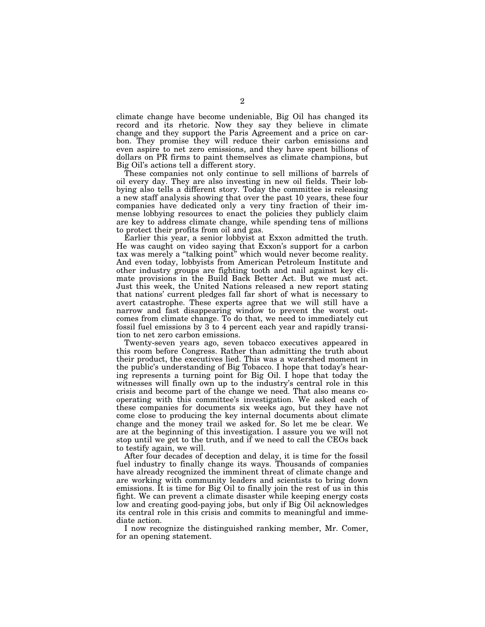climate change have become undeniable, Big Oil has changed its record and its rhetoric. Now they say they believe in climate change and they support the Paris Agreement and a price on carbon. They promise they will reduce their carbon emissions and even aspire to net zero emissions, and they have spent billions of dollars on PR firms to paint themselves as climate champions, but Big Oil's actions tell a different story.

These companies not only continue to sell millions of barrels of oil every day. They are also investing in new oil fields. Their lobbying also tells a different story. Today the committee is releasing a new staff analysis showing that over the past 10 years, these four companies have dedicated only a very tiny fraction of their immense lobbying resources to enact the policies they publicly claim are key to address climate change, while spending tens of millions to protect their profits from oil and gas.

Earlier this year, a senior lobbyist at Exxon admitted the truth. He was caught on video saying that Exxon's support for a carbon tax was merely a "talking point" which would never become reality. And even today, lobbyists from American Petroleum Institute and other industry groups are fighting tooth and nail against key climate provisions in the Build Back Better Act. But we must act. Just this week, the United Nations released a new report stating that nations' current pledges fall far short of what is necessary to avert catastrophe. These experts agree that we will still have a narrow and fast disappearing window to prevent the worst outcomes from climate change. To do that, we need to immediately cut fossil fuel emissions by 3 to 4 percent each year and rapidly transition to net zero carbon emissions.

Twenty-seven years ago, seven tobacco executives appeared in this room before Congress. Rather than admitting the truth about their product, the executives lied. This was a watershed moment in the public's understanding of Big Tobacco. I hope that today's hearing represents a turning point for Big Oil. I hope that today the witnesses will finally own up to the industry's central role in this crisis and become part of the change we need. That also means cooperating with this committee's investigation. We asked each of these companies for documents six weeks ago, but they have not come close to producing the key internal documents about climate change and the money trail we asked for. So let me be clear. We are at the beginning of this investigation. I assure you we will not stop until we get to the truth, and if we need to call the CEOs back to testify again, we will.

After four decades of deception and delay, it is time for the fossil fuel industry to finally change its ways. Thousands of companies have already recognized the imminent threat of climate change and are working with community leaders and scientists to bring down emissions. It is time for Big Oil to finally join the rest of us in this fight. We can prevent a climate disaster while keeping energy costs low and creating good-paying jobs, but only if Big Oil acknowledges its central role in this crisis and commits to meaningful and immediate action.

I now recognize the distinguished ranking member, Mr. Comer, for an opening statement.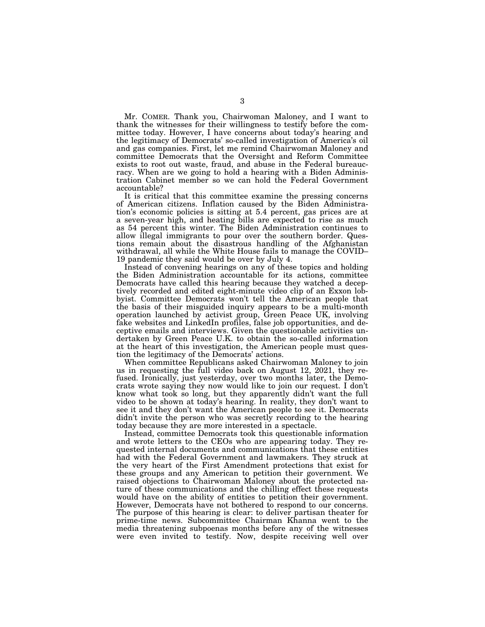Mr. COMER. Thank you, Chairwoman Maloney, and I want to thank the witnesses for their willingness to testify before the committee today. However, I have concerns about today's hearing and the legitimacy of Democrats' so-called investigation of America's oil and gas companies. First, let me remind Chairwoman Maloney and committee Democrats that the Oversight and Reform Committee exists to root out waste, fraud, and abuse in the Federal bureaucracy. When are we going to hold a hearing with a Biden Administration Cabinet member so we can hold the Federal Government accountable?

It is critical that this committee examine the pressing concerns of American citizens. Inflation caused by the Biden Administration's economic policies is sitting at 5.4 percent, gas prices are at a seven-year high, and heating bills are expected to rise as much as 54 percent this winter. The Biden Administration continues to allow illegal immigrants to pour over the southern border. Questions remain about the disastrous handling of the Afghanistan withdrawal, all while the White House fails to manage the COVID– 19 pandemic they said would be over by July 4.

Instead of convening hearings on any of these topics and holding the Biden Administration accountable for its actions, committee Democrats have called this hearing because they watched a deceptively recorded and edited eight-minute video clip of an Exxon lobbyist. Committee Democrats won't tell the American people that the basis of their misguided inquiry appears to be a multi-month operation launched by activist group, Green Peace UK, involving fake websites and LinkedIn profiles, false job opportunities, and deceptive emails and interviews. Given the questionable activities undertaken by Green Peace U.K. to obtain the so-called information at the heart of this investigation, the American people must question the legitimacy of the Democrats' actions.

When committee Republicans asked Chairwoman Maloney to join us in requesting the full video back on August 12, 2021, they refused. Ironically, just yesterday, over two months later, the Democrats wrote saying they now would like to join our request. I don't know what took so long, but they apparently didn't want the full video to be shown at today's hearing. In reality, they don't want to see it and they don't want the American people to see it. Democrats didn't invite the person who was secretly recording to the hearing today because they are more interested in a spectacle.

Instead, committee Democrats took this questionable information and wrote letters to the CEOs who are appearing today. They requested internal documents and communications that these entities had with the Federal Government and lawmakers. They struck at the very heart of the First Amendment protections that exist for these groups and any American to petition their government. We raised objections to Chairwoman Maloney about the protected nature of these communications and the chilling effect these requests would have on the ability of entities to petition their government. However, Democrats have not bothered to respond to our concerns. The purpose of this hearing is clear: to deliver partisan theater for prime-time news. Subcommittee Chairman Khanna went to the media threatening subpoenas months before any of the witnesses were even invited to testify. Now, despite receiving well over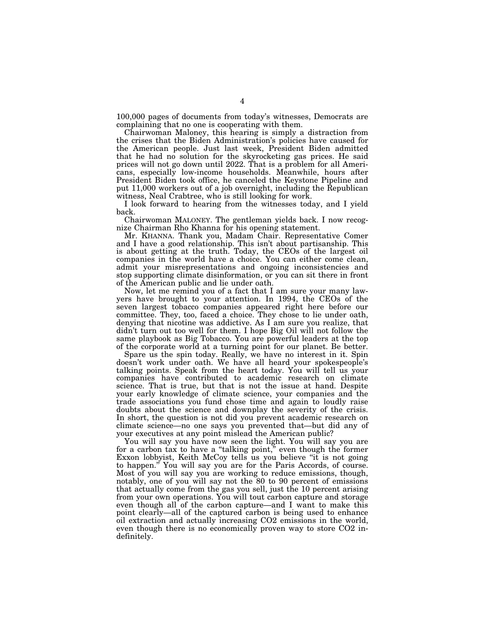100,000 pages of documents from today's witnesses, Democrats are complaining that no one is cooperating with them.

Chairwoman Maloney, this hearing is simply a distraction from the crises that the Biden Administration's policies have caused for the American people. Just last week, President Biden admitted that he had no solution for the skyrocketing gas prices. He said prices will not go down until 2022. That is a problem for all Americans, especially low-income households. Meanwhile, hours after President Biden took office, he canceled the Keystone Pipeline and put 11,000 workers out of a job overnight, including the Republican witness, Neal Crabtree, who is still looking for work.

I look forward to hearing from the witnesses today, and I yield back.

Chairwoman MALONEY. The gentleman yields back. I now recognize Chairman Rho Khanna for his opening statement.

Mr. KHANNA. Thank you, Madam Chair. Representative Comer and I have a good relationship. This isn't about partisanship. This is about getting at the truth. Today, the CEOs of the largest oil companies in the world have a choice. You can either come clean, admit your misrepresentations and ongoing inconsistencies and stop supporting climate disinformation, or you can sit there in front of the American public and lie under oath.

Now, let me remind you of a fact that I am sure your many lawyers have brought to your attention. In 1994, the CEOs of the seven largest tobacco companies appeared right here before our committee. They, too, faced a choice. They chose to lie under oath, denying that nicotine was addictive. As I am sure you realize, that didn't turn out too well for them. I hope Big Oil will not follow the same playbook as Big Tobacco. You are powerful leaders at the top of the corporate world at a turning point for our planet. Be better.

Spare us the spin today. Really, we have no interest in it. Spin doesn't work under oath. We have all heard your spokespeople's talking points. Speak from the heart today. You will tell us your companies have contributed to academic research on climate science. That is true, but that is not the issue at hand. Despite your early knowledge of climate science, your companies and the trade associations you fund chose time and again to loudly raise doubts about the science and downplay the severity of the crisis. In short, the question is not did you prevent academic research on climate science—no one says you prevented that—but did any of your executives at any point mislead the American public?

You will say you have now seen the light. You will say you are for a carbon tax to have a ''talking point,'' even though the former Exxon lobbyist, Keith McCoy tells us you believe ''it is not going to happen.'' You will say you are for the Paris Accords, of course. Most of you will say you are working to reduce emissions, though, notably, one of you will say not the 80 to 90 percent of emissions that actually come from the gas you sell, just the 10 percent arising from your own operations. You will tout carbon capture and storage even though all of the carbon capture—and I want to make this point clearly—all of the captured carbon is being used to enhance oil extraction and actually increasing CO2 emissions in the world, even though there is no economically proven way to store CO2 indefinitely.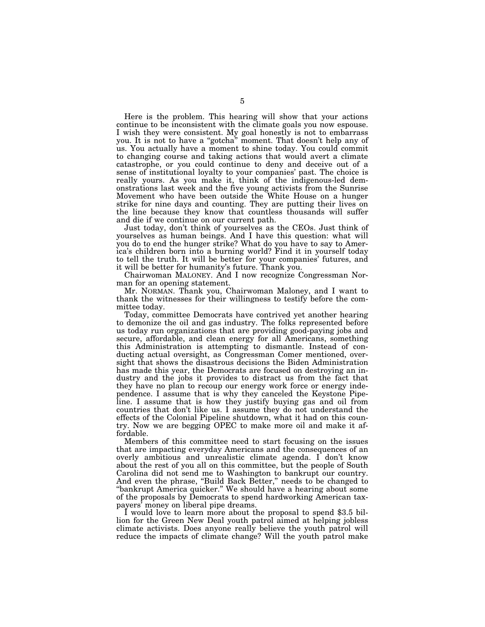Here is the problem. This hearing will show that your actions continue to be inconsistent with the climate goals you now espouse. I wish they were consistent. My goal honestly is not to embarrass you. It is not to have a ''gotcha'' moment. That doesn't help any of us. You actually have a moment to shine today. You could commit to changing course and taking actions that would avert a climate catastrophe, or you could continue to deny and deceive out of a sense of institutional loyalty to your companies' past. The choice is really yours. As you make it, think of the indigenous-led demonstrations last week and the five young activists from the Sunrise Movement who have been outside the White House on a hunger strike for nine days and counting. They are putting their lives on the line because they know that countless thousands will suffer and die if we continue on our current path.

Just today, don't think of yourselves as the CEOs. Just think of yourselves as human beings. And I have this question: what will you do to end the hunger strike? What do you have to say to America's children born into a burning world? Find it in yourself today to tell the truth. It will be better for your companies' futures, and it will be better for humanity's future. Thank you.

Chairwoman MALONEY. And I now recognize Congressman Norman for an opening statement.

Mr. NORMAN. Thank you, Chairwoman Maloney, and I want to thank the witnesses for their willingness to testify before the committee today.

Today, committee Democrats have contrived yet another hearing to demonize the oil and gas industry. The folks represented before us today run organizations that are providing good-paying jobs and secure, affordable, and clean energy for all Americans, something this Administration is attempting to dismantle. Instead of conducting actual oversight, as Congressman Comer mentioned, oversight that shows the disastrous decisions the Biden Administration has made this year, the Democrats are focused on destroying an industry and the jobs it provides to distract us from the fact that they have no plan to recoup our energy work force or energy independence. I assume that is why they canceled the Keystone Pipeline. I assume that is how they justify buying gas and oil from countries that don't like us. I assume they do not understand the effects of the Colonial Pipeline shutdown, what it had on this country. Now we are begging OPEC to make more oil and make it affordable.

Members of this committee need to start focusing on the issues that are impacting everyday Americans and the consequences of an overly ambitious and unrealistic climate agenda. I don't know about the rest of you all on this committee, but the people of South Carolina did not send me to Washington to bankrupt our country. And even the phrase, ''Build Back Better,'' needs to be changed to ''bankrupt America quicker.'' We should have a hearing about some of the proposals by Democrats to spend hardworking American taxpayers' money on liberal pipe dreams.

I would love to learn more about the proposal to spend \$3.5 billion for the Green New Deal youth patrol aimed at helping jobless climate activists. Does anyone really believe the youth patrol will reduce the impacts of climate change? Will the youth patrol make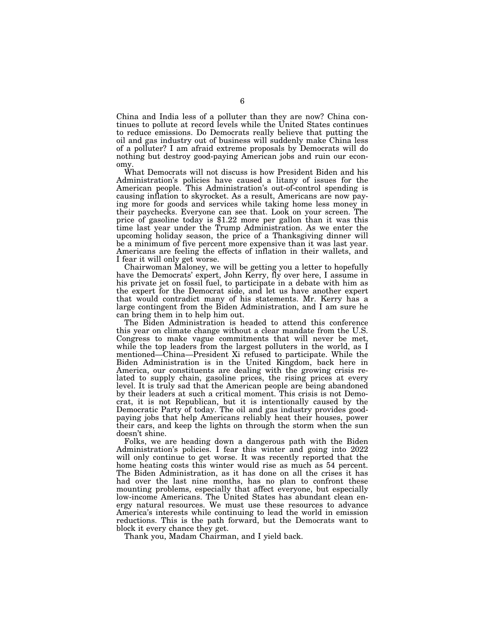China and India less of a polluter than they are now? China continues to pollute at record levels while the United States continues to reduce emissions. Do Democrats really believe that putting the oil and gas industry out of business will suddenly make China less of a polluter? I am afraid extreme proposals by Democrats will do nothing but destroy good-paying American jobs and ruin our economy.

What Democrats will not discuss is how President Biden and his Administration's policies have caused a litany of issues for the American people. This Administration's out-of-control spending is causing inflation to skyrocket. As a result, Americans are now paying more for goods and services while taking home less money in their paychecks. Everyone can see that. Look on your screen. The price of gasoline today is \$1.22 more per gallon than it was this time last year under the Trump Administration. As we enter the upcoming holiday season, the price of a Thanksgiving dinner will be a minimum of five percent more expensive than it was last year. Americans are feeling the effects of inflation in their wallets, and I fear it will only get worse.

Chairwoman Maloney, we will be getting you a letter to hopefully have the Democrats' expert, John Kerry, fly over here, I assume in his private jet on fossil fuel, to participate in a debate with him as the expert for the Democrat side, and let us have another expert that would contradict many of his statements. Mr. Kerry has a large contingent from the Biden Administration, and I am sure he can bring them in to help him out.

The Biden Administration is headed to attend this conference this year on climate change without a clear mandate from the U.S. Congress to make vague commitments that will never be met, while the top leaders from the largest polluters in the world, as I mentioned—China—President Xi refused to participate. While the Biden Administration is in the United Kingdom, back here in America, our constituents are dealing with the growing crisis related to supply chain, gasoline prices, the rising prices at every level. It is truly sad that the American people are being abandoned by their leaders at such a critical moment. This crisis is not Democrat, it is not Republican, but it is intentionally caused by the Democratic Party of today. The oil and gas industry provides goodpaying jobs that help Americans reliably heat their houses, power their cars, and keep the lights on through the storm when the sun doesn't shine.

Folks, we are heading down a dangerous path with the Biden Administration's policies. I fear this winter and going into 2022 will only continue to get worse. It was recently reported that the home heating costs this winter would rise as much as 54 percent. The Biden Administration, as it has done on all the crises it has had over the last nine months, has no plan to confront these mounting problems, especially that affect everyone, but especially low-income Americans. The United States has abundant clean energy natural resources. We must use these resources to advance America's interests while continuing to lead the world in emission reductions. This is the path forward, but the Democrats want to block it every chance they get.

Thank you, Madam Chairman, and I yield back.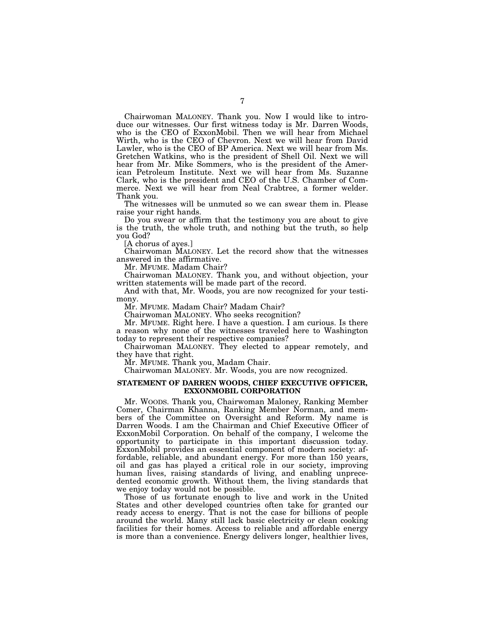Chairwoman MALONEY. Thank you. Now I would like to introduce our witnesses. Our first witness today is Mr. Darren Woods, who is the CEO of ExxonMobil. Then we will hear from Michael Wirth, who is the CEO of Chevron. Next we will hear from David Lawler, who is the CEO of BP America. Next we will hear from Ms. Gretchen Watkins, who is the president of Shell Oil. Next we will hear from Mr. Mike Sommers, who is the president of the American Petroleum Institute. Next we will hear from Ms. Suzanne Clark, who is the president and CEO of the U.S. Chamber of Commerce. Next we will hear from Neal Crabtree, a former welder. Thank you.

The witnesses will be unmuted so we can swear them in. Please raise your right hands.

Do you swear or affirm that the testimony you are about to give is the truth, the whole truth, and nothing but the truth, so help you God?

[A chorus of ayes.]

Chairwoman MALONEY. Let the record show that the witnesses answered in the affirmative.

Mr. MFUME. Madam Chair?

Chairwoman MALONEY. Thank you, and without objection, your written statements will be made part of the record.

And with that, Mr. Woods, you are now recognized for your testimony.

Mr. MFUME. Madam Chair? Madam Chair?

Chairwoman MALONEY. Who seeks recognition?

Mr. MFUME. Right here. I have a question. I am curious. Is there a reason why none of the witnesses traveled here to Washington today to represent their respective companies?

Chairwoman MALONEY. They elected to appear remotely, and they have that right.

Mr. MFUME. Thank you, Madam Chair.

Chairwoman MALONEY. Mr. Woods, you are now recognized.

#### **STATEMENT OF DARREN WOODS, CHIEF EXECUTIVE OFFICER, EXXONMOBIL CORPORATION**

Mr. WOODS. Thank you, Chairwoman Maloney, Ranking Member Comer, Chairman Khanna, Ranking Member Norman, and members of the Committee on Oversight and Reform. My name is Darren Woods. I am the Chairman and Chief Executive Officer of ExxonMobil Corporation. On behalf of the company, I welcome the opportunity to participate in this important discussion today. ExxonMobil provides an essential component of modern society: affordable, reliable, and abundant energy. For more than 150 years, oil and gas has played a critical role in our society, improving human lives, raising standards of living, and enabling unprecedented economic growth. Without them, the living standards that we enjoy today would not be possible.

Those of us fortunate enough to live and work in the United States and other developed countries often take for granted our ready access to energy. That is not the case for billions of people around the world. Many still lack basic electricity or clean cooking facilities for their homes. Access to reliable and affordable energy is more than a convenience. Energy delivers longer, healthier lives,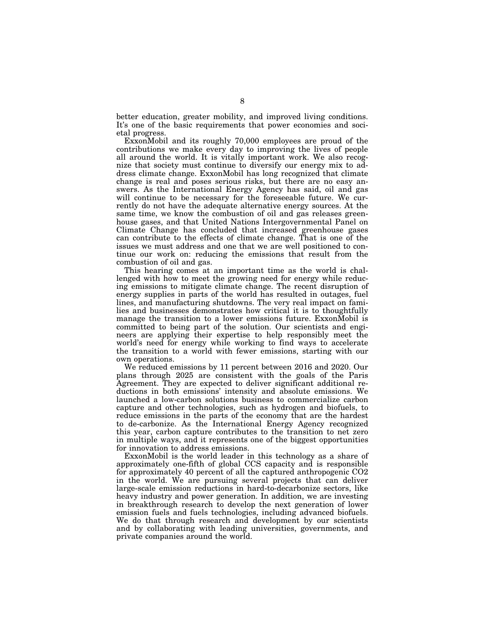better education, greater mobility, and improved living conditions. It's one of the basic requirements that power economies and societal progress.

ExxonMobil and its roughly 70,000 employees are proud of the contributions we make every day to improving the lives of people all around the world. It is vitally important work. We also recognize that society must continue to diversify our energy mix to address climate change. ExxonMobil has long recognized that climate change is real and poses serious risks, but there are no easy answers. As the International Energy Agency has said, oil and gas will continue to be necessary for the foreseeable future. We currently do not have the adequate alternative energy sources. At the same time, we know the combustion of oil and gas releases greenhouse gases, and that United Nations Intergovernmental Panel on Climate Change has concluded that increased greenhouse gases can contribute to the effects of climate change. That is one of the issues we must address and one that we are well positioned to continue our work on: reducing the emissions that result from the combustion of oil and gas.

This hearing comes at an important time as the world is challenged with how to meet the growing need for energy while reducing emissions to mitigate climate change. The recent disruption of energy supplies in parts of the world has resulted in outages, fuel lines, and manufacturing shutdowns. The very real impact on families and businesses demonstrates how critical it is to thoughtfully manage the transition to a lower emissions future. ExxonMobil is committed to being part of the solution. Our scientists and engineers are applying their expertise to help responsibly meet the world's need for energy while working to find ways to accelerate the transition to a world with fewer emissions, starting with our own operations.

We reduced emissions by 11 percent between 2016 and 2020. Our plans through 2025 are consistent with the goals of the Paris Agreement. They are expected to deliver significant additional reductions in both emissions' intensity and absolute emissions. We launched a low-carbon solutions business to commercialize carbon capture and other technologies, such as hydrogen and biofuels, to reduce emissions in the parts of the economy that are the hardest to de-carbonize. As the International Energy Agency recognized this year, carbon capture contributes to the transition to net zero in multiple ways, and it represents one of the biggest opportunities for innovation to address emissions.

ExxonMobil is the world leader in this technology as a share of approximately one-fifth of global CCS capacity and is responsible for approximately 40 percent of all the captured anthropogenic CO2 in the world. We are pursuing several projects that can deliver large-scale emission reductions in hard-to-decarbonize sectors, like heavy industry and power generation. In addition, we are investing in breakthrough research to develop the next generation of lower emission fuels and fuels technologies, including advanced biofuels. We do that through research and development by our scientists and by collaborating with leading universities, governments, and private companies around the world.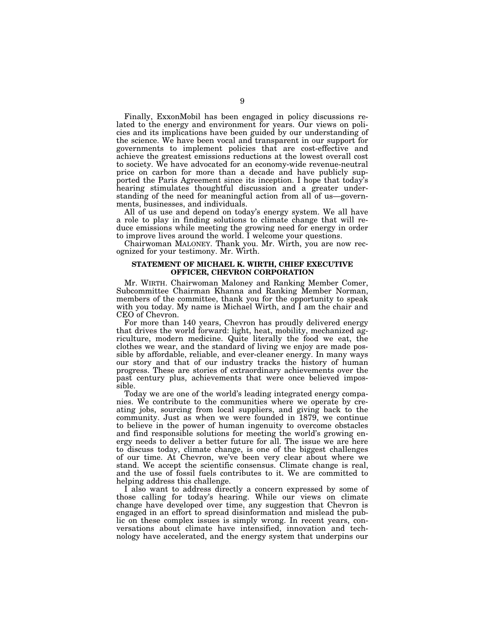Finally, ExxonMobil has been engaged in policy discussions related to the energy and environment for years. Our views on policies and its implications have been guided by our understanding of the science. We have been vocal and transparent in our support for governments to implement policies that are cost-effective and achieve the greatest emissions reductions at the lowest overall cost to society. We have advocated for an economy-wide revenue-neutral price on carbon for more than a decade and have publicly supported the Paris Agreement since its inception. I hope that today's hearing stimulates thoughtful discussion and a greater understanding of the need for meaningful action from all of us—governments, businesses, and individuals.

All of us use and depend on today's energy system. We all have a role to play in finding solutions to climate change that will reduce emissions while meeting the growing need for energy in order to improve lives around the world. I welcome your questions.

Chairwoman MALONEY. Thank you. Mr. Wirth, you are now recognized for your testimony. Mr. Wirth.

#### **STATEMENT OF MICHAEL K. WIRTH, CHIEF EXECUTIVE OFFICER, CHEVRON CORPORATION**

Mr. WIRTH. Chairwoman Maloney and Ranking Member Comer, Subcommittee Chairman Khanna and Ranking Member Norman, members of the committee, thank you for the opportunity to speak with you today. My name is Michael Wirth, and I am the chair and CEO of Chevron.

For more than 140 years, Chevron has proudly delivered energy that drives the world forward: light, heat, mobility, mechanized agriculture, modern medicine. Quite literally the food we eat, the clothes we wear, and the standard of living we enjoy are made possible by affordable, reliable, and ever-cleaner energy. In many ways our story and that of our industry tracks the history of human progress. These are stories of extraordinary achievements over the past century plus, achievements that were once believed impossible.

Today we are one of the world's leading integrated energy companies. We contribute to the communities where we operate by creating jobs, sourcing from local suppliers, and giving back to the community. Just as when we were founded in 1879, we continue to believe in the power of human ingenuity to overcome obstacles and find responsible solutions for meeting the world's growing energy needs to deliver a better future for all. The issue we are here to discuss today, climate change, is one of the biggest challenges of our time. At Chevron, we've been very clear about where we stand. We accept the scientific consensus. Climate change is real, and the use of fossil fuels contributes to it. We are committed to helping address this challenge.

I also want to address directly a concern expressed by some of those calling for today's hearing. While our views on climate change have developed over time, any suggestion that Chevron is engaged in an effort to spread disinformation and mislead the public on these complex issues is simply wrong. In recent years, conversations about climate have intensified, innovation and technology have accelerated, and the energy system that underpins our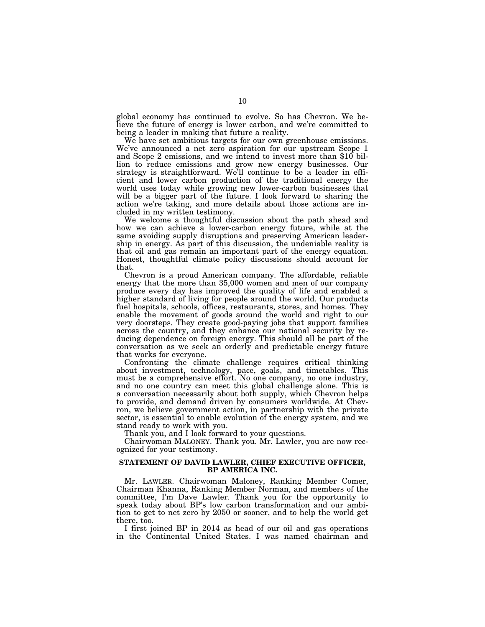global economy has continued to evolve. So has Chevron. We believe the future of energy is lower carbon, and we're committed to being a leader in making that future a reality.

We have set ambitious targets for our own greenhouse emissions. We've announced a net zero aspiration for our upstream Scope 1 and Scope 2 emissions, and we intend to invest more than \$10 billion to reduce emissions and grow new energy businesses. Our strategy is straightforward. We'll continue to be a leader in efficient and lower carbon production of the traditional energy the world uses today while growing new lower-carbon businesses that will be a bigger part of the future. I look forward to sharing the action we're taking, and more details about those actions are included in my written testimony.

We welcome a thoughtful discussion about the path ahead and how we can achieve a lower-carbon energy future, while at the same avoiding supply disruptions and preserving American leadership in energy. As part of this discussion, the undeniable reality is that oil and gas remain an important part of the energy equation. Honest, thoughtful climate policy discussions should account for that.

Chevron is a proud American company. The affordable, reliable energy that the more than 35,000 women and men of our company produce every day has improved the quality of life and enabled a higher standard of living for people around the world. Our products fuel hospitals, schools, offices, restaurants, stores, and homes. They enable the movement of goods around the world and right to our very doorsteps. They create good-paying jobs that support families across the country, and they enhance our national security by reducing dependence on foreign energy. This should all be part of the conversation as we seek an orderly and predictable energy future that works for everyone.

Confronting the climate challenge requires critical thinking about investment, technology, pace, goals, and timetables. This must be a comprehensive effort. No one company, no one industry, and no one country can meet this global challenge alone. This is a conversation necessarily about both supply, which Chevron helps to provide, and demand driven by consumers worldwide. At Chevron, we believe government action, in partnership with the private sector, is essential to enable evolution of the energy system, and we stand ready to work with you.

Thank you, and I look forward to your questions.

Chairwoman MALONEY. Thank you. Mr. Lawler, you are now recognized for your testimony.

#### **STATEMENT OF DAVID LAWLER, CHIEF EXECUTIVE OFFICER, BP AMERICA INC.**

Mr. LAWLER. Chairwoman Maloney, Ranking Member Comer, Chairman Khanna, Ranking Member Norman, and members of the committee, I'm Dave Lawler. Thank you for the opportunity to speak today about BP's low carbon transformation and our ambition to get to net zero by 2050 or sooner, and to help the world get there, too.

I first joined BP in 2014 as head of our oil and gas operations in the Continental United States. I was named chairman and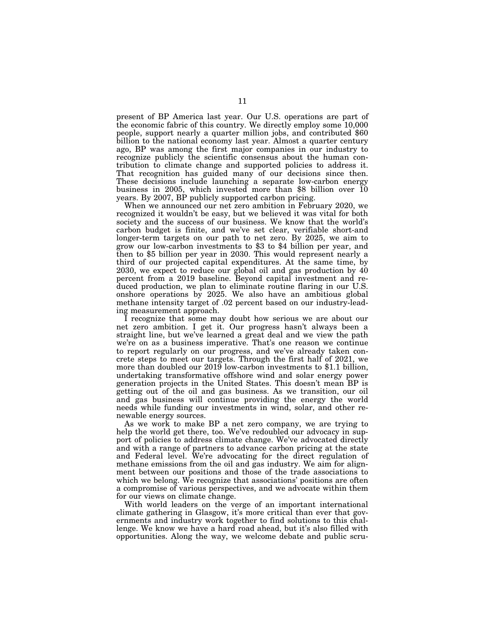present of BP America last year. Our U.S. operations are part of the economic fabric of this country. We directly employ some 10,000 people, support nearly a quarter million jobs, and contributed \$60 billion to the national economy last year. Almost a quarter century ago, BP was among the first major companies in our industry to recognize publicly the scientific consensus about the human contribution to climate change and supported policies to address it. That recognition has guided many of our decisions since then. These decisions include launching a separate low-carbon energy business in 2005, which invested more than \$8 billion over 10 years. By 2007, BP publicly supported carbon pricing.

When we announced our net zero ambition in February 2020, we recognized it wouldn't be easy, but we believed it was vital for both society and the success of our business. We know that the world's carbon budget is finite, and we've set clear, verifiable short-and longer-term targets on our path to net zero. By 2025, we aim to grow our low-carbon investments to \$3 to \$4 billion per year, and then to \$5 billion per year in 2030. This would represent nearly a third of our projected capital expenditures. At the same time, by 2030, we expect to reduce our global oil and gas production by 40 percent from a 2019 baseline. Beyond capital investment and reduced production, we plan to eliminate routine flaring in our U.S. onshore operations by 2025. We also have an ambitious global methane intensity target of .02 percent based on our industry-leading measurement approach.

I recognize that some may doubt how serious we are about our net zero ambition. I get it. Our progress hasn't always been a straight line, but we've learned a great deal and we view the path we're on as a business imperative. That's one reason we continue to report regularly on our progress, and we've already taken concrete steps to meet our targets. Through the first half of 2021, we more than doubled our 2019 low-carbon investments to \$1.1 billion, undertaking transformative offshore wind and solar energy power generation projects in the United States. This doesn't mean BP is getting out of the oil and gas business. As we transition, our oil and gas business will continue providing the energy the world needs while funding our investments in wind, solar, and other renewable energy sources.

As we work to make BP a net zero company, we are trying to help the world get there, too. We've redoubled our advocacy in support of policies to address climate change. We've advocated directly and with a range of partners to advance carbon pricing at the state and Federal level. We're advocating for the direct regulation of methane emissions from the oil and gas industry. We aim for alignment between our positions and those of the trade associations to which we belong. We recognize that associations' positions are often a compromise of various perspectives, and we advocate within them for our views on climate change.

With world leaders on the verge of an important international climate gathering in Glasgow, it's more critical than ever that governments and industry work together to find solutions to this challenge. We know we have a hard road ahead, but it's also filled with opportunities. Along the way, we welcome debate and public scru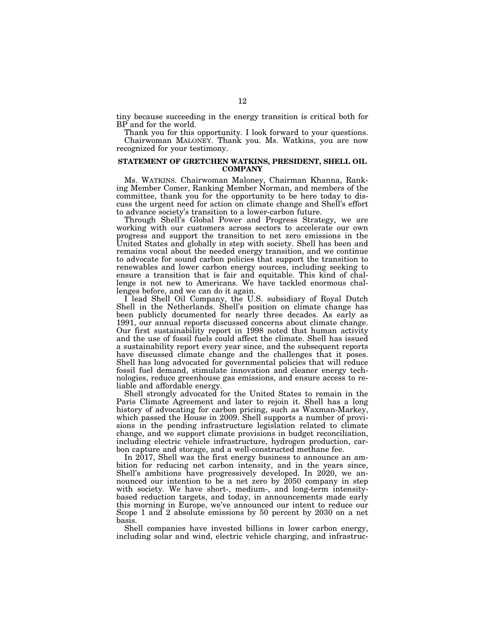tiny because succeeding in the energy transition is critical both for BP and for the world.

Thank you for this opportunity. I look forward to your questions. Chairwoman MALONEY. Thank you. Ms. Watkins, you are now recognized for your testimony.

#### **STATEMENT OF GRETCHEN WATKINS, PRESIDENT, SHELL OIL COMPANY**

Ms. WATKINS. Chairwoman Maloney, Chairman Khanna, Ranking Member Comer, Ranking Member Norman, and members of the committee, thank you for the opportunity to be here today to discuss the urgent need for action on climate change and Shell's effort to advance society's transition to a lower-carbon future.

Through Shell's Global Power and Progress Strategy, we are working with our customers across sectors to accelerate our own progress and support the transition to net zero emissions in the United States and globally in step with society. Shell has been and remains vocal about the needed energy transition, and we continue to advocate for sound carbon policies that support the transition to renewables and lower carbon energy sources, including seeking to ensure a transition that is fair and equitable. This kind of challenge is not new to Americans. We have tackled enormous challenges before, and we can do it again.

I lead Shell Oil Company, the U.S. subsidiary of Royal Dutch Shell in the Netherlands. Shell's position on climate change has been publicly documented for nearly three decades. As early as 1991, our annual reports discussed concerns about climate change. Our first sustainability report in 1998 noted that human activity and the use of fossil fuels could affect the climate. Shell has issued a sustainability report every year since, and the subsequent reports have discussed climate change and the challenges that it poses. Shell has long advocated for governmental policies that will reduce fossil fuel demand, stimulate innovation and cleaner energy technologies, reduce greenhouse gas emissions, and ensure access to reliable and affordable energy.

Shell strongly advocated for the United States to remain in the Paris Climate Agreement and later to rejoin it. Shell has a long history of advocating for carbon pricing, such as Waxman-Markey, which passed the House in 2009. Shell supports a number of provisions in the pending infrastructure legislation related to climate change, and we support climate provisions in budget reconciliation, including electric vehicle infrastructure, hydrogen production, carbon capture and storage, and a well-constructed methane fee.

In 2017, Shell was the first energy business to announce an ambition for reducing net carbon intensity, and in the years since, Shell's ambitions have progressively developed. In 2020, we announced our intention to be a net zero by 2050 company in step with society. We have short-, medium-, and long-term intensitybased reduction targets, and today, in announcements made early this morning in Europe, we've announced our intent to reduce our Scope 1 and 2 absolute emissions by 50 percent by 2030 on a net basis.

Shell companies have invested billions in lower carbon energy, including solar and wind, electric vehicle charging, and infrastruc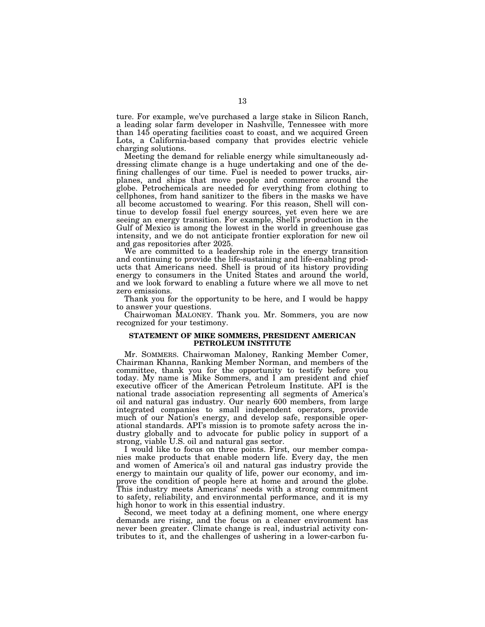ture. For example, we've purchased a large stake in Silicon Ranch, a leading solar farm developer in Nashville, Tennessee with more than 145 operating facilities coast to coast, and we acquired Green Lots, a California-based company that provides electric vehicle charging solutions.

Meeting the demand for reliable energy while simultaneously addressing climate change is a huge undertaking and one of the defining challenges of our time. Fuel is needed to power trucks, airplanes, and ships that move people and commerce around the globe. Petrochemicals are needed for everything from clothing to cellphones, from hand sanitizer to the fibers in the masks we have all become accustomed to wearing. For this reason, Shell will continue to develop fossil fuel energy sources, yet even here we are seeing an energy transition. For example, Shell's production in the Gulf of Mexico is among the lowest in the world in greenhouse gas intensity, and we do not anticipate frontier exploration for new oil and gas repositories after 2025.

We are committed to a leadership role in the energy transition and continuing to provide the life-sustaining and life-enabling products that Americans need. Shell is proud of its history providing energy to consumers in the United States and around the world, and we look forward to enabling a future where we all move to net zero emissions.

Thank you for the opportunity to be here, and I would be happy to answer your questions.

Chairwoman MALONEY. Thank you. Mr. Sommers, you are now recognized for your testimony.

#### **STATEMENT OF MIKE SOMMERS, PRESIDENT AMERICAN PETROLEUM INSTITUTE**

Mr. SOMMERS. Chairwoman Maloney, Ranking Member Comer, Chairman Khanna, Ranking Member Norman, and members of the committee, thank you for the opportunity to testify before you today. My name is Mike Sommers, and I am president and chief executive officer of the American Petroleum Institute. API is the national trade association representing all segments of America's oil and natural gas industry. Our nearly 600 members, from large integrated companies to small independent operators, provide much of our Nation's energy, and develop safe, responsible operational standards. API's mission is to promote safety across the industry globally and to advocate for public policy in support of a strong, viable U.S. oil and natural gas sector.

I would like to focus on three points. First, our member companies make products that enable modern life. Every day, the men and women of America's oil and natural gas industry provide the energy to maintain our quality of life, power our economy, and improve the condition of people here at home and around the globe. This industry meets Americans' needs with a strong commitment to safety, reliability, and environmental performance, and it is my high honor to work in this essential industry.

Second, we meet today at a defining moment, one where energy demands are rising, and the focus on a cleaner environment has never been greater. Climate change is real, industrial activity contributes to it, and the challenges of ushering in a lower-carbon fu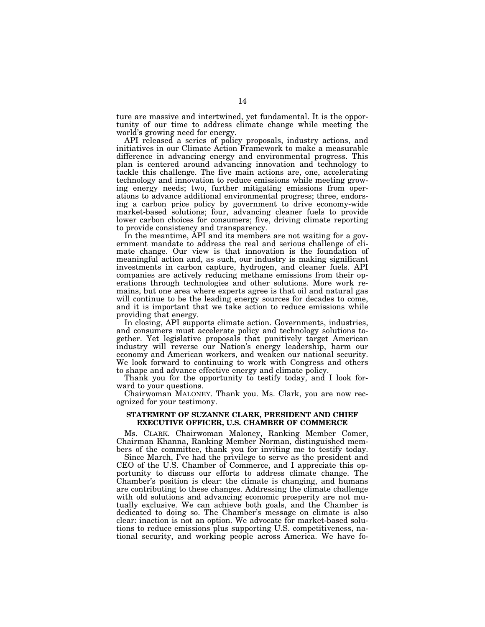ture are massive and intertwined, yet fundamental. It is the opportunity of our time to address climate change while meeting the world's growing need for energy.

API released a series of policy proposals, industry actions, and initiatives in our Climate Action Framework to make a measurable difference in advancing energy and environmental progress. This plan is centered around advancing innovation and technology to tackle this challenge. The five main actions are, one, accelerating technology and innovation to reduce emissions while meeting growing energy needs; two, further mitigating emissions from operations to advance additional environmental progress; three, endorsing a carbon price policy by government to drive economy-wide market-based solutions; four, advancing cleaner fuels to provide lower carbon choices for consumers; five, driving climate reporting to provide consistency and transparency.

In the meantime, API and its members are not waiting for a government mandate to address the real and serious challenge of climate change. Our view is that innovation is the foundation of meaningful action and, as such, our industry is making significant investments in carbon capture, hydrogen, and cleaner fuels. API companies are actively reducing methane emissions from their operations through technologies and other solutions. More work remains, but one area where experts agree is that oil and natural gas will continue to be the leading energy sources for decades to come, and it is important that we take action to reduce emissions while providing that energy.

In closing, API supports climate action. Governments, industries, and consumers must accelerate policy and technology solutions together. Yet legislative proposals that punitively target American industry will reverse our Nation's energy leadership, harm our economy and American workers, and weaken our national security. We look forward to continuing to work with Congress and others to shape and advance effective energy and climate policy.

Thank you for the opportunity to testify today, and I look forward to your questions.

Chairwoman MALONEY. Thank you. Ms. Clark, you are now recognized for your testimony.

#### **STATEMENT OF SUZANNE CLARK, PRESIDENT AND CHIEF EXECUTIVE OFFICER, U.S. CHAMBER OF COMMERCE**

Ms. CLARK. Chairwoman Maloney, Ranking Member Comer, Chairman Khanna, Ranking Member Norman, distinguished members of the committee, thank you for inviting me to testify today.

Since March, I've had the privilege to serve as the president and CEO of the U.S. Chamber of Commerce, and I appreciate this opportunity to discuss our efforts to address climate change. The Chamber's position is clear: the climate is changing, and humans are contributing to these changes. Addressing the climate challenge with old solutions and advancing economic prosperity are not mutually exclusive. We can achieve both goals, and the Chamber is dedicated to doing so. The Chamber's message on climate is also clear: inaction is not an option. We advocate for market-based solutions to reduce emissions plus supporting U.S. competitiveness, national security, and working people across America. We have fo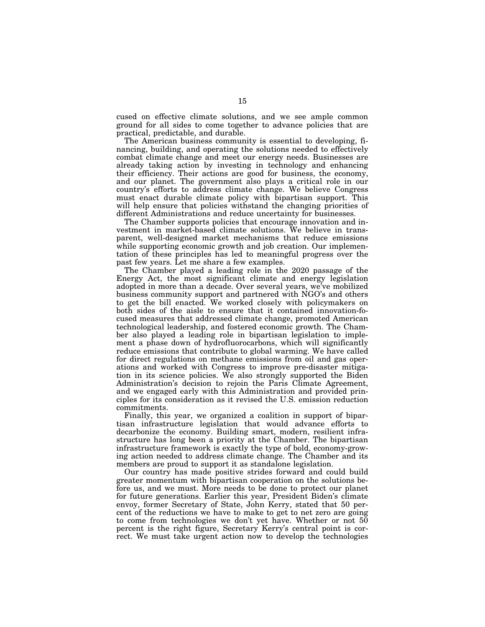cused on effective climate solutions, and we see ample common ground for all sides to come together to advance policies that are practical, predictable, and durable.

The American business community is essential to developing, financing, building, and operating the solutions needed to effectively combat climate change and meet our energy needs. Businesses are already taking action by investing in technology and enhancing their efficiency. Their actions are good for business, the economy, and our planet. The government also plays a critical role in our country's efforts to address climate change. We believe Congress must enact durable climate policy with bipartisan support. This will help ensure that policies withstand the changing priorities of different Administrations and reduce uncertainty for businesses.

The Chamber supports policies that encourage innovation and investment in market-based climate solutions. We believe in transparent, well-designed market mechanisms that reduce emissions while supporting economic growth and job creation. Our implementation of these principles has led to meaningful progress over the past few years. Let me share a few examples.

The Chamber played a leading role in the 2020 passage of the Energy Act, the most significant climate and energy legislation adopted in more than a decade. Over several years, we've mobilized business community support and partnered with NGO's and others to get the bill enacted. We worked closely with policymakers on both sides of the aisle to ensure that it contained innovation-focused measures that addressed climate change, promoted American technological leadership, and fostered economic growth. The Chamber also played a leading role in bipartisan legislation to implement a phase down of hydrofluorocarbons, which will significantly reduce emissions that contribute to global warming. We have called for direct regulations on methane emissions from oil and gas operations and worked with Congress to improve pre-disaster mitigation in its science policies. We also strongly supported the Biden Administration's decision to rejoin the Paris Climate Agreement, and we engaged early with this Administration and provided principles for its consideration as it revised the U.S. emission reduction commitments.

Finally, this year, we organized a coalition in support of bipartisan infrastructure legislation that would advance efforts to decarbonize the economy. Building smart, modern, resilient infrastructure has long been a priority at the Chamber. The bipartisan infrastructure framework is exactly the type of bold, economy-growing action needed to address climate change. The Chamber and its members are proud to support it as standalone legislation.

Our country has made positive strides forward and could build greater momentum with bipartisan cooperation on the solutions before us, and we must. More needs to be done to protect our planet for future generations. Earlier this year, President Biden's climate envoy, former Secretary of State, John Kerry, stated that 50 percent of the reductions we have to make to get to net zero are going to come from technologies we don't yet have. Whether or not 50 percent is the right figure, Secretary Kerry's central point is correct. We must take urgent action now to develop the technologies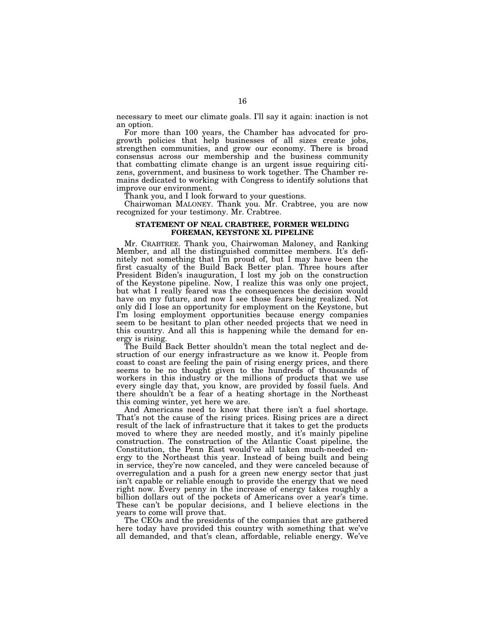necessary to meet our climate goals. I'll say it again: inaction is not an option.

For more than 100 years, the Chamber has advocated for progrowth policies that help businesses of all sizes create jobs, strengthen communities, and grow our economy. There is broad consensus across our membership and the business community that combatting climate change is an urgent issue requiring citizens, government, and business to work together. The Chamber remains dedicated to working with Congress to identify solutions that improve our environment.

Thank you, and I look forward to your questions.

Chairwoman MALONEY. Thank you. Mr. Crabtree, you are now recognized for your testimony. Mr. Crabtree.

#### **STATEMENT OF NEAL CRABTREE, FORMER WELDING FOREMAN, KEYSTONE XL PIPELINE**

Mr. CRABTREE. Thank you, Chairwoman Maloney, and Ranking Member, and all the distinguished committee members. It's definitely not something that I'm proud of, but I may have been the first casualty of the Build Back Better plan. Three hours after President Biden's inauguration, I lost my job on the construction of the Keystone pipeline. Now, I realize this was only one project, but what I really feared was the consequences the decision would have on my future, and now I see those fears being realized. Not only did I lose an opportunity for employment on the Keystone, but I'm losing employment opportunities because energy companies seem to be hesitant to plan other needed projects that we need in this country. And all this is happening while the demand for energy is rising.

The Build Back Better shouldn't mean the total neglect and destruction of our energy infrastructure as we know it. People from coast to coast are feeling the pain of rising energy prices, and there seems to be no thought given to the hundreds of thousands of workers in this industry or the millions of products that we use every single day that, you know, are provided by fossil fuels. And there shouldn't be a fear of a heating shortage in the Northeast this coming winter, yet here we are.

And Americans need to know that there isn't a fuel shortage. That's not the cause of the rising prices. Rising prices are a direct result of the lack of infrastructure that it takes to get the products moved to where they are needed mostly, and it's mainly pipeline construction. The construction of the Atlantic Coast pipeline, the Constitution, the Penn East would've all taken much-needed energy to the Northeast this year. Instead of being built and being in service, they're now canceled, and they were canceled because of overregulation and a push for a green new energy sector that just isn't capable or reliable enough to provide the energy that we need right now. Every penny in the increase of energy takes roughly a billion dollars out of the pockets of Americans over a year's time. These can't be popular decisions, and I believe elections in the years to come will prove that.

The CEOs and the presidents of the companies that are gathered here today have provided this country with something that we've all demanded, and that's clean, affordable, reliable energy. We've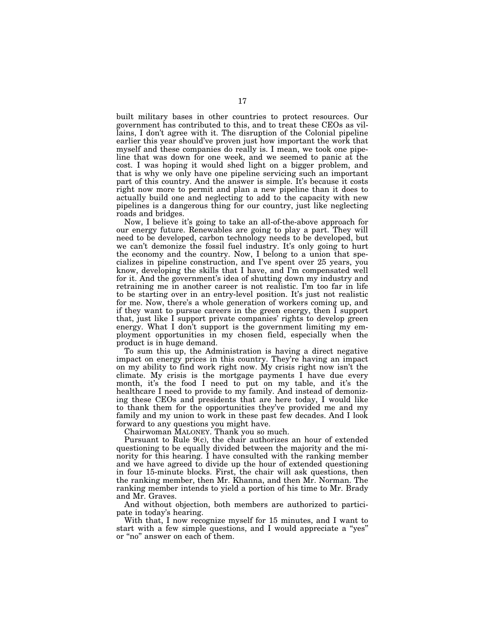built military bases in other countries to protect resources. Our government has contributed to this, and to treat these CEOs as villains, I don't agree with it. The disruption of the Colonial pipeline earlier this year should've proven just how important the work that myself and these companies do really is. I mean, we took one pipeline that was down for one week, and we seemed to panic at the cost. I was hoping it would shed light on a bigger problem, and that is why we only have one pipeline servicing such an important part of this country. And the answer is simple. It's because it costs right now more to permit and plan a new pipeline than it does to actually build one and neglecting to add to the capacity with new pipelines is a dangerous thing for our country, just like neglecting roads and bridges.

Now, I believe it's going to take an all-of-the-above approach for our energy future. Renewables are going to play a part. They will need to be developed, carbon technology needs to be developed, but we can't demonize the fossil fuel industry. It's only going to hurt the economy and the country. Now, I belong to a union that specializes in pipeline construction, and I've spent over 25 years, you know, developing the skills that I have, and I'm compensated well for it. And the government's idea of shutting down my industry and retraining me in another career is not realistic. I'm too far in life to be starting over in an entry-level position. It's just not realistic for me. Now, there's a whole generation of workers coming up, and if they want to pursue careers in the green energy, then I support that, just like I support private companies' rights to develop green energy. What I don't support is the government limiting my employment opportunities in my chosen field, especially when the product is in huge demand.

To sum this up, the Administration is having a direct negative impact on energy prices in this country. They're having an impact on my ability to find work right now. My crisis right now isn't the climate. My crisis is the mortgage payments I have due every month, it's the food I need to put on my table, and it's the healthcare I need to provide to my family. And instead of demonizing these CEOs and presidents that are here today, I would like to thank them for the opportunities they've provided me and my family and my union to work in these past few decades. And I look forward to any questions you might have.

Chairwoman MALONEY. Thank you so much.

Pursuant to Rule 9(c), the chair authorizes an hour of extended questioning to be equally divided between the majority and the minority for this hearing. I have consulted with the ranking member and we have agreed to divide up the hour of extended questioning in four 15-minute blocks. First, the chair will ask questions, then the ranking member, then Mr. Khanna, and then Mr. Norman. The ranking member intends to yield a portion of his time to Mr. Brady and Mr. Graves.

And without objection, both members are authorized to participate in today's hearing.

With that, I now recognize myself for 15 minutes, and I want to start with a few simple questions, and I would appreciate a ''yes'' or ''no'' answer on each of them.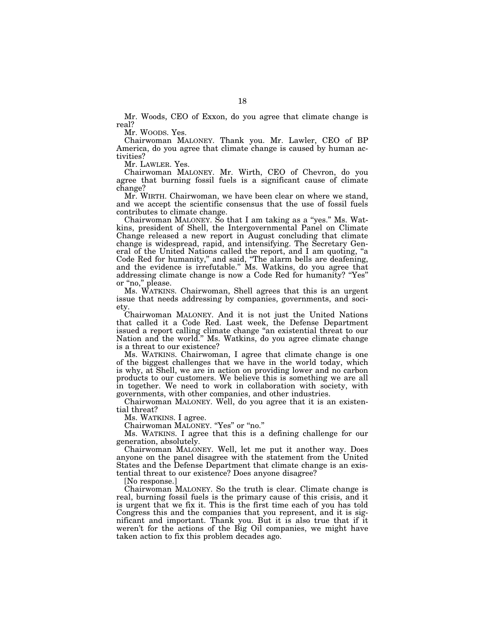Mr. Woods, CEO of Exxon, do you agree that climate change is real?

Mr. WOODS. Yes.

Chairwoman MALONEY. Thank you. Mr. Lawler, CEO of BP America, do you agree that climate change is caused by human activities?

Mr. LAWLER. Yes.

Chairwoman MALONEY. Mr. Wirth, CEO of Chevron, do you agree that burning fossil fuels is a significant cause of climate change?

Mr. WIRTH. Chairwoman, we have been clear on where we stand, and we accept the scientific consensus that the use of fossil fuels contributes to climate change.

Chairwoman MALONEY. So that I am taking as a ''yes.'' Ms. Watkins, president of Shell, the Intergovernmental Panel on Climate Change released a new report in August concluding that climate change is widespread, rapid, and intensifying. The Secretary General of the United Nations called the report, and I am quoting, "a Code Red for humanity,'' and said, ''The alarm bells are deafening, and the evidence is irrefutable.'' Ms. Watkins, do you agree that addressing climate change is now a Code Red for humanity? ''Yes'' or "no," please.

Ms. WATKINS. Chairwoman, Shell agrees that this is an urgent issue that needs addressing by companies, governments, and society.

Chairwoman MALONEY. And it is not just the United Nations that called it a Code Red. Last week, the Defense Department issued a report calling climate change ''an existential threat to our Nation and the world.'' Ms. Watkins, do you agree climate change is a threat to our existence?

Ms. WATKINS. Chairwoman, I agree that climate change is one of the biggest challenges that we have in the world today, which is why, at Shell, we are in action on providing lower and no carbon products to our customers. We believe this is something we are all in together. We need to work in collaboration with society, with governments, with other companies, and other industries.

Chairwoman MALONEY. Well, do you agree that it is an existential threat?

Ms. WATKINS. I agree.

Chairwoman MALONEY. "Yes" or "no."

Ms. WATKINS. I agree that this is a defining challenge for our generation, absolutely.

Chairwoman MALONEY. Well, let me put it another way. Does anyone on the panel disagree with the statement from the United States and the Defense Department that climate change is an existential threat to our existence? Does anyone disagree?

[No response.]

Chairwoman MALONEY. So the truth is clear. Climate change is real, burning fossil fuels is the primary cause of this crisis, and it is urgent that we fix it. This is the first time each of you has told Congress this and the companies that you represent, and it is significant and important. Thank you. But it is also true that if it weren't for the actions of the Big Oil companies, we might have taken action to fix this problem decades ago.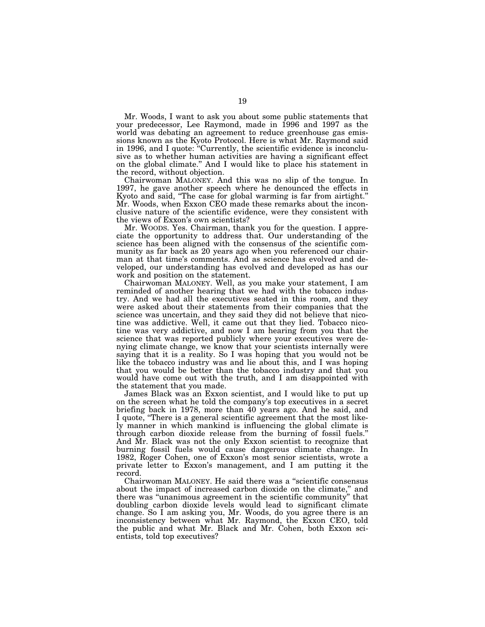Mr. Woods, I want to ask you about some public statements that your predecessor, Lee Raymond, made in 1996 and 1997 as the world was debating an agreement to reduce greenhouse gas emissions known as the Kyoto Protocol. Here is what Mr. Raymond said in 1996, and I quote: ''Currently, the scientific evidence is inconclusive as to whether human activities are having a significant effect on the global climate.'' And I would like to place his statement in the record, without objection.

Chairwoman MALONEY. And this was no slip of the tongue. In 1997, he gave another speech where he denounced the effects in Kyoto and said, ''The case for global warming is far from airtight.'' Mr. Woods, when Exxon CEO made these remarks about the inconclusive nature of the scientific evidence, were they consistent with the views of Exxon's own scientists?

Mr. WOODS. Yes. Chairman, thank you for the question. I appreciate the opportunity to address that. Our understanding of the science has been aligned with the consensus of the scientific community as far back as 20 years ago when you referenced our chairman at that time's comments. And as science has evolved and developed, our understanding has evolved and developed as has our work and position on the statement.

Chairwoman MALONEY. Well, as you make your statement, I am reminded of another hearing that we had with the tobacco industry. And we had all the executives seated in this room, and they were asked about their statements from their companies that the science was uncertain, and they said they did not believe that nicotine was addictive. Well, it came out that they lied. Tobacco nicotine was very addictive, and now I am hearing from you that the science that was reported publicly where your executives were denying climate change, we know that your scientists internally were saying that it is a reality. So I was hoping that you would not be like the tobacco industry was and lie about this, and I was hoping that you would be better than the tobacco industry and that you would have come out with the truth, and I am disappointed with the statement that you made.

James Black was an Exxon scientist, and I would like to put up on the screen what he told the company's top executives in a secret briefing back in 1978, more than 40 years ago. And he said, and I quote, ''There is a general scientific agreement that the most likely manner in which mankind is influencing the global climate is through carbon dioxide release from the burning of fossil fuels.'' And Mr. Black was not the only Exxon scientist to recognize that burning fossil fuels would cause dangerous climate change. In 1982, Roger Cohen, one of Exxon's most senior scientists, wrote a private letter to Exxon's management, and I am putting it the record.

Chairwoman MALONEY. He said there was a ''scientific consensus about the impact of increased carbon dioxide on the climate,'' and there was ''unanimous agreement in the scientific community'' that doubling carbon dioxide levels would lead to significant climate change. So I am asking you, Mr. Woods, do you agree there is an inconsistency between what Mr. Raymond, the Exxon CEO, told the public and what Mr. Black and Mr. Cohen, both Exxon scientists, told top executives?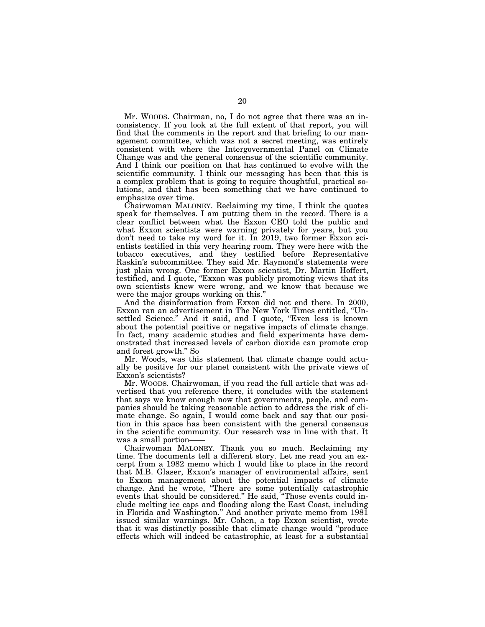Mr. WOODS. Chairman, no, I do not agree that there was an inconsistency. If you look at the full extent of that report, you will find that the comments in the report and that briefing to our management committee, which was not a secret meeting, was entirely consistent with where the Intergovernmental Panel on Climate Change was and the general consensus of the scientific community. And I think our position on that has continued to evolve with the scientific community. I think our messaging has been that this is a complex problem that is going to require thoughtful, practical solutions, and that has been something that we have continued to emphasize over time.

Chairwoman MALONEY. Reclaiming my time, I think the quotes speak for themselves. I am putting them in the record. There is a clear conflict between what the Exxon CEO told the public and what Exxon scientists were warning privately for years, but you don't need to take my word for it. In 2019, two former Exxon scientists testified in this very hearing room. They were here with the tobacco executives, and they testified before Representative Raskin's subcommittee. They said Mr. Raymond's statements were just plain wrong. One former Exxon scientist, Dr. Martin Hoffert, testified, and I quote, ''Exxon was publicly promoting views that its own scientists knew were wrong, and we know that because we were the major groups working on this.''

And the disinformation from Exxon did not end there. In 2000, Exxon ran an advertisement in The New York Times entitled, ''Unsettled Science." And it said, and I quote, "Even less is known about the potential positive or negative impacts of climate change. In fact, many academic studies and field experiments have demonstrated that increased levels of carbon dioxide can promote crop and forest growth.'' So

Mr. Woods, was this statement that climate change could actually be positive for our planet consistent with the private views of Exxon's scientists?

Mr. WOODS. Chairwoman, if you read the full article that was advertised that you reference there, it concludes with the statement that says we know enough now that governments, people, and companies should be taking reasonable action to address the risk of climate change. So again, I would come back and say that our position in this space has been consistent with the general consensus in the scientific community. Our research was in line with that. It was a small portion-

Chairwoman MALONEY. Thank you so much. Reclaiming my time. The documents tell a different story. Let me read you an excerpt from a 1982 memo which I would like to place in the record that M.B. Glaser, Exxon's manager of environmental affairs, sent to Exxon management about the potential impacts of climate change. And he wrote, ''There are some potentially catastrophic events that should be considered.'' He said, ''Those events could include melting ice caps and flooding along the East Coast, including in Florida and Washington.'' And another private memo from 1981 issued similar warnings. Mr. Cohen, a top Exxon scientist, wrote that it was distinctly possible that climate change would ''produce effects which will indeed be catastrophic, at least for a substantial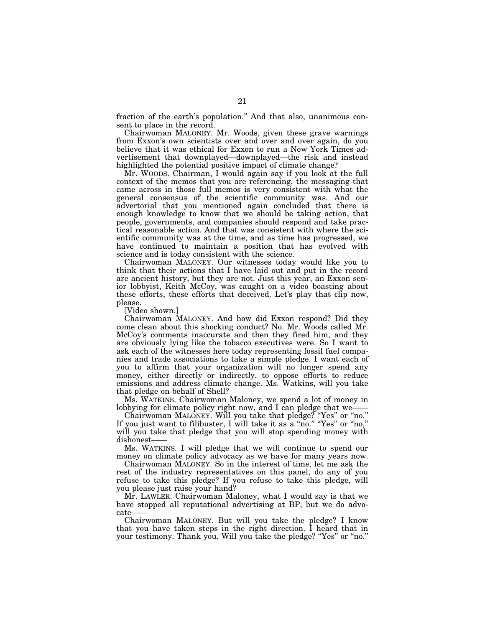fraction of the earth's population.'' And that also, unanimous consent to place in the record.

Chairwoman MALONEY. Mr. Woods, given these grave warnings from Exxon's own scientists over and over and over again, do you believe that it was ethical for Exxon to run a New York Times advertisement that downplayed—downplayed—the risk and instead highlighted the potential positive impact of climate change?

Mr. WOODS. Chairman, I would again say if you look at the full context of the memos that you are referencing, the messaging that came across in those full memos is very consistent with what the general consensus of the scientific community was. And our advertorial that you mentioned again concluded that there is enough knowledge to know that we should be taking action, that people, governments, and companies should respond and take practical reasonable action. And that was consistent with where the scientific community was at the time, and as time has progressed, we have continued to maintain a position that has evolved with science and is today consistent with the science.

Chairwoman MALONEY. Our witnesses today would like you to think that their actions that I have laid out and put in the record are ancient history, but they are not. Just this year, an Exxon senior lobbyist, Keith McCoy, was caught on a video boasting about these efforts, these efforts that deceived. Let's play that clip now, please.

[Video shown.]

Chairwoman MALONEY. And how did Exxon respond? Did they come clean about this shocking conduct? No. Mr. Woods called Mr. McCoy's comments inaccurate and then they fired him, and they are obviously lying like the tobacco executives were. So I want to ask each of the witnesses here today representing fossil fuel companies and trade associations to take a simple pledge. I want each of you to affirm that your organization will no longer spend any money, either directly or indirectly, to oppose efforts to reduce emissions and address climate change. Ms. Watkins, will you take that pledge on behalf of Shell?

Ms. WATKINS. Chairwoman Maloney, we spend a lot of money in lobbying for climate policy right now, and I can pledge that we-

Chairwoman MALONEY. Will you take that pledge? ''Yes'' or ''no.'' If you just want to filibuster, I will take it as a ''no.'' ''Yes'' or ''no,'' will you take that pledge that you will stop spending money with dishonest-

Ms. WATKINS. I will pledge that we will continue to spend our money on climate policy advocacy as we have for many years now.

Chairwoman MALONEY. So in the interest of time, let me ask the rest of the industry representatives on this panel, do any of you refuse to take this pledge? If you refuse to take this pledge, will you please just raise your hand?

Mr. LAWLER. Chairwoman Maloney, what I would say is that we have stopped all reputational advertising at BP, but we do advocate

Chairwoman MALONEY. But will you take the pledge? I know that you have taken steps in the right direction. I heard that in your testimony. Thank you. Will you take the pledge? ''Yes'' or ''no.''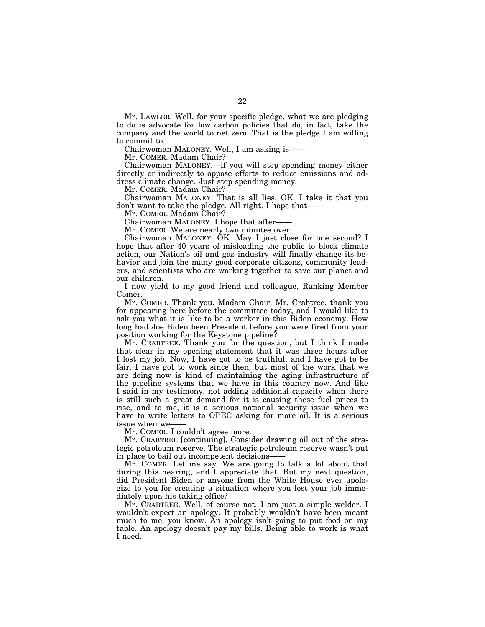Mr. LAWLER. Well, for your specific pledge, what we are pledging to do is advocate for low carbon policies that do, in fact, take the company and the world to net zero. That is the pledge I am willing to commit to.

Chairwoman MALONEY. Well, I am asking is——

Mr. COMER. Madam Chair?

Chairwoman MALONEY.—if you will stop spending money either directly or indirectly to oppose efforts to reduce emissions and address climate change. Just stop spending money.

Mr. COMER. Madam Chair?

Chairwoman MALONEY. That is all lies. OK. I take it that you don't want to take the pledge. All right. I hope that——

Mr. COMER. Madam Chair?

Chairwoman MALONEY. I hope that after——

Mr. COMER. We are nearly two minutes over.

Chairwoman MALONEY. OK. May I just close for one second? I hope that after 40 years of misleading the public to block climate action, our Nation's oil and gas industry will finally change its behavior and join the many good corporate citizens, community leaders, and scientists who are working together to save our planet and our children.

I now yield to my good friend and colleague, Ranking Member Comer.

Mr. COMER. Thank you, Madam Chair. Mr. Crabtree, thank you for appearing here before the committee today, and I would like to ask you what it is like to be a worker in this Biden economy. How long had Joe Biden been President before you were fired from your position working for the Keystone pipeline?

Mr. CRABTREE. Thank you for the question, but I think I made that clear in my opening statement that it was three hours after I lost my job. Now, I have got to be truthful, and I have got to be fair. I have got to work since then, but most of the work that we are doing now is kind of maintaining the aging infrastructure of the pipeline systems that we have in this country now. And like I said in my testimony, not adding additional capacity when there is still such a great demand for it is causing these fuel prices to rise, and to me, it is a serious national security issue when we have to write letters to OPEC asking for more oil. It is a serious issue when we——

Mr. COMER. I couldn't agree more.

Mr. CRABTREE [continuing]. Consider drawing oil out of the strategic petroleum reserve. The strategic petroleum reserve wasn't put in place to bail out incompetent decisions-

Mr. COMER. Let me say. We are going to talk a lot about that during this hearing, and I appreciate that. But my next question, did President Biden or anyone from the White House ever apologize to you for creating a situation where you lost your job immediately upon his taking office?

Mr. CRABTREE. Well, of course not. I am just a simple welder. I wouldn't expect an apology. It probably wouldn't have been meant much to me, you know. An apology isn't going to put food on my table. An apology doesn't pay my bills. Being able to work is what I need.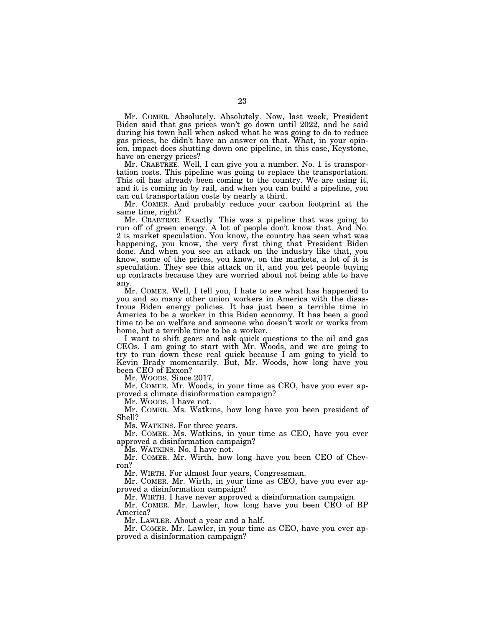Mr. COMER. Absolutely. Absolutely. Now, last week, President Biden said that gas prices won't go down until 2022, and he said during his town hall when asked what he was going to do to reduce gas prices, he didn't have an answer on that. What, in your opinion, impact does shutting down one pipeline, in this case, Keystone, have on energy prices?

Mr. CRABTREE. Well, I can give you a number. No. 1 is transportation costs. This pipeline was going to replace the transportation. This oil has already been coming to the country. We are using it, and it is coming in by rail, and when you can build a pipeline, you can cut transportation costs by nearly a third.

Mr. COMER. And probably reduce your carbon footprint at the same time, right?

Mr. CRABTREE. Exactly. This was a pipeline that was going to run off of green energy. A lot of people don't know that. And No. 2 is market speculation. You know, the country has seen what was happening, you know, the very first thing that President Biden done. And when you see an attack on the industry like that, you know, some of the prices, you know, on the markets, a lot of it is speculation. They see this attack on it, and you get people buying up contracts because they are worried about not being able to have any.

Mr. COMER. Well, I tell you, I hate to see what has happened to you and so many other union workers in America with the disastrous Biden energy policies. It has just been a terrible time in America to be a worker in this Biden economy. It has been a good time to be on welfare and someone who doesn't work or works from home, but a terrible time to be a worker.

I want to shift gears and ask quick questions to the oil and gas CEOs. I am going to start with Mr. Woods, and we are going to try to run down these real quick because I am going to yield to Kevin Brady momentarily. But, Mr. Woods, how long have you been CEO of Exxon?

Mr. WOODS. Since 2017.

Mr. COMER. Mr. Woods, in your time as CEO, have you ever approved a climate disinformation campaign?

Mr. WOODS. I have not.

Mr. COMER. Ms. Watkins, how long have you been president of Shell?

Ms. WATKINS. For three years.

Mr. COMER. Ms. Watkins, in your time as CEO, have you ever approved a disinformation campaign?

Ms. WATKINS. No, I have not.

Mr. COMER. Mr. Wirth, how long have you been CEO of Chevron?

Mr. WIRTH. For almost four years, Congressman.

Mr. COMER. Mr. Wirth, in your time as CEO, have you ever approved a disinformation campaign?

Mr. WIRTH. I have never approved a disinformation campaign.

Mr. COMER. Mr. Lawler, how long have you been CEO of BP America?

Mr. LAWLER. About a year and a half.

Mr. COMER. Mr. Lawler, in your time as CEO, have you ever approved a disinformation campaign?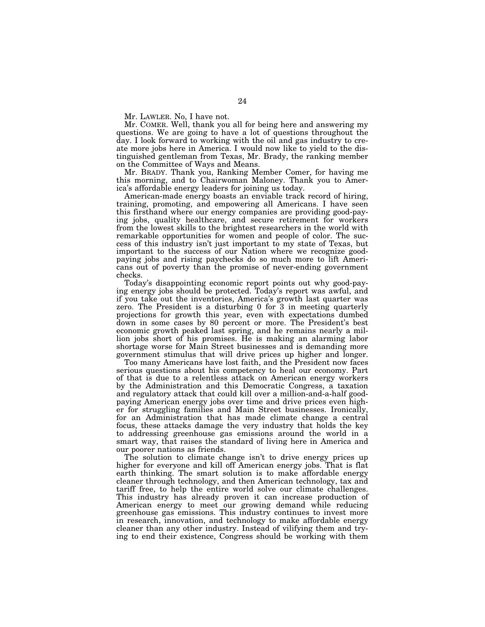Mr. LAWLER. No, I have not.

Mr. COMER. Well, thank you all for being here and answering my questions. We are going to have a lot of questions throughout the day. I look forward to working with the oil and gas industry to create more jobs here in America. I would now like to yield to the distinguished gentleman from Texas, Mr. Brady, the ranking member on the Committee of Ways and Means.

Mr. BRADY. Thank you, Ranking Member Comer, for having me this morning, and to Chairwoman Maloney. Thank you to America's affordable energy leaders for joining us today.

American-made energy boasts an enviable track record of hiring, training, promoting, and empowering all Americans. I have seen this firsthand where our energy companies are providing good-paying jobs, quality healthcare, and secure retirement for workers from the lowest skills to the brightest researchers in the world with remarkable opportunities for women and people of color. The success of this industry isn't just important to my state of Texas, but important to the success of our Nation where we recognize goodpaying jobs and rising paychecks do so much more to lift Americans out of poverty than the promise of never-ending government checks.

Today's disappointing economic report points out why good-paying energy jobs should be protected. Today's report was awful, and if you take out the inventories, America's growth last quarter was zero. The President is a disturbing 0 for 3 in meeting quarterly projections for growth this year, even with expectations dumbed down in some cases by 80 percent or more. The President's best economic growth peaked last spring, and he remains nearly a million jobs short of his promises. He is making an alarming labor shortage worse for Main Street businesses and is demanding more government stimulus that will drive prices up higher and longer.

Too many Americans have lost faith, and the President now faces serious questions about his competency to heal our economy. Part of that is due to a relentless attack on American energy workers by the Administration and this Democratic Congress, a taxation and regulatory attack that could kill over a million-and-a-half goodpaying American energy jobs over time and drive prices even higher for struggling families and Main Street businesses. Ironically, for an Administration that has made climate change a central focus, these attacks damage the very industry that holds the key to addressing greenhouse gas emissions around the world in a smart way, that raises the standard of living here in America and our poorer nations as friends.

The solution to climate change isn't to drive energy prices up higher for everyone and kill off American energy jobs. That is flat earth thinking. The smart solution is to make affordable energy cleaner through technology, and then American technology, tax and tariff free, to help the entire world solve our climate challenges. This industry has already proven it can increase production of American energy to meet our growing demand while reducing greenhouse gas emissions. This industry continues to invest more in research, innovation, and technology to make affordable energy cleaner than any other industry. Instead of vilifying them and trying to end their existence, Congress should be working with them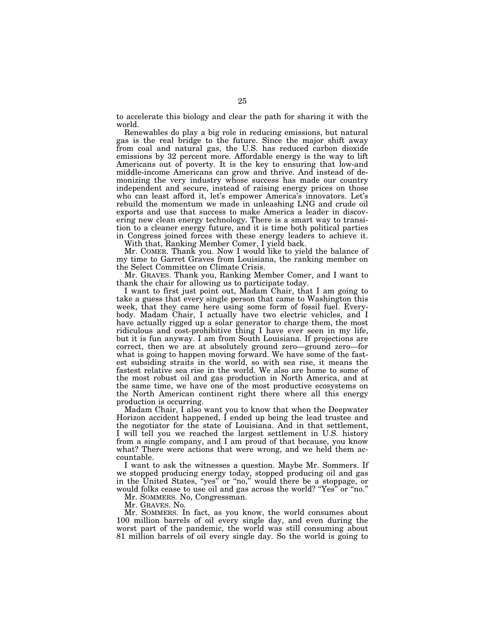to accelerate this biology and clear the path for sharing it with the world.

Renewables do play a big role in reducing emissions, but natural gas is the real bridge to the future. Since the major shift away from coal and natural gas, the U.S. has reduced carbon dioxide emissions by 32 percent more. Affordable energy is the way to lift Americans out of poverty. It is the key to ensuring that low-and middle-income Americans can grow and thrive. And instead of demonizing the very industry whose success has made our country independent and secure, instead of raising energy prices on those who can least afford it, let's empower America's innovators. Let's rebuild the momentum we made in unleashing LNG and crude oil exports and use that success to make America a leader in discovering new clean energy technology. There is a smart way to transition to a cleaner energy future, and it is time both political parties in Congress joined forces with these energy leaders to achieve it.

With that, Ranking Member Comer, I yield back.

Mr. COMER. Thank you. Now I would like to yield the balance of my time to Garret Graves from Louisiana, the ranking member on the Select Committee on Climate Crisis.

Mr. GRAVES. Thank you, Ranking Member Comer, and I want to thank the chair for allowing us to participate today.

I want to first just point out, Madam Chair, that I am going to take a guess that every single person that came to Washington this week, that they came here using some form of fossil fuel. Everybody. Madam Chair, I actually have two electric vehicles, and I have actually rigged up a solar generator to charge them, the most ridiculous and cost-prohibitive thing I have ever seen in my life, but it is fun anyway. I am from South Louisiana. If projections are correct, then we are at absolutely ground zero—ground zero—for what is going to happen moving forward. We have some of the fastest subsiding straits in the world, so with sea rise, it means the fastest relative sea rise in the world. We also are home to some of the most robust oil and gas production in North America, and at the same time, we have one of the most productive ecosystems on the North American continent right there where all this energy production is occurring.

Madam Chair, I also want you to know that when the Deepwater Horizon accident happened, I ended up being the lead trustee and the negotiator for the state of Louisiana. And in that settlement, I will tell you we reached the largest settlement in U.S. history from a single company, and I am proud of that because, you know what? There were actions that were wrong, and we held them accountable.

I want to ask the witnesses a question. Maybe Mr. Sommers. If we stopped producing energy today, stopped producing oil and gas in the United States, ''yes'' or ''no,'' would there be a stoppage, or would folks cease to use oil and gas across the world? ''Yes'' or ''no.''

Mr. SOMMERS. No, Congressman.

Mr. GRAVES. No.

Mr. SOMMERS. In fact, as you know, the world consumes about 100 million barrels of oil every single day, and even during the worst part of the pandemic, the world was still consuming about 81 million barrels of oil every single day. So the world is going to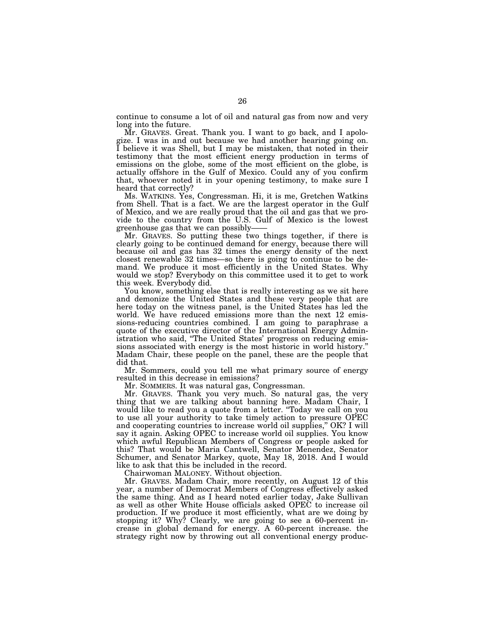continue to consume a lot of oil and natural gas from now and very long into the future.

Mr. GRAVES. Great. Thank you. I want to go back, and I apologize. I was in and out because we had another hearing going on. I believe it was Shell, but I may be mistaken, that noted in their testimony that the most efficient energy production in terms of emissions on the globe, some of the most efficient on the globe, is actually offshore in the Gulf of Mexico. Could any of you confirm that, whoever noted it in your opening testimony, to make sure I heard that correctly?

Ms. WATKINS. Yes, Congressman. Hi, it is me, Gretchen Watkins from Shell. That is a fact. We are the largest operator in the Gulf of Mexico, and we are really proud that the oil and gas that we provide to the country from the U.S. Gulf of Mexico is the lowest greenhouse gas that we can possibly——

Mr. GRAVES. So putting these two things together, if there is clearly going to be continued demand for energy, because there will because oil and gas has 32 times the energy density of the next closest renewable 32 times—so there is going to continue to be demand. We produce it most efficiently in the United States. Why would we stop? Everybody on this committee used it to get to work this week. Everybody did.

You know, something else that is really interesting as we sit here and demonize the United States and these very people that are here today on the witness panel, is the United States has led the world. We have reduced emissions more than the next 12 emissions-reducing countries combined. I am going to paraphrase a quote of the executive director of the International Energy Administration who said, ''The United States' progress on reducing emissions associated with energy is the most historic in world history. Madam Chair, these people on the panel, these are the people that did that.

Mr. Sommers, could you tell me what primary source of energy resulted in this decrease in emissions?

Mr. SOMMERS. It was natural gas, Congressman.

Mr. GRAVES. Thank you very much. So natural gas, the very thing that we are talking about banning here. Madam Chair, I would like to read you a quote from a letter. ''Today we call on you to use all your authority to take timely action to pressure OPEC and cooperating countries to increase world oil supplies,'' OK? I will say it again. Asking OPEC to increase world oil supplies. You know which awful Republican Members of Congress or people asked for this? That would be Maria Cantwell, Senator Menendez, Senator Schumer, and Senator Markey, quote, May 18, 2018. And I would like to ask that this be included in the record.

Chairwoman MALONEY. Without objection.

Mr. GRAVES. Madam Chair, more recently, on August 12 of this year, a number of Democrat Members of Congress effectively asked the same thing. And as I heard noted earlier today, Jake Sullivan as well as other White House officials asked OPEC to increase oil production. If we produce it most efficiently, what are we doing by stopping it? Why? Clearly, we are going to see a 60-percent increase in global demand for energy. A 60-percent increase. the strategy right now by throwing out all conventional energy produc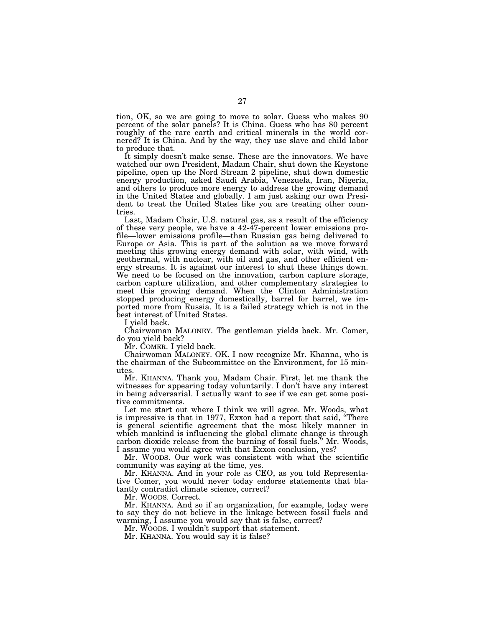tion, OK, so we are going to move to solar. Guess who makes 90 percent of the solar panels? It is China. Guess who has 80 percent roughly of the rare earth and critical minerals in the world cornered? It is China. And by the way, they use slave and child labor to produce that.

It simply doesn't make sense. These are the innovators. We have watched our own President, Madam Chair, shut down the Keystone pipeline, open up the Nord Stream 2 pipeline, shut down domestic energy production, asked Saudi Arabia, Venezuela, Iran, Nigeria, and others to produce more energy to address the growing demand in the United States and globally. I am just asking our own President to treat the United States like you are treating other countries.

Last, Madam Chair, U.S. natural gas, as a result of the efficiency of these very people, we have a 42-47-percent lower emissions profile—lower emissions profile—than Russian gas being delivered to Europe or Asia. This is part of the solution as we move forward meeting this growing energy demand with solar, with wind, with geothermal, with nuclear, with oil and gas, and other efficient energy streams. It is against our interest to shut these things down. We need to be focused on the innovation, carbon capture storage, carbon capture utilization, and other complementary strategies to meet this growing demand. When the Clinton Administration stopped producing energy domestically, barrel for barrel, we imported more from Russia. It is a failed strategy which is not in the best interest of United States.

I yield back.

Chairwoman MALONEY. The gentleman yields back. Mr. Comer, do you yield back?

Mr. COMER. I yield back.

Chairwoman MALONEY. OK. I now recognize Mr. Khanna, who is the chairman of the Subcommittee on the Environment, for 15 minutes.

Mr. KHANNA. Thank you, Madam Chair. First, let me thank the witnesses for appearing today voluntarily. I don't have any interest in being adversarial. I actually want to see if we can get some positive commitments.

Let me start out where I think we will agree. Mr. Woods, what is impressive is that in 1977, Exxon had a report that said, ''There is general scientific agreement that the most likely manner in which mankind is influencing the global climate change is through carbon dioxide release from the burning of fossil fuels.'' Mr. Woods, I assume you would agree with that Exxon conclusion, yes?

Mr. WOODS. Our work was consistent with what the scientific community was saying at the time, yes.

Mr. KHANNA. And in your role as CEO, as you told Representative Comer, you would never today endorse statements that blatantly contradict climate science, correct?

Mr. WOODS. Correct.

Mr. KHANNA. And so if an organization, for example, today were to say they do not believe in the linkage between fossil fuels and warming, I assume you would say that is false, correct?

Mr. WOODS. I wouldn't support that statement.

Mr. KHANNA. You would say it is false?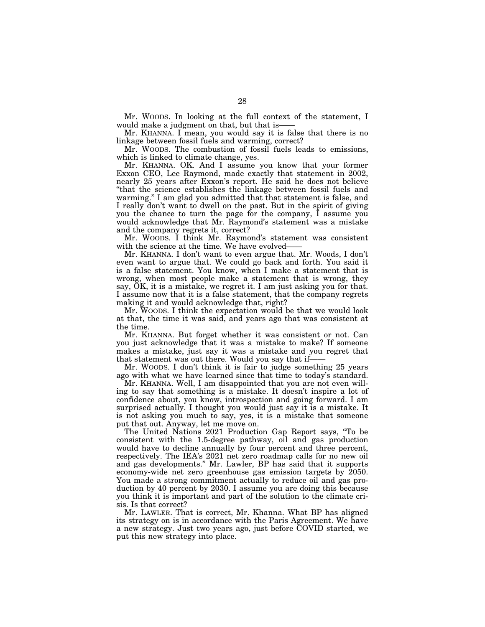Mr. WOODS. In looking at the full context of the statement, I would make a judgment on that, but that is-

Mr. KHANNA. I mean, you would say it is false that there is no linkage between fossil fuels and warming, correct?

Mr. WOODS. The combustion of fossil fuels leads to emissions, which is linked to climate change, yes.

Mr. KHANNA. OK. And I assume you know that your former Exxon CEO, Lee Raymond, made exactly that statement in 2002, nearly 25 years after Exxon's report. He said he does not believe ''that the science establishes the linkage between fossil fuels and warming.'' I am glad you admitted that that statement is false, and I really don't want to dwell on the past. But in the spirit of giving you the chance to turn the page for the company, I assume you would acknowledge that Mr. Raymond's statement was a mistake and the company regrets it, correct?

Mr. WOODS. I think Mr. Raymond's statement was consistent with the science at the time. We have evolved-

Mr. KHANNA. I don't want to even argue that. Mr. Woods, I don't even want to argue that. We could go back and forth. You said it is a false statement. You know, when I make a statement that is wrong, when most people make a statement that is wrong, they say, OK, it is a mistake, we regret it. I am just asking you for that. I assume now that it is a false statement, that the company regrets making it and would acknowledge that, right?

Mr. WOODS. I think the expectation would be that we would look at that, the time it was said, and years ago that was consistent at the time.

Mr. KHANNA. But forget whether it was consistent or not. Can you just acknowledge that it was a mistake to make? If someone makes a mistake, just say it was a mistake and you regret that that statement was out there. Would you say that if——

Mr. WOODS. I don't think it is fair to judge something 25 years ago with what we have learned since that time to today's standard.

Mr. KHANNA. Well, I am disappointed that you are not even willing to say that something is a mistake. It doesn't inspire a lot of confidence about, you know, introspection and going forward. I am surprised actually. I thought you would just say it is a mistake. It is not asking you much to say, yes, it is a mistake that someone put that out. Anyway, let me move on.

The United Nations 2021 Production Gap Report says, ''To be consistent with the 1.5-degree pathway, oil and gas production would have to decline annually by four percent and three percent, respectively. The IEA's 2021 net zero roadmap calls for no new oil and gas developments.'' Mr. Lawler, BP has said that it supports economy-wide net zero greenhouse gas emission targets by 2050. You made a strong commitment actually to reduce oil and gas production by 40 percent by 2030. I assume you are doing this because you think it is important and part of the solution to the climate crisis. Is that correct?

Mr. LAWLER. That is correct, Mr. Khanna. What BP has aligned its strategy on is in accordance with the Paris Agreement. We have a new strategy. Just two years ago, just before COVID started, we put this new strategy into place.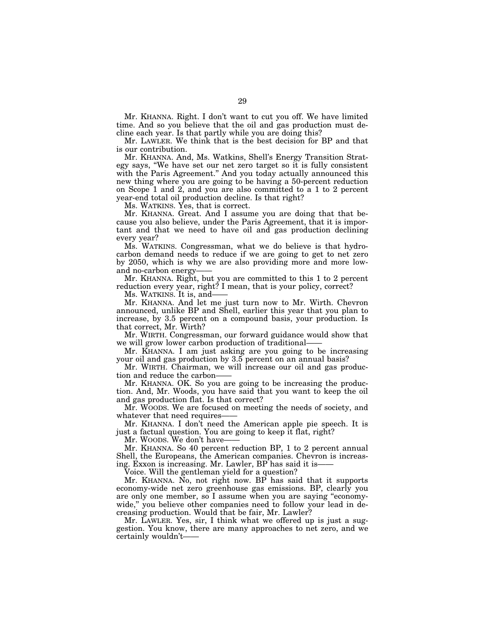Mr. KHANNA. Right. I don't want to cut you off. We have limited time. And so you believe that the oil and gas production must decline each year. Is that partly while you are doing this?

Mr. LAWLER. We think that is the best decision for BP and that is our contribution.

Mr. KHANNA. And, Ms. Watkins, Shell's Energy Transition Strategy says, ''We have set our net zero target so it is fully consistent with the Paris Agreement." And you today actually announced this new thing where you are going to be having a 50-percent reduction on Scope 1 and 2, and you are also committed to a 1 to 2 percent year-end total oil production decline. Is that right?

Ms. WATKINS. Yes, that is correct.

Mr. KHANNA. Great. And I assume you are doing that that because you also believe, under the Paris Agreement, that it is important and that we need to have oil and gas production declining every year?

Ms. WATKINS. Congressman, what we do believe is that hydrocarbon demand needs to reduce if we are going to get to net zero by 2050, which is why we are also providing more and more lowand no-carbon energy-

Mr. KHANNA. Right, but you are committed to this 1 to 2 percent reduction every year, right? I mean, that is your policy, correct?

Ms. WATKINS. It is, and-

Mr. KHANNA. And let me just turn now to Mr. Wirth. Chevron announced, unlike BP and Shell, earlier this year that you plan to increase, by 3.5 percent on a compound basis, your production. Is that correct, Mr. Wirth?

Mr. WIRTH. Congressman, our forward guidance would show that we will grow lower carbon production of traditional——

Mr. KHANNA. I am just asking are you going to be increasing your oil and gas production by 3.5 percent on an annual basis?

Mr. WIRTH. Chairman, we will increase our oil and gas production and reduce the carbon——

Mr. KHANNA. OK. So you are going to be increasing the production. And, Mr. Woods, you have said that you want to keep the oil and gas production flat. Is that correct?

Mr. WOODS. We are focused on meeting the needs of society, and whatever that need requires

Mr. KHANNA. I don't need the American apple pie speech. It is just a factual question. You are going to keep it flat, right?

Mr. WOODS. We don't have-

Mr. KHANNA. So 40 percent reduction BP, 1 to 2 percent annual Shell, the Europeans, the American companies. Chevron is increasing. Exxon is increasing. Mr. Lawler, BP has said it is-

Voice. Will the gentleman yield for a question?

Mr. KHANNA. No, not right now. BP has said that it supports economy-wide net zero greenhouse gas emissions. BP, clearly you are only one member, so I assume when you are saying ''economywide," you believe other companies need to follow your lead in decreasing production. Would that be fair, Mr. Lawler?

Mr. LAWLER. Yes, sir, I think what we offered up is just a suggestion. You know, there are many approaches to net zero, and we certainly wouldn't——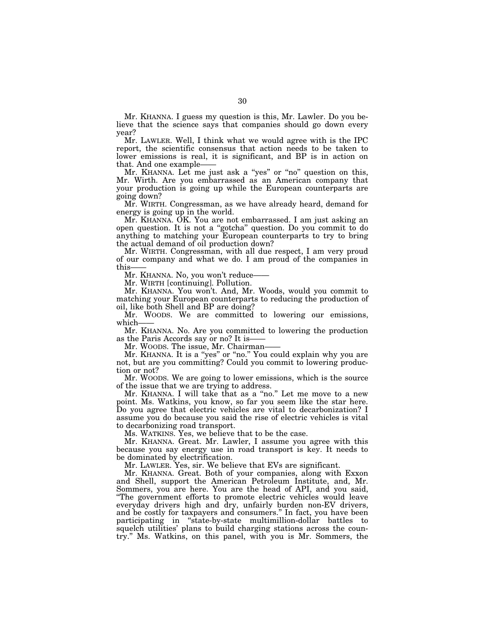Mr. KHANNA. I guess my question is this, Mr. Lawler. Do you believe that the science says that companies should go down every year?

Mr. LAWLER. Well, I think what we would agree with is the IPC report, the scientific consensus that action needs to be taken to lower emissions is real, it is significant, and BP is in action on that. And one example——

Mr. KHANNA. Let me just ask a ''yes'' or ''no'' question on this, Mr. Wirth. Are you embarrassed as an American company that your production is going up while the European counterparts are going down?

Mr. WIRTH. Congressman, as we have already heard, demand for energy is going up in the world.

Mr. KHANNA. OK. You are not embarrassed. I am just asking an open question. It is not a ''gotcha'' question. Do you commit to do anything to matching your European counterparts to try to bring the actual demand of oil production down?

Mr. WIRTH. Congressman, with all due respect, I am very proud of our company and what we do. I am proud of the companies in this-

Mr. KHANNA. No, you won't reduce-

Mr. WIRTH [continuing]. Pollution.

Mr. KHANNA. You won't. And, Mr. Woods, would you commit to matching your European counterparts to reducing the production of oil, like both Shell and BP are doing?

Mr. WOODS. We are committed to lowering our emissions, which——

Mr. KHANNA. No. Are you committed to lowering the production as the Paris Accords say or no? It is——

Mr. WOODS. The issue, Mr. Chairman——

Mr. KHANNA. It is a "yes" or "no." You could explain why you are not, but are you committing? Could you commit to lowering production or not?

Mr. WOODS. We are going to lower emissions, which is the source of the issue that we are trying to address.

Mr. KHANNA. I will take that as a "no." Let me move to a new point. Ms. Watkins, you know, so far you seem like the star here. Do you agree that electric vehicles are vital to decarbonization? I assume you do because you said the rise of electric vehicles is vital to decarbonizing road transport.

Ms. WATKINS. Yes, we believe that to be the case.

Mr. KHANNA. Great. Mr. Lawler, I assume you agree with this because you say energy use in road transport is key. It needs to be dominated by electrification.

Mr. LAWLER. Yes, sir. We believe that EVs are significant.

Mr. KHANNA. Great. Both of your companies, along with Exxon and Shell, support the American Petroleum Institute, and, Mr. Sommers, you are here. You are the head of API, and you said, ''The government efforts to promote electric vehicles would leave everyday drivers high and dry, unfairly burden non-EV drivers, and be costly for taxpayers and consumers.'' In fact, you have been participating in "state-by-state multimillion-dollar battles to squelch utilities' plans to build charging stations across the country.'' Ms. Watkins, on this panel, with you is Mr. Sommers, the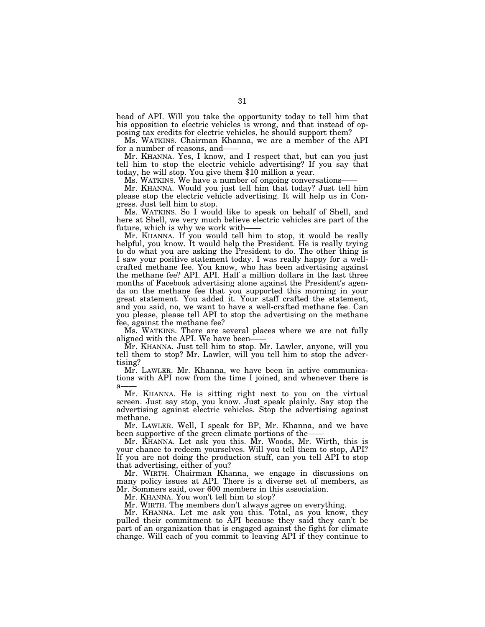head of API. Will you take the opportunity today to tell him that his opposition to electric vehicles is wrong, and that instead of opposing tax credits for electric vehicles, he should support them?

Ms. WATKINS. Chairman Khanna, we are a member of the API for a number of reasons, and-

Mr. KHANNA. Yes, I know, and I respect that, but can you just tell him to stop the electric vehicle advertising? If you say that today, he will stop. You give them \$10 million a year.

Ms. WATKINS. We have a number of ongoing conversations-

Mr. KHANNA. Would you just tell him that today? Just tell him please stop the electric vehicle advertising. It will help us in Congress. Just tell him to stop.

Ms. WATKINS. So I would like to speak on behalf of Shell, and here at Shell, we very much believe electric vehicles are part of the future, which is why we work with-

Mr. KHANNA. If you would tell him to stop, it would be really helpful, you know. It would help the President. He is really trying to do what you are asking the President to do. The other thing is I saw your positive statement today. I was really happy for a wellcrafted methane fee. You know, who has been advertising against the methane fee? API. API. Half a million dollars in the last three months of Facebook advertising alone against the President's agenda on the methane fee that you supported this morning in your great statement. You added it. Your staff crafted the statement, and you said, no, we want to have a well-crafted methane fee. Can you please, please tell API to stop the advertising on the methane fee, against the methane fee?

Ms. WATKINS. There are several places where we are not fully aligned with the API. We have been-

Mr. KHANNA. Just tell him to stop. Mr. Lawler, anyone, will you tell them to stop? Mr. Lawler, will you tell him to stop the advertising?

Mr. LAWLER. Mr. Khanna, we have been in active communications with API now from the time I joined, and whenever there is a

Mr. KHANNA. He is sitting right next to you on the virtual screen. Just say stop, you know. Just speak plainly. Say stop the advertising against electric vehicles. Stop the advertising against methane.

Mr. LAWLER. Well, I speak for BP, Mr. Khanna, and we have been supportive of the green climate portions of the

Mr. KHANNA. Let ask you this. Mr. Woods, Mr. Wirth, this is your chance to redeem yourselves. Will you tell them to stop, API? If you are not doing the production stuff, can you tell API to stop that advertising, either of you?

Mr. WIRTH. Chairman Khanna, we engage in discussions on many policy issues at API. There is a diverse set of members, as Mr. Sommers said, over 600 members in this association.

Mr. KHANNA. You won't tell him to stop?

Mr. WIRTH. The members don't always agree on everything.

Mr. KHANNA. Let me ask you this. Total, as you know, they pulled their commitment to API because they said they can't be part of an organization that is engaged against the fight for climate change. Will each of you commit to leaving API if they continue to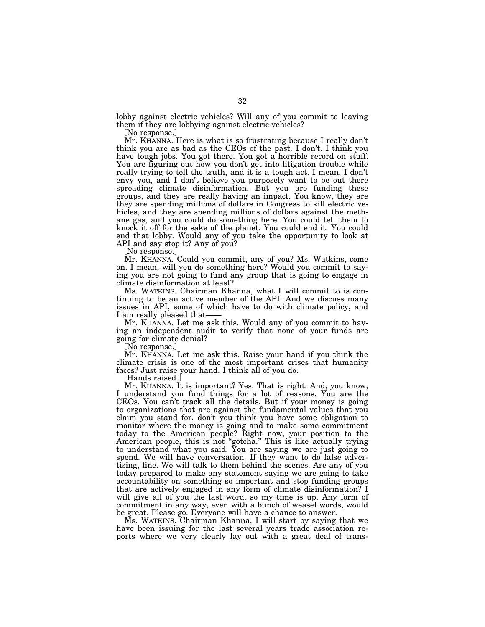lobby against electric vehicles? Will any of you commit to leaving them if they are lobbying against electric vehicles?

[No response.]

Mr. KHANNA. Here is what is so frustrating because I really don't think you are as bad as the CEOs of the past. I don't. I think you have tough jobs. You got there. You got a horrible record on stuff. You are figuring out how you don't get into litigation trouble while really trying to tell the truth, and it is a tough act. I mean, I don't envy you, and I don't believe you purposely want to be out there spreading climate disinformation. But you are funding these groups, and they are really having an impact. You know, they are they are spending millions of dollars in Congress to kill electric vehicles, and they are spending millions of dollars against the methane gas, and you could do something here. You could tell them to knock it off for the sake of the planet. You could end it. You could end that lobby. Would any of you take the opportunity to look at API and say stop it? Any of you?

[No response.]

Mr. KHANNA. Could you commit, any of you? Ms. Watkins, come on. I mean, will you do something here? Would you commit to saying you are not going to fund any group that is going to engage in climate disinformation at least?

Ms. WATKINS. Chairman Khanna, what I will commit to is continuing to be an active member of the API. And we discuss many issues in API, some of which have to do with climate policy, and I am really pleased that-

Mr. KHANNA. Let me ask this. Would any of you commit to having an independent audit to verify that none of your funds are going for climate denial?

[No response.]

Mr. KHANNA. Let me ask this. Raise your hand if you think the climate crisis is one of the most important crises that humanity faces? Just raise your hand. I think all of you do.

[Hands raised.]

Mr. KHANNA. It is important? Yes. That is right. And, you know, I understand you fund things for a lot of reasons. You are the CEOs. You can't track all the details. But if your money is going to organizations that are against the fundamental values that you claim you stand for, don't you think you have some obligation to monitor where the money is going and to make some commitment today to the American people? Right now, your position to the American people, this is not ''gotcha.'' This is like actually trying to understand what you said. You are saying we are just going to spend. We will have conversation. If they want to do false advertising, fine. We will talk to them behind the scenes. Are any of you today prepared to make any statement saying we are going to take accountability on something so important and stop funding groups that are actively engaged in any form of climate disinformation? I will give all of you the last word, so my time is up. Any form of commitment in any way, even with a bunch of weasel words, would be great. Please go. Everyone will have a chance to answer.

Ms. WATKINS. Chairman Khanna, I will start by saying that we have been issuing for the last several years trade association reports where we very clearly lay out with a great deal of trans-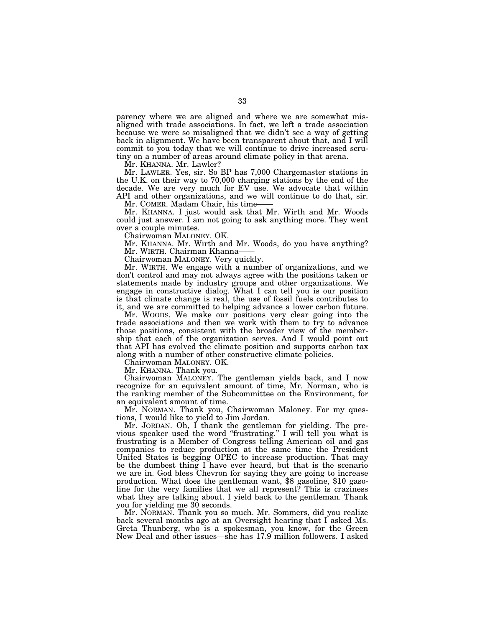parency where we are aligned and where we are somewhat misaligned with trade associations. In fact, we left a trade association because we were so misaligned that we didn't see a way of getting back in alignment. We have been transparent about that, and I will commit to you today that we will continue to drive increased scrutiny on a number of areas around climate policy in that arena.

Mr. KHANNA. Mr. Lawler?

Mr. LAWLER. Yes, sir. So BP has 7,000 Chargemaster stations in the U.K. on their way to 70,000 charging stations by the end of the decade. We are very much for EV use. We advocate that within API and other organizations, and we will continue to do that, sir.

Mr. COMER. Madam Chair, his time——

Mr. KHANNA. I just would ask that Mr. Wirth and Mr. Woods could just answer. I am not going to ask anything more. They went over a couple minutes.

Chairwoman MALONEY. OK.

Mr. KHANNA. Mr. Wirth and Mr. Woods, do you have anything? Mr. WIRTH. Chairman Khanna-

Chairwoman MALONEY. Very quickly.

Mr. WIRTH. We engage with a number of organizations, and we don't control and may not always agree with the positions taken or statements made by industry groups and other organizations. We engage in constructive dialog. What I can tell you is our position is that climate change is real, the use of fossil fuels contributes to it, and we are committed to helping advance a lower carbon future.

Mr. WOODS. We make our positions very clear going into the trade associations and then we work with them to try to advance those positions, consistent with the broader view of the membership that each of the organization serves. And I would point out that API has evolved the climate position and supports carbon tax along with a number of other constructive climate policies.

Chairwoman MALONEY. OK.

Mr. KHANNA. Thank you.

Chairwoman MALONEY. The gentleman yields back, and I now recognize for an equivalent amount of time, Mr. Norman, who is the ranking member of the Subcommittee on the Environment, for an equivalent amount of time.

Mr. NORMAN. Thank you, Chairwoman Maloney. For my questions, I would like to yield to Jim Jordan.

Mr. JORDAN. Oh, I thank the gentleman for yielding. The previous speaker used the word ''frustrating.'' I will tell you what is frustrating is a Member of Congress telling American oil and gas companies to reduce production at the same time the President United States is begging OPEC to increase production. That may be the dumbest thing I have ever heard, but that is the scenario we are in. God bless Chevron for saying they are going to increase production. What does the gentleman want, \$8 gasoline, \$10 gasoline for the very families that we all represent? This is craziness what they are talking about. I yield back to the gentleman. Thank you for yielding me 30 seconds.

Mr. NORMAN. Thank you so much. Mr. Sommers, did you realize back several months ago at an Oversight hearing that I asked Ms. Greta Thunberg, who is a spokesman, you know, for the Green New Deal and other issues—she has 17.9 million followers. I asked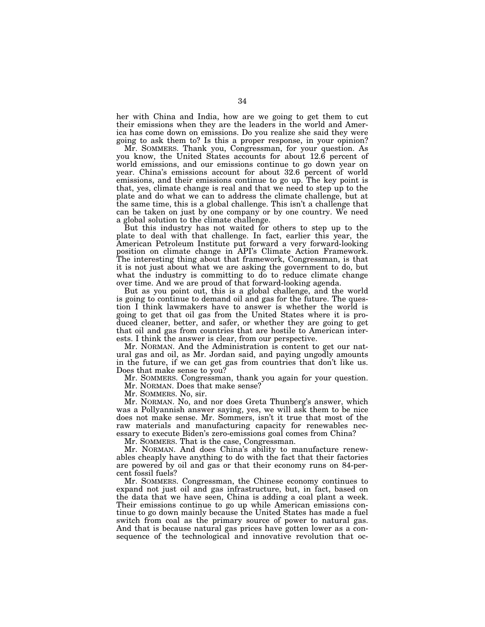her with China and India, how are we going to get them to cut their emissions when they are the leaders in the world and America has come down on emissions. Do you realize she said they were going to ask them to? Is this a proper response, in your opinion?

Mr. SOMMERS. Thank you, Congressman, for your question. As you know, the United States accounts for about 12.6 percent of world emissions, and our emissions continue to go down year on year. China's emissions account for about 32.6 percent of world emissions, and their emissions continue to go up. The key point is that, yes, climate change is real and that we need to step up to the plate and do what we can to address the climate challenge, but at the same time, this is a global challenge. This isn't a challenge that can be taken on just by one company or by one country. We need a global solution to the climate challenge.

But this industry has not waited for others to step up to the plate to deal with that challenge. In fact, earlier this year, the American Petroleum Institute put forward a very forward-looking position on climate change in API's Climate Action Framework. The interesting thing about that framework, Congressman, is that it is not just about what we are asking the government to do, but what the industry is committing to do to reduce climate change over time. And we are proud of that forward-looking agenda.

But as you point out, this is a global challenge, and the world is going to continue to demand oil and gas for the future. The question I think lawmakers have to answer is whether the world is going to get that oil gas from the United States where it is produced cleaner, better, and safer, or whether they are going to get that oil and gas from countries that are hostile to American interests. I think the answer is clear, from our perspective.

Mr. NORMAN. And the Administration is content to get our natural gas and oil, as Mr. Jordan said, and paying ungodly amounts in the future, if we can get gas from countries that don't like us. Does that make sense to you?

Mr. SOMMERS. Congressman, thank you again for your question.

Mr. NORMAN. Does that make sense?

Mr. SOMMERS. No, sir.

Mr. NORMAN. No, and nor does Greta Thunberg's answer, which was a Pollyannish answer saying, yes, we will ask them to be nice does not make sense. Mr. Sommers, isn't it true that most of the raw materials and manufacturing capacity for renewables necessary to execute Biden's zero-emissions goal comes from China?

Mr. SOMMERS. That is the case, Congressman.

Mr. NORMAN. And does China's ability to manufacture renewables cheaply have anything to do with the fact that their factories are powered by oil and gas or that their economy runs on 84-percent fossil fuels?

Mr. SOMMERS. Congressman, the Chinese economy continues to expand not just oil and gas infrastructure, but, in fact, based on the data that we have seen, China is adding a coal plant a week. Their emissions continue to go up while American emissions continue to go down mainly because the United States has made a fuel switch from coal as the primary source of power to natural gas. And that is because natural gas prices have gotten lower as a consequence of the technological and innovative revolution that oc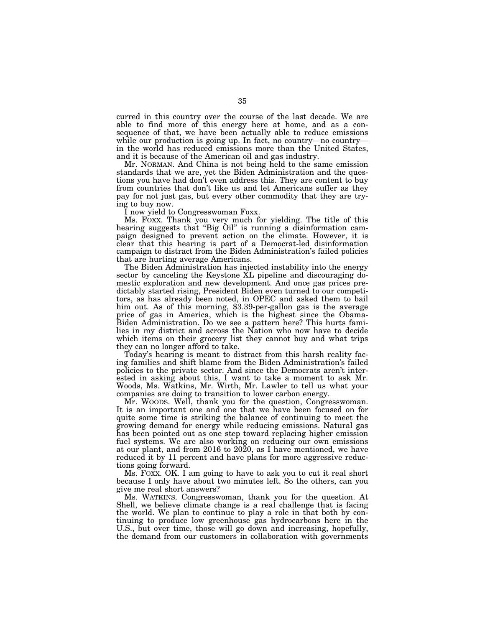curred in this country over the course of the last decade. We are able to find more of this energy here at home, and as a consequence of that, we have been actually able to reduce emissions while our production is going up. In fact, no country—no country in the world has reduced emissions more than the United States, and it is because of the American oil and gas industry.

Mr. NORMAN. And China is not being held to the same emission standards that we are, yet the Biden Administration and the questions you have had don't even address this. They are content to buy from countries that don't like us and let Americans suffer as they pay for not just gas, but every other commodity that they are trying to buy now.

I now yield to Congresswoman Foxx.

Ms. FOXX. Thank you very much for yielding. The title of this hearing suggests that "Big Oil" is running a disinformation campaign designed to prevent action on the climate. However, it is clear that this hearing is part of a Democrat-led disinformation campaign to distract from the Biden Administration's failed policies that are hurting average Americans.

The Biden Administration has injected instability into the energy sector by canceling the Keystone XL pipeline and discouraging domestic exploration and new development. And once gas prices predictably started rising, President Biden even turned to our competitors, as has already been noted, in OPEC and asked them to bail him out. As of this morning, \$3.39-per-gallon gas is the average price of gas in America, which is the highest since the Obama-Biden Administration. Do we see a pattern here? This hurts families in my district and across the Nation who now have to decide which items on their grocery list they cannot buy and what trips they can no longer afford to take.

Today's hearing is meant to distract from this harsh reality facing families and shift blame from the Biden Administration's failed policies to the private sector. And since the Democrats aren't interested in asking about this, I want to take a moment to ask Mr. Woods, Ms. Watkins, Mr. Wirth, Mr. Lawler to tell us what your companies are doing to transition to lower carbon energy.

Mr. WOODS. Well, thank you for the question, Congresswoman. It is an important one and one that we have been focused on for quite some time is striking the balance of continuing to meet the growing demand for energy while reducing emissions. Natural gas has been pointed out as one step toward replacing higher emission fuel systems. We are also working on reducing our own emissions at our plant, and from 2016 to 2020, as I have mentioned, we have reduced it by 11 percent and have plans for more aggressive reductions going forward.

Ms. FOXX. OK. I am going to have to ask you to cut it real short because I only have about two minutes left. So the others, can you give me real short answers?

Ms. WATKINS. Congresswoman, thank you for the question. At Shell, we believe climate change is a real challenge that is facing the world. We plan to continue to play a role in that both by continuing to produce low greenhouse gas hydrocarbons here in the U.S., but over time, those will go down and increasing, hopefully, the demand from our customers in collaboration with governments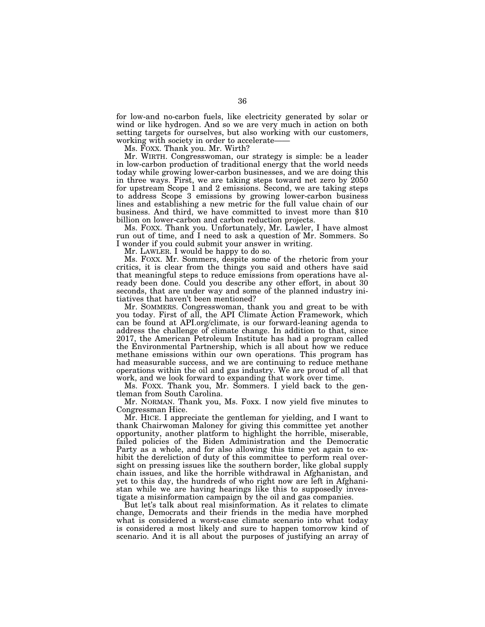for low-and no-carbon fuels, like electricity generated by solar or wind or like hydrogen. And so we are very much in action on both setting targets for ourselves, but also working with our customers, working with society in order to accelerate——

Ms. FOXX. Thank you. Mr. Wirth?

Mr. WIRTH. Congresswoman, our strategy is simple: be a leader in low-carbon production of traditional energy that the world needs today while growing lower-carbon businesses, and we are doing this in three ways. First, we are taking steps toward net zero by 2050 for upstream Scope 1 and 2 emissions. Second, we are taking steps to address Scope 3 emissions by growing lower-carbon business lines and establishing a new metric for the full value chain of our business. And third, we have committed to invest more than \$10 billion on lower-carbon and carbon reduction projects.

Ms. FOXX. Thank you. Unfortunately, Mr. Lawler, I have almost run out of time, and I need to ask a question of Mr. Sommers. So I wonder if you could submit your answer in writing.

Mr. LAWLER. I would be happy to do so.

Ms. FOXX. Mr. Sommers, despite some of the rhetoric from your critics, it is clear from the things you said and others have said that meaningful steps to reduce emissions from operations have already been done. Could you describe any other effort, in about 30 seconds, that are under way and some of the planned industry initiatives that haven't been mentioned?

Mr. SOMMERS. Congresswoman, thank you and great to be with you today. First of all, the API Climate Action Framework, which can be found at API.org/climate, is our forward-leaning agenda to address the challenge of climate change. In addition to that, since 2017, the American Petroleum Institute has had a program called the Environmental Partnership, which is all about how we reduce methane emissions within our own operations. This program has had measurable success, and we are continuing to reduce methane operations within the oil and gas industry. We are proud of all that work, and we look forward to expanding that work over time.

Ms. FOXX. Thank you, Mr. Sommers. I yield back to the gentleman from South Carolina.

Mr. NORMAN. Thank you, Ms. Foxx. I now yield five minutes to Congressman Hice.

Mr. HICE. I appreciate the gentleman for yielding, and I want to thank Chairwoman Maloney for giving this committee yet another opportunity, another platform to highlight the horrible, miserable, failed policies of the Biden Administration and the Democratic Party as a whole, and for also allowing this time yet again to exhibit the dereliction of duty of this committee to perform real oversight on pressing issues like the southern border, like global supply chain issues, and like the horrible withdrawal in Afghanistan, and yet to this day, the hundreds of who right now are left in Afghanistan while we are having hearings like this to supposedly investigate a misinformation campaign by the oil and gas companies.

But let's talk about real misinformation. As it relates to climate change, Democrats and their friends in the media have morphed what is considered a worst-case climate scenario into what today is considered a most likely and sure to happen tomorrow kind of scenario. And it is all about the purposes of justifying an array of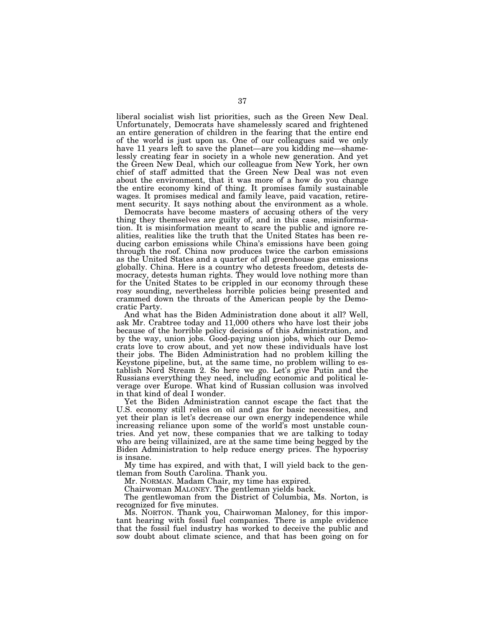liberal socialist wish list priorities, such as the Green New Deal. Unfortunately, Democrats have shamelessly scared and frightened an entire generation of children in the fearing that the entire end of the world is just upon us. One of our colleagues said we only have 11 years left to save the planet—are you kidding me—shamelessly creating fear in society in a whole new generation. And yet the Green New Deal, which our colleague from New York, her own chief of staff admitted that the Green New Deal was not even about the environment, that it was more of a how do you change the entire economy kind of thing. It promises family sustainable wages. It promises medical and family leave, paid vacation, retirement security. It says nothing about the environment as a whole.

Democrats have become masters of accusing others of the very thing they themselves are guilty of, and in this case, misinformation. It is misinformation meant to scare the public and ignore realities, realities like the truth that the United States has been reducing carbon emissions while China's emissions have been going through the roof. China now produces twice the carbon emissions as the United States and a quarter of all greenhouse gas emissions globally. China. Here is a country who detests freedom, detests democracy, detests human rights. They would love nothing more than for the United States to be crippled in our economy through these rosy sounding, nevertheless horrible policies being presented and crammed down the throats of the American people by the Democratic Party.

And what has the Biden Administration done about it all? Well, ask Mr. Crabtree today and 11,000 others who have lost their jobs because of the horrible policy decisions of this Administration, and by the way, union jobs. Good-paying union jobs, which our Democrats love to crow about, and yet now these individuals have lost their jobs. The Biden Administration had no problem killing the Keystone pipeline, but, at the same time, no problem willing to establish Nord Stream 2. So here we go. Let's give Putin and the Russians everything they need, including economic and political leverage over Europe. What kind of Russian collusion was involved in that kind of deal I wonder.

Yet the Biden Administration cannot escape the fact that the U.S. economy still relies on oil and gas for basic necessities, and yet their plan is let's decrease our own energy independence while increasing reliance upon some of the world's most unstable countries. And yet now, these companies that we are talking to today who are being villainized, are at the same time being begged by the Biden Administration to help reduce energy prices. The hypocrisy is insane.

My time has expired, and with that, I will yield back to the gentleman from South Carolina. Thank you.

Mr. NORMAN. Madam Chair, my time has expired.

Chairwoman MALONEY. The gentleman yields back.

The gentlewoman from the District of Columbia, Ms. Norton, is recognized for five minutes.

Ms. NORTON. Thank you, Chairwoman Maloney, for this important hearing with fossil fuel companies. There is ample evidence that the fossil fuel industry has worked to deceive the public and sow doubt about climate science, and that has been going on for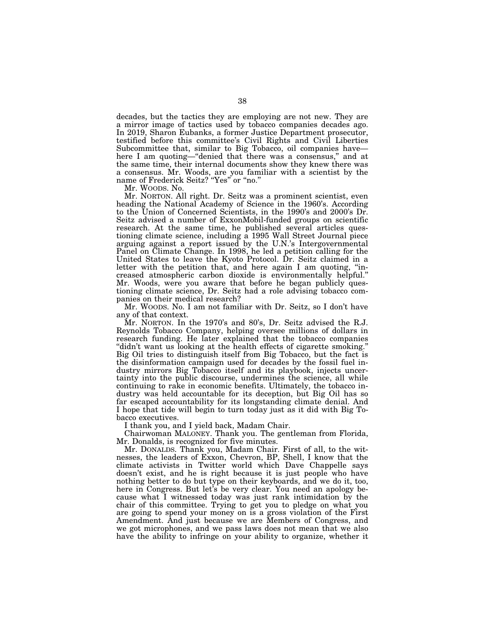decades, but the tactics they are employing are not new. They are a mirror image of tactics used by tobacco companies decades ago. In 2019, Sharon Eubanks, a former Justice Department prosecutor, testified before this committee's Civil Rights and Civil Liberties Subcommittee that, similar to Big Tobacco, oil companies have here I am quoting—"denied that there was a consensus," and at the same time, their internal documents show they knew there was a consensus. Mr. Woods, are you familiar with a scientist by the name of Frederick Seitz? ''Yes'' or ''no.''

Mr. WOODS. No.

Mr. NORTON. All right. Dr. Seitz was a prominent scientist, even heading the National Academy of Science in the 1960's. According to the Union of Concerned Scientists, in the 1990's and 2000's Dr. Seitz advised a number of ExxonMobil-funded groups on scientific research. At the same time, he published several articles questioning climate science, including a 1995 Wall Street Journal piece arguing against a report issued by the U.N.'s Intergovernmental Panel on Climate Change. In 1998, he led a petition calling for the United States to leave the Kyoto Protocol. Dr. Seitz claimed in a letter with the petition that, and here again I am quoting, ''increased atmospheric carbon dioxide is environmentally helpful.'' Mr. Woods, were you aware that before he began publicly questioning climate science, Dr. Seitz had a role advising tobacco companies on their medical research?

Mr. WOODS. No. I am not familiar with Dr. Seitz, so I don't have any of that context.

Mr. NORTON. In the 1970's and 80's, Dr. Seitz advised the R.J. Reynolds Tobacco Company, helping oversee millions of dollars in research funding. He later explained that the tobacco companies ''didn't want us looking at the health effects of cigarette smoking.'' Big Oil tries to distinguish itself from Big Tobacco, but the fact is the disinformation campaign used for decades by the fossil fuel industry mirrors Big Tobacco itself and its playbook, injects uncertainty into the public discourse, undermines the science, all while continuing to rake in economic benefits. Ultimately, the tobacco industry was held accountable for its deception, but Big Oil has so far escaped accountability for its longstanding climate denial. And I hope that tide will begin to turn today just as it did with Big Tobacco executives.

I thank you, and I yield back, Madam Chair.

Chairwoman MALONEY. Thank you. The gentleman from Florida, Mr. Donalds, is recognized for five minutes.

Mr. DONALDS. Thank you, Madam Chair. First of all, to the witnesses, the leaders of Exxon, Chevron, BP, Shell, I know that the climate activists in Twitter world which Dave Chappelle says doesn't exist, and he is right because it is just people who have nothing better to do but type on their keyboards, and we do it, too, here in Congress. But let's be very clear. You need an apology because what I witnessed today was just rank intimidation by the chair of this committee. Trying to get you to pledge on what you are going to spend your money on is a gross violation of the First Amendment. And just because we are Members of Congress, and we got microphones, and we pass laws does not mean that we also have the ability to infringe on your ability to organize, whether it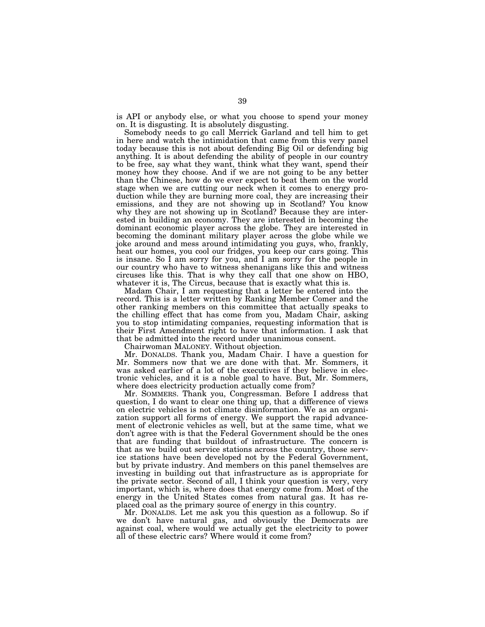is API or anybody else, or what you choose to spend your money on. It is disgusting. It is absolutely disgusting.

Somebody needs to go call Merrick Garland and tell him to get in here and watch the intimidation that came from this very panel today because this is not about defending Big Oil or defending big anything. It is about defending the ability of people in our country to be free, say what they want, think what they want, spend their money how they choose. And if we are not going to be any better than the Chinese, how do we ever expect to beat them on the world stage when we are cutting our neck when it comes to energy production while they are burning more coal, they are increasing their emissions, and they are not showing up in Scotland? You know why they are not showing up in Scotland? Because they are interested in building an economy. They are interested in becoming the dominant economic player across the globe. They are interested in becoming the dominant military player across the globe while we joke around and mess around intimidating you guys, who, frankly, heat our homes, you cool our fridges, you keep our cars going. This is insane. So I am sorry for you, and I am sorry for the people in our country who have to witness shenanigans like this and witness circuses like this. That is why they call that one show on HBO, whatever it is, The Circus, because that is exactly what this is.

Madam Chair, I am requesting that a letter be entered into the record. This is a letter written by Ranking Member Comer and the other ranking members on this committee that actually speaks to the chilling effect that has come from you, Madam Chair, asking you to stop intimidating companies, requesting information that is their First Amendment right to have that information. I ask that that be admitted into the record under unanimous consent.

Chairwoman MALONEY. Without objection.

Mr. DONALDS. Thank you, Madam Chair. I have a question for Mr. Sommers now that we are done with that. Mr. Sommers, it was asked earlier of a lot of the executives if they believe in electronic vehicles, and it is a noble goal to have. But, Mr. Sommers, where does electricity production actually come from?

Mr. SOMMERS. Thank you, Congressman. Before I address that question, I do want to clear one thing up, that a difference of views on electric vehicles is not climate disinformation. We as an organization support all forms of energy. We support the rapid advancement of electronic vehicles as well, but at the same time, what we don't agree with is that the Federal Government should be the ones that are funding that buildout of infrastructure. The concern is that as we build out service stations across the country, those service stations have been developed not by the Federal Government, but by private industry. And members on this panel themselves are investing in building out that infrastructure as is appropriate for the private sector. Second of all, I think your question is very, very important, which is, where does that energy come from. Most of the energy in the United States comes from natural gas. It has replaced coal as the primary source of energy in this country.

Mr. DONALDS. Let me ask you this question as a followup. So if we don't have natural gas, and obviously the Democrats are against coal, where would we actually get the electricity to power all of these electric cars? Where would it come from?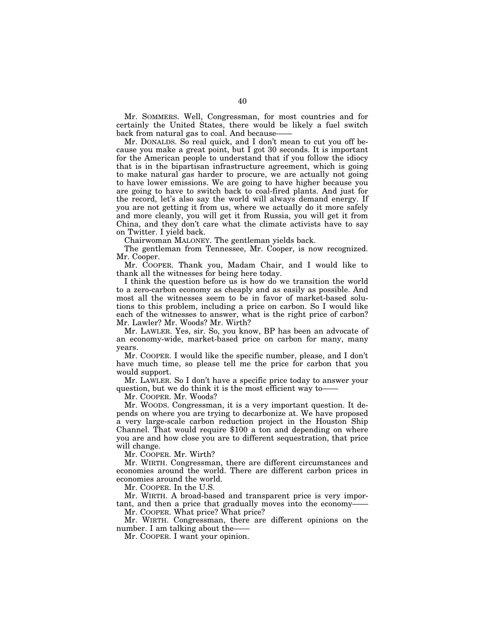Mr. SOMMERS. Well, Congressman, for most countries and for certainly the United States, there would be likely a fuel switch back from natural gas to coal. And because-

Mr. DONALDS. So real quick, and I don't mean to cut you off because you make a great point, but I got 30 seconds. It is important for the American people to understand that if you follow the idiocy that is in the bipartisan infrastructure agreement, which is going to make natural gas harder to procure, we are actually not going to have lower emissions. We are going to have higher because you are going to have to switch back to coal-fired plants. And just for the record, let's also say the world will always demand energy. If you are not getting it from us, where we actually do it more safely and more cleanly, you will get it from Russia, you will get it from China, and they don't care what the climate activists have to say on Twitter. I yield back.

Chairwoman MALONEY. The gentleman yields back.

The gentleman from Tennessee, Mr. Cooper, is now recognized. Mr. Cooper.

Mr. COOPER. Thank you, Madam Chair, and I would like to thank all the witnesses for being here today.

I think the question before us is how do we transition the world to a zero-carbon economy as cheaply and as easily as possible. And most all the witnesses seem to be in favor of market-based solutions to this problem, including a price on carbon. So I would like each of the witnesses to answer, what is the right price of carbon? Mr. Lawler? Mr. Woods? Mr. Wirth?

Mr. LAWLER. Yes, sir. So, you know, BP has been an advocate of an economy-wide, market-based price on carbon for many, many years.

Mr. COOPER. I would like the specific number, please, and I don't have much time, so please tell me the price for carbon that you would support.

Mr. LAWLER. So I don't have a specific price today to answer your question, but we do think it is the most efficient way to——

Mr. COOPER. Mr. Woods?

Mr. WOODS. Congressman, it is a very important question. It depends on where you are trying to decarbonize at. We have proposed a very large-scale carbon reduction project in the Houston Ship Channel. That would require \$100 a ton and depending on where you are and how close you are to different sequestration, that price will change.

Mr. COOPER. Mr. Wirth?

Mr. WIRTH. Congressman, there are different circumstances and economies around the world. There are different carbon prices in economies around the world.

Mr. COOPER. In the U.S.

Mr. WIRTH. A broad-based and transparent price is very important, and then a price that gradually moves into the economy-

Mr. COOPER. What price? What price?

Mr. WIRTH. Congressman, there are different opinions on the number. I am talking about the–

Mr. COOPER. I want your opinion.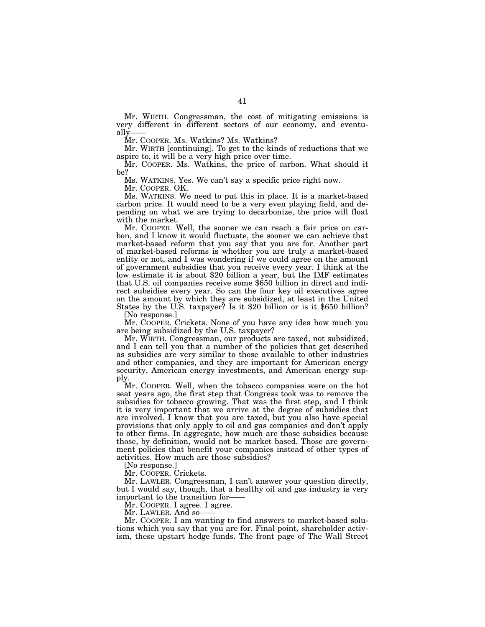Mr. WIRTH. Congressman, the cost of mitigating emissions is very different in different sectors of our economy, and eventually-

Mr. COOPER. Ms. Watkins? Ms. Watkins?

Mr. WIRTH [continuing]. To get to the kinds of reductions that we aspire to, it will be a very high price over time.

Mr. COOPER. Ms. Watkins, the price of carbon. What should it be?

Ms. WATKINS. Yes. We can't say a specific price right now.

Mr. COOPER. OK.

Ms. WATKINS. We need to put this in place. It is a market-based carbon price. It would need to be a very even playing field, and depending on what we are trying to decarbonize, the price will float with the market.

Mr. COOPER. Well, the sooner we can reach a fair price on carbon, and I know it would fluctuate, the sooner we can achieve that market-based reform that you say that you are for. Another part of market-based reforms is whether you are truly a market-based entity or not, and I was wondering if we could agree on the amount of government subsidies that you receive every year. I think at the low estimate it is about \$20 billion a year, but the IMF estimates that U.S. oil companies receive some \$650 billion in direct and indirect subsidies every year. So can the four key oil executives agree on the amount by which they are subsidized, at least in the United States by the U.S. taxpayer? Is it \$20 billion or is it \$650 billion?

[No response.]

Mr. COOPER. Crickets. None of you have any idea how much you are being subsidized by the U.S. taxpayer?

Mr. WIRTH. Congressman, our products are taxed, not subsidized, and I can tell you that a number of the policies that get described as subsidies are very similar to those available to other industries and other companies, and they are important for American energy security, American energy investments, and American energy supply.

Mr. COOPER. Well, when the tobacco companies were on the hot seat years ago, the first step that Congress took was to remove the subsidies for tobacco growing. That was the first step, and I think it is very important that we arrive at the degree of subsidies that are involved. I know that you are taxed, but you also have special provisions that only apply to oil and gas companies and don't apply to other firms. In aggregate, how much are those subsidies because those, by definition, would not be market based. Those are government policies that benefit your companies instead of other types of activities. How much are those subsidies?

[No response.]

Mr. COOPER. Crickets.

Mr. LAWLER. Congressman, I can't answer your question directly, but I would say, though, that a healthy oil and gas industry is very important to the transition for——

Mr. COOPER. I agree. I agree.

Mr. LAWLER. And so-

Mr. COOPER. I am wanting to find answers to market-based solutions which you say that you are for. Final point, shareholder activism, these upstart hedge funds. The front page of The Wall Street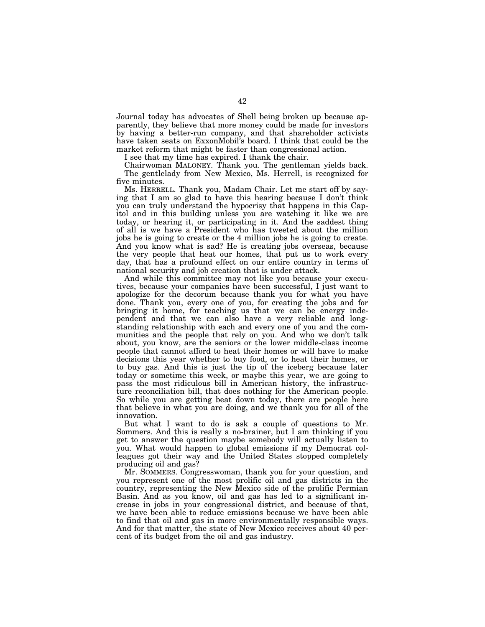Journal today has advocates of Shell being broken up because apparently, they believe that more money could be made for investors by having a better-run company, and that shareholder activists have taken seats on ExxonMobil's board. I think that could be the market reform that might be faster than congressional action.

I see that my time has expired. I thank the chair.

Chairwoman MALONEY. Thank you. The gentleman yields back. The gentlelady from New Mexico, Ms. Herrell, is recognized for five minutes.

Ms. HERRELL. Thank you, Madam Chair. Let me start off by saying that I am so glad to have this hearing because I don't think you can truly understand the hypocrisy that happens in this Capitol and in this building unless you are watching it like we are today, or hearing it, or participating in it. And the saddest thing of all is we have a President who has tweeted about the million jobs he is going to create or the 4 million jobs he is going to create. And you know what is sad? He is creating jobs overseas, because the very people that heat our homes, that put us to work every day, that has a profound effect on our entire country in terms of national security and job creation that is under attack.

And while this committee may not like you because your executives, because your companies have been successful, I just want to apologize for the decorum because thank you for what you have done. Thank you, every one of you, for creating the jobs and for bringing it home, for teaching us that we can be energy independent and that we can also have a very reliable and longstanding relationship with each and every one of you and the communities and the people that rely on you. And who we don't talk about, you know, are the seniors or the lower middle-class income people that cannot afford to heat their homes or will have to make decisions this year whether to buy food, or to heat their homes, or to buy gas. And this is just the tip of the iceberg because later today or sometime this week, or maybe this year, we are going to pass the most ridiculous bill in American history, the infrastructure reconciliation bill, that does nothing for the American people. So while you are getting beat down today, there are people here that believe in what you are doing, and we thank you for all of the innovation.

But what I want to do is ask a couple of questions to Mr. Sommers. And this is really a no-brainer, but I am thinking if you get to answer the question maybe somebody will actually listen to you. What would happen to global emissions if my Democrat colleagues got their way and the United States stopped completely producing oil and gas?

Mr. SOMMERS. Congresswoman, thank you for your question, and you represent one of the most prolific oil and gas districts in the country, representing the New Mexico side of the prolific Permian Basin. And as you know, oil and gas has led to a significant increase in jobs in your congressional district, and because of that, we have been able to reduce emissions because we have been able to find that oil and gas in more environmentally responsible ways. And for that matter, the state of New Mexico receives about 40 percent of its budget from the oil and gas industry.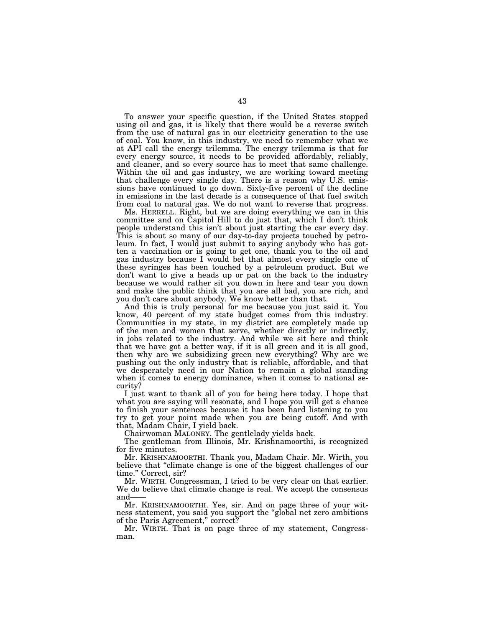To answer your specific question, if the United States stopped using oil and gas, it is likely that there would be a reverse switch from the use of natural gas in our electricity generation to the use of coal. You know, in this industry, we need to remember what we at API call the energy trilemma. The energy trilemma is that for every energy source, it needs to be provided affordably, reliably, and cleaner, and so every source has to meet that same challenge. Within the oil and gas industry, we are working toward meeting that challenge every single day. There is a reason why U.S. emissions have continued to go down. Sixty-five percent of the decline in emissions in the last decade is a consequence of that fuel switch from coal to natural gas. We do not want to reverse that progress.

Ms. HERRELL. Right, but we are doing everything we can in this committee and on Capitol Hill to do just that, which I don't think people understand this isn't about just starting the car every day. This is about so many of our day-to-day projects touched by petroleum. In fact, I would just submit to saying anybody who has gotten a vaccination or is going to get one, thank you to the oil and gas industry because I would bet that almost every single one of these syringes has been touched by a petroleum product. But we don't want to give a heads up or pat on the back to the industry because we would rather sit you down in here and tear you down and make the public think that you are all bad, you are rich, and you don't care about anybody. We know better than that.

And this is truly personal for me because you just said it. You know, 40 percent of my state budget comes from this industry. Communities in my state, in my district are completely made up of the men and women that serve, whether directly or indirectly, in jobs related to the industry. And while we sit here and think that we have got a better way, if it is all green and it is all good, then why are we subsidizing green new everything? Why are we pushing out the only industry that is reliable, affordable, and that we desperately need in our Nation to remain a global standing when it comes to energy dominance, when it comes to national security?

I just want to thank all of you for being here today. I hope that what you are saying will resonate, and I hope you will get a chance to finish your sentences because it has been hard listening to you try to get your point made when you are being cutoff. And with that, Madam Chair, I yield back.

Chairwoman MALONEY. The gentlelady yields back.

The gentleman from Illinois, Mr. Krishnamoorthi, is recognized for five minutes.

Mr. KRISHNAMOORTHI. Thank you, Madam Chair. Mr. Wirth, you believe that ''climate change is one of the biggest challenges of our time.'' Correct, sir?

Mr. WIRTH. Congressman, I tried to be very clear on that earlier. We do believe that climate change is real. We accept the consensus and-

Mr. KRISHNAMOORTHI. Yes, sir. And on page three of your witness statement, you said you support the ''global net zero ambitions of the Paris Agreement,'' correct?

Mr. WIRTH. That is on page three of my statement, Congressman.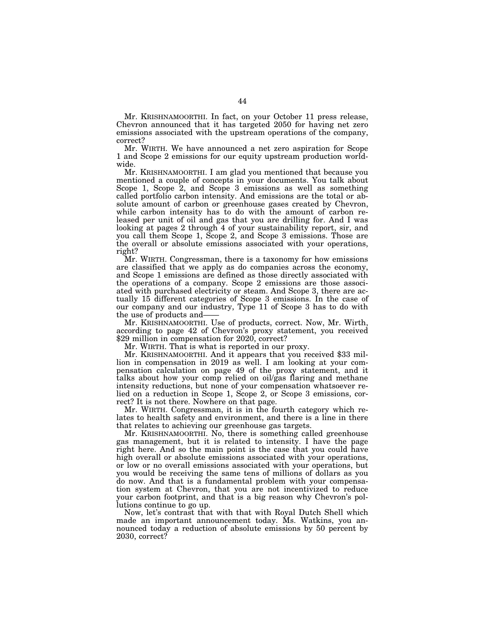Mr. KRISHNAMOORTHI. In fact, on your October 11 press release, Chevron announced that it has targeted 2050 for having net zero emissions associated with the upstream operations of the company, correct?

Mr. WIRTH. We have announced a net zero aspiration for Scope 1 and Scope 2 emissions for our equity upstream production worldwide.

Mr. KRISHNAMOORTHI. I am glad you mentioned that because you mentioned a couple of concepts in your documents. You talk about Scope 1, Scope 2, and Scope 3 emissions as well as something called portfolio carbon intensity. And emissions are the total or absolute amount of carbon or greenhouse gases created by Chevron, while carbon intensity has to do with the amount of carbon released per unit of oil and gas that you are drilling for. And I was looking at pages 2 through 4 of your sustainability report, sir, and you call them Scope 1, Scope 2, and Scope 3 emissions. Those are the overall or absolute emissions associated with your operations, right?

Mr. WIRTH. Congressman, there is a taxonomy for how emissions are classified that we apply as do companies across the economy, and Scope 1 emissions are defined as those directly associated with the operations of a company. Scope 2 emissions are those associated with purchased electricity or steam. And Scope 3, there are actually 15 different categories of Scope 3 emissions. In the case of our company and our industry, Type 11 of Scope 3 has to do with the use of products and——

Mr. KRISHNAMOORTHI. Use of products, correct. Now, Mr. Wirth, according to page 42 of Chevron's proxy statement, you received \$29 million in compensation for 2020, correct?

Mr. WIRTH. That is what is reported in our proxy.

Mr. KRISHNAMOORTHI. And it appears that you received \$33 million in compensation in 2019 as well. I am looking at your compensation calculation on page 49 of the proxy statement, and it talks about how your comp relied on oil/gas flaring and methane intensity reductions, but none of your compensation whatsoever relied on a reduction in Scope 1, Scope 2, or Scope 3 emissions, correct? It is not there. Nowhere on that page.

Mr. WIRTH. Congressman, it is in the fourth category which relates to health safety and environment, and there is a line in there that relates to achieving our greenhouse gas targets.

Mr. KRISHNAMOORTHI. No, there is something called greenhouse gas management, but it is related to intensity. I have the page right here. And so the main point is the case that you could have high overall or absolute emissions associated with your operations, or low or no overall emissions associated with your operations, but you would be receiving the same tens of millions of dollars as you do now. And that is a fundamental problem with your compensation system at Chevron, that you are not incentivized to reduce your carbon footprint, and that is a big reason why Chevron's pollutions continue to go up.

Now, let's contrast that with that with Royal Dutch Shell which made an important announcement today. Ms. Watkins, you announced today a reduction of absolute emissions by 50 percent by 2030, correct?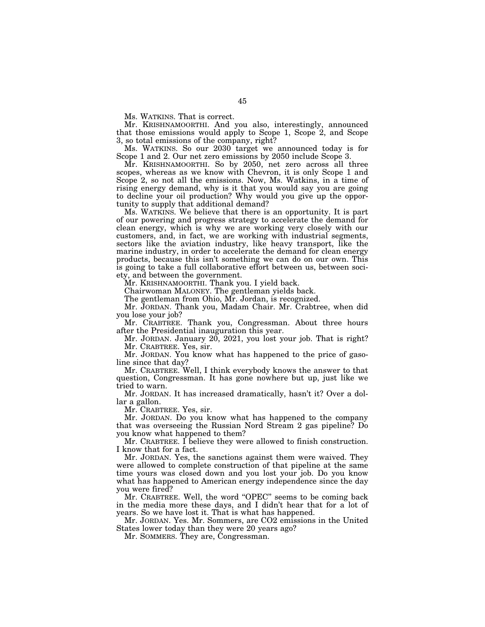Ms. WATKINS. That is correct.

Mr. KRISHNAMOORTHI. And you also, interestingly, announced that those emissions would apply to Scope 1, Scope 2, and Scope 3, so total emissions of the company, right?

Ms. WATKINS. So our 2030 target we announced today is for Scope 1 and 2. Our net zero emissions by 2050 include Scope 3.

Mr. KRISHNAMOORTHI. So by 2050, net zero across all three scopes, whereas as we know with Chevron, it is only Scope 1 and Scope 2, so not all the emissions. Now, Ms. Watkins, in a time of rising energy demand, why is it that you would say you are going to decline your oil production? Why would you give up the opportunity to supply that additional demand?

Ms. WATKINS. We believe that there is an opportunity. It is part of our powering and progress strategy to accelerate the demand for clean energy, which is why we are working very closely with our customers, and, in fact, we are working with industrial segments, sectors like the aviation industry, like heavy transport, like the marine industry, in order to accelerate the demand for clean energy products, because this isn't something we can do on our own. This is going to take a full collaborative effort between us, between society, and between the government.

Mr. KRISHNAMOORTHI. Thank you. I yield back.

Chairwoman MALONEY. The gentleman yields back.

The gentleman from Ohio, Mr. Jordan, is recognized.

Mr. JORDAN. Thank you, Madam Chair. Mr. Crabtree, when did you lose your job?

Mr. CRABTREE. Thank you, Congressman. About three hours after the Presidential inauguration this year.

Mr. JORDAN. January 20, 2021, you lost your job. That is right? Mr. CRABTREE. Yes, sir.

Mr. JORDAN. You know what has happened to the price of gasoline since that day?

Mr. CRABTREE. Well, I think everybody knows the answer to that question, Congressman. It has gone nowhere but up, just like we tried to warn.

Mr. JORDAN. It has increased dramatically, hasn't it? Over a dollar a gallon.

Mr. CRABTREE. Yes, sir.

Mr. JORDAN. Do you know what has happened to the company that was overseeing the Russian Nord Stream 2 gas pipeline? Do you know what happened to them?

Mr. CRABTREE. I believe they were allowed to finish construction. I know that for a fact.

Mr. JORDAN. Yes, the sanctions against them were waived. They were allowed to complete construction of that pipeline at the same time yours was closed down and you lost your job. Do you know what has happened to American energy independence since the day you were fired?

Mr. CRABTREE. Well, the word "OPEC" seems to be coming back in the media more these days, and I didn't hear that for a lot of years. So we have lost it. That is what has happened.

Mr. JORDAN. Yes. Mr. Sommers, are CO2 emissions in the United States lower today than they were 20 years ago?

Mr. SOMMERS. They are, Congressman.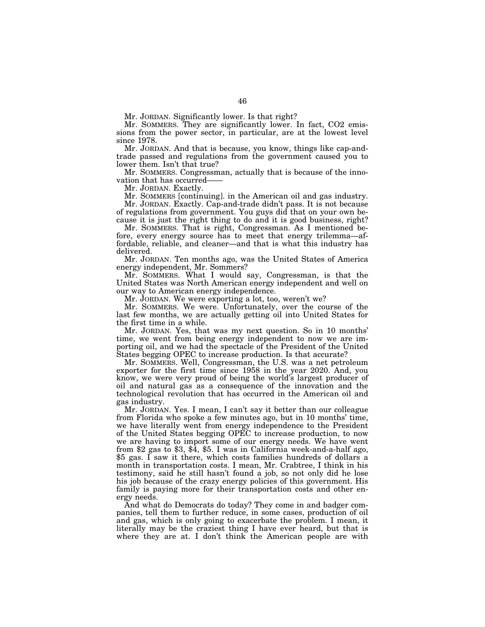Mr. JORDAN. Significantly lower. Is that right?

Mr. SOMMERS. They are significantly lower. In fact, CO2 emissions from the power sector, in particular, are at the lowest level since 1978.

Mr. JORDAN. And that is because, you know, things like cap-andtrade passed and regulations from the government caused you to lower them. Isn't that true?

Mr. SOMMERS. Congressman, actually that is because of the innovation that has occurred——

Mr. JORDAN. Exactly.

Mr. SOMMERS [continuing]. in the American oil and gas industry. Mr. JORDAN. Exactly. Cap-and-trade didn't pass. It is not because of regulations from government. You guys did that on your own be-

cause it is just the right thing to do and it is good business, right?

Mr. SOMMERS. That is right, Congressman. As I mentioned before, every energy source has to meet that energy trilemma—affordable, reliable, and cleaner—and that is what this industry has delivered.

Mr. JORDAN. Ten months ago, was the United States of America energy independent, Mr. Sommers?

Mr. SOMMERS. What I would say, Congressman, is that the United States was North American energy independent and well on our way to American energy independence.

Mr. JORDAN. We were exporting a lot, too, weren't we?

Mr. SOMMERS. We were. Unfortunately, over the course of the last few months, we are actually getting oil into United States for the first time in a while.

Mr. JORDAN. Yes, that was my next question. So in 10 months' time, we went from being energy independent to now we are importing oil, and we had the spectacle of the President of the United States begging OPEC to increase production. Is that accurate?

Mr. SOMMERS. Well, Congressman, the U.S. was a net petroleum exporter for the first time since 1958 in the year 2020. And, you know, we were very proud of being the world's largest producer of oil and natural gas as a consequence of the innovation and the technological revolution that has occurred in the American oil and gas industry.

Mr. JORDAN. Yes. I mean, I can't say it better than our colleague from Florida who spoke a few minutes ago, but in 10 months' time, we have literally went from energy independence to the President of the United States begging OPEC to increase production, to now we are having to import some of our energy needs. We have went from \$2 gas to \$3, \$4, \$5. I was in California week-and-a-half ago, \$5 gas. I saw it there, which costs families hundreds of dollars a month in transportation costs. I mean, Mr. Crabtree, I think in his testimony, said he still hasn't found a job, so not only did he lose his job because of the crazy energy policies of this government. His family is paying more for their transportation costs and other energy needs.

And what do Democrats do today? They come in and badger companies, tell them to further reduce, in some cases, production of oil and gas, which is only going to exacerbate the problem. I mean, it literally may be the craziest thing I have ever heard, but that is where they are at. I don't think the American people are with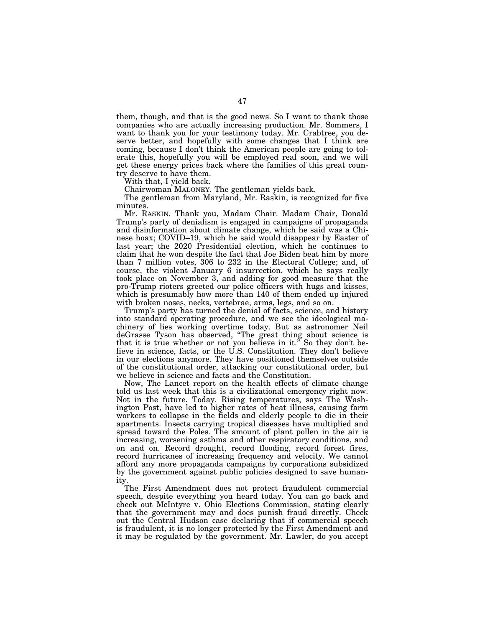them, though, and that is the good news. So I want to thank those companies who are actually increasing production. Mr. Sommers, I want to thank you for your testimony today. Mr. Crabtree, you deserve better, and hopefully with some changes that I think are coming, because I don't think the American people are going to tolerate this, hopefully you will be employed real soon, and we will get these energy prices back where the families of this great country deserve to have them.

With that, I yield back.

Chairwoman MALONEY. The gentleman yields back.

The gentleman from Maryland, Mr. Raskin, is recognized for five minutes.

Mr. RASKIN. Thank you, Madam Chair. Madam Chair, Donald Trump's party of denialism is engaged in campaigns of propaganda and disinformation about climate change, which he said was a Chinese hoax; COVID–19, which he said would disappear by Easter of last year; the 2020 Presidential election, which he continues to claim that he won despite the fact that Joe Biden beat him by more than 7 million votes, 306 to 232 in the Electoral College; and, of course, the violent January 6 insurrection, which he says really took place on November 3, and adding for good measure that the pro-Trump rioters greeted our police officers with hugs and kisses, which is presumably how more than 140 of them ended up injured with broken noses, necks, vertebrae, arms, legs, and so on.

Trump's party has turned the denial of facts, science, and history into standard operating procedure, and we see the ideological machinery of lies working overtime today. But as astronomer Neil deGrasse Tyson has observed, ''The great thing about science is that it is true whether or not you believe in it.'' So they don't believe in science, facts, or the U.S. Constitution. They don't believe in our elections anymore. They have positioned themselves outside of the constitutional order, attacking our constitutional order, but we believe in science and facts and the Constitution.

Now, The Lancet report on the health effects of climate change told us last week that this is a civilizational emergency right now. Not in the future. Today. Rising temperatures, says The Washington Post, have led to higher rates of heat illness, causing farm workers to collapse in the fields and elderly people to die in their apartments. Insects carrying tropical diseases have multiplied and spread toward the Poles. The amount of plant pollen in the air is increasing, worsening asthma and other respiratory conditions, and on and on. Record drought, record flooding, record forest fires, record hurricanes of increasing frequency and velocity. We cannot afford any more propaganda campaigns by corporations subsidized by the government against public policies designed to save humanity.

The First Amendment does not protect fraudulent commercial speech, despite everything you heard today. You can go back and check out McIntyre v. Ohio Elections Commission, stating clearly that the government may and does punish fraud directly. Check out the Central Hudson case declaring that if commercial speech is fraudulent, it is no longer protected by the First Amendment and it may be regulated by the government. Mr. Lawler, do you accept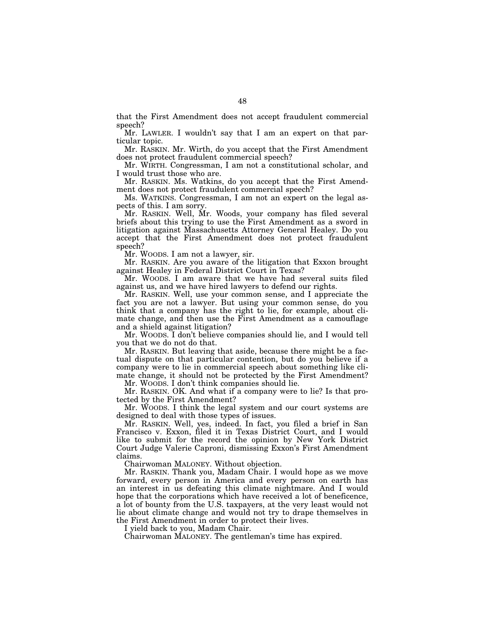that the First Amendment does not accept fraudulent commercial speech?

Mr. LAWLER. I wouldn't say that I am an expert on that particular topic.

Mr. RASKIN. Mr. Wirth, do you accept that the First Amendment does not protect fraudulent commercial speech?

Mr. WIRTH. Congressman, I am not a constitutional scholar, and I would trust those who are.

Mr. RASKIN. Ms. Watkins, do you accept that the First Amendment does not protect fraudulent commercial speech?

Ms. WATKINS. Congressman, I am not an expert on the legal aspects of this. I am sorry.

Mr. RASKIN. Well, Mr. Woods, your company has filed several briefs about this trying to use the First Amendment as a sword in litigation against Massachusetts Attorney General Healey. Do you accept that the First Amendment does not protect fraudulent speech?

Mr. WOODS. I am not a lawyer, sir.

Mr. RASKIN. Are you aware of the litigation that Exxon brought against Healey in Federal District Court in Texas?

Mr. WOODS. I am aware that we have had several suits filed against us, and we have hired lawyers to defend our rights.

Mr. RASKIN. Well, use your common sense, and I appreciate the fact you are not a lawyer. But using your common sense, do you think that a company has the right to lie, for example, about climate change, and then use the First Amendment as a camouflage and a shield against litigation?

Mr. WOODS. I don't believe companies should lie, and I would tell you that we do not do that.

Mr. RASKIN. But leaving that aside, because there might be a factual dispute on that particular contention, but do you believe if a company were to lie in commercial speech about something like climate change, it should not be protected by the First Amendment?

Mr. WOODS. I don't think companies should lie.

Mr. RASKIN. OK. And what if a company were to lie? Is that protected by the First Amendment?

Mr. WOODS. I think the legal system and our court systems are designed to deal with those types of issues.

Mr. RASKIN. Well, yes, indeed. In fact, you filed a brief in San Francisco v. Exxon, filed it in Texas District Court, and I would like to submit for the record the opinion by New York District Court Judge Valerie Caproni, dismissing Exxon's First Amendment claims.

Chairwoman MALONEY. Without objection.

Mr. RASKIN. Thank you, Madam Chair. I would hope as we move forward, every person in America and every person on earth has an interest in us defeating this climate nightmare. And I would hope that the corporations which have received a lot of beneficence, a lot of bounty from the U.S. taxpayers, at the very least would not lie about climate change and would not try to drape themselves in the First Amendment in order to protect their lives.

I yield back to you, Madam Chair.

Chairwoman MALONEY. The gentleman's time has expired.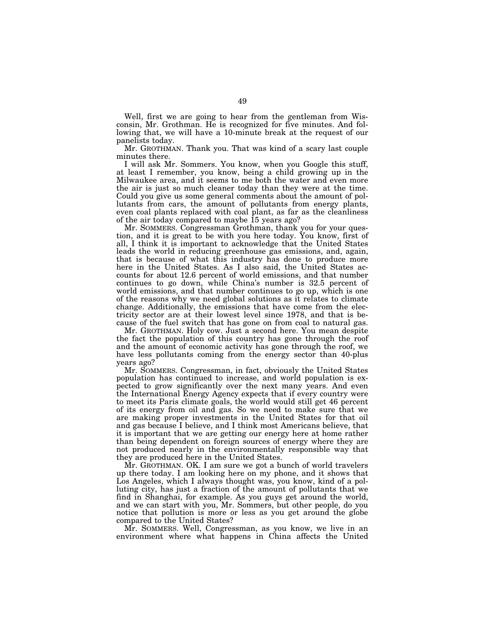Well, first we are going to hear from the gentleman from Wisconsin, Mr. Grothman. He is recognized for five minutes. And following that, we will have a 10-minute break at the request of our panelists today.

Mr. GROTHMAN. Thank you. That was kind of a scary last couple minutes there.

I will ask Mr. Sommers. You know, when you Google this stuff, at least I remember, you know, being a child growing up in the Milwaukee area, and it seems to me both the water and even more the air is just so much cleaner today than they were at the time. Could you give us some general comments about the amount of pollutants from cars, the amount of pollutants from energy plants, even coal plants replaced with coal plant, as far as the cleanliness of the air today compared to maybe 15 years ago?

Mr. SOMMERS. Congressman Grothman, thank you for your question, and it is great to be with you here today. You know, first of all, I think it is important to acknowledge that the United States leads the world in reducing greenhouse gas emissions, and, again, that is because of what this industry has done to produce more here in the United States. As I also said, the United States accounts for about 12.6 percent of world emissions, and that number continues to go down, while China's number is 32.5 percent of world emissions, and that number continues to go up, which is one of the reasons why we need global solutions as it relates to climate change. Additionally, the emissions that have come from the electricity sector are at their lowest level since 1978, and that is because of the fuel switch that has gone on from coal to natural gas.

Mr. GROTHMAN. Holy cow. Just a second here. You mean despite the fact the population of this country has gone through the roof and the amount of economic activity has gone through the roof, we have less pollutants coming from the energy sector than 40-plus years ago?

Mr. SOMMERS. Congressman, in fact, obviously the United States population has continued to increase, and world population is expected to grow significantly over the next many years. And even the International Energy Agency expects that if every country were to meet its Paris climate goals, the world would still get 46 percent of its energy from oil and gas. So we need to make sure that we are making proper investments in the United States for that oil and gas because I believe, and I think most Americans believe, that it is important that we are getting our energy here at home rather than being dependent on foreign sources of energy where they are not produced nearly in the environmentally responsible way that they are produced here in the United States.

Mr. GROTHMAN. OK. I am sure we got a bunch of world travelers up there today. I am looking here on my phone, and it shows that Los Angeles, which I always thought was, you know, kind of a polluting city, has just a fraction of the amount of pollutants that we find in Shanghai, for example. As you guys get around the world, and we can start with you, Mr. Sommers, but other people, do you notice that pollution is more or less as you get around the globe compared to the United States?

Mr. SOMMERS. Well, Congressman, as you know, we live in an environment where what happens in China affects the United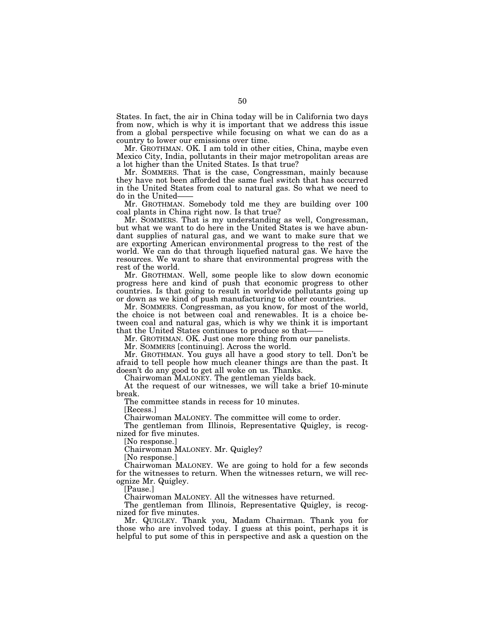States. In fact, the air in China today will be in California two days from now, which is why it is important that we address this issue from a global perspective while focusing on what we can do as a country to lower our emissions over time.

Mr. GROTHMAN. OK. I am told in other cities, China, maybe even Mexico City, India, pollutants in their major metropolitan areas are a lot higher than the United States. Is that true?

Mr. SOMMERS. That is the case, Congressman, mainly because they have not been afforded the same fuel switch that has occurred in the United States from coal to natural gas. So what we need to do in the United-

Mr. GROTHMAN. Somebody told me they are building over 100 coal plants in China right now. Is that true?

Mr. SOMMERS. That is my understanding as well, Congressman, but what we want to do here in the United States is we have abundant supplies of natural gas, and we want to make sure that we are exporting American environmental progress to the rest of the world. We can do that through liquefied natural gas. We have the resources. We want to share that environmental progress with the rest of the world.

Mr. GROTHMAN. Well, some people like to slow down economic progress here and kind of push that economic progress to other countries. Is that going to result in worldwide pollutants going up or down as we kind of push manufacturing to other countries.

Mr. SOMMERS. Congressman, as you know, for most of the world, the choice is not between coal and renewables. It is a choice between coal and natural gas, which is why we think it is important that the United States continues to produce so that——

Mr. GROTHMAN. OK. Just one more thing from our panelists.

Mr. SOMMERS [continuing]. Across the world.

Mr. GROTHMAN. You guys all have a good story to tell. Don't be afraid to tell people how much cleaner things are than the past. It doesn't do any good to get all woke on us. Thanks.

Chairwoman MALONEY. The gentleman yields back.

At the request of our witnesses, we will take a brief 10-minute break.

The committee stands in recess for 10 minutes.

[Recess.]

Chairwoman MALONEY. The committee will come to order.

The gentleman from Illinois, Representative Quigley, is recognized for five minutes.

[No response.]

Chairwoman MALONEY. Mr. Quigley?

[No response.]

Chairwoman MALONEY. We are going to hold for a few seconds for the witnesses to return. When the witnesses return, we will recognize Mr. Quigley.

[Pause.]

Chairwoman MALONEY. All the witnesses have returned.

The gentleman from Illinois, Representative Quigley, is recognized for five minutes.

Mr. QUIGLEY. Thank you, Madam Chairman. Thank you for those who are involved today. I guess at this point, perhaps it is helpful to put some of this in perspective and ask a question on the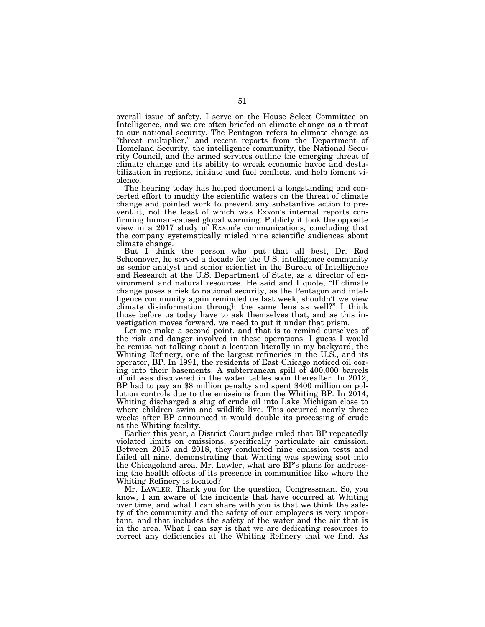overall issue of safety. I serve on the House Select Committee on Intelligence, and we are often briefed on climate change as a threat to our national security. The Pentagon refers to climate change as "threat multiplier," and recent reports from the Department of Homeland Security, the intelligence community, the National Security Council, and the armed services outline the emerging threat of climate change and its ability to wreak economic havoc and destabilization in regions, initiate and fuel conflicts, and help foment violence.

The hearing today has helped document a longstanding and concerted effort to muddy the scientific waters on the threat of climate change and pointed work to prevent any substantive action to prevent it, not the least of which was Exxon's internal reports confirming human-caused global warming. Publicly it took the opposite view in a 2017 study of Exxon's communications, concluding that the company systematically misled nine scientific audiences about climate change.

But I think the person who put that all best, Dr. Rod Schoonover, he served a decade for the U.S. intelligence community as senior analyst and senior scientist in the Bureau of Intelligence and Research at the U.S. Department of State, as a director of environment and natural resources. He said and I quote, ''If climate change poses a risk to national security, as the Pentagon and intelligence community again reminded us last week, shouldn't we view climate disinformation through the same lens as well?'' I think those before us today have to ask themselves that, and as this investigation moves forward, we need to put it under that prism.

Let me make a second point, and that is to remind ourselves of the risk and danger involved in these operations. I guess I would be remiss not talking about a location literally in my backyard, the Whiting Refinery, one of the largest refineries in the U.S., and its operator, BP. In 1991, the residents of East Chicago noticed oil oozing into their basements. A subterranean spill of 400,000 barrels of oil was discovered in the water tables soon thereafter. In 2012, BP had to pay an \$8 million penalty and spent \$400 million on pollution controls due to the emissions from the Whiting BP. In 2014, Whiting discharged a slug of crude oil into Lake Michigan close to where children swim and wildlife live. This occurred nearly three weeks after BP announced it would double its processing of crude at the Whiting facility.

Earlier this year, a District Court judge ruled that BP repeatedly violated limits on emissions, specifically particulate air emission. Between 2015 and 2018, they conducted nine emission tests and failed all nine, demonstrating that Whiting was spewing soot into the Chicagoland area. Mr. Lawler, what are BP's plans for addressing the health effects of its presence in communities like where the Whiting Refinery is located?

Mr. LAWLER. Thank you for the question, Congressman. So, you know, I am aware of the incidents that have occurred at Whiting over time, and what I can share with you is that we think the safety of the community and the safety of our employees is very important, and that includes the safety of the water and the air that is in the area. What I can say is that we are dedicating resources to correct any deficiencies at the Whiting Refinery that we find. As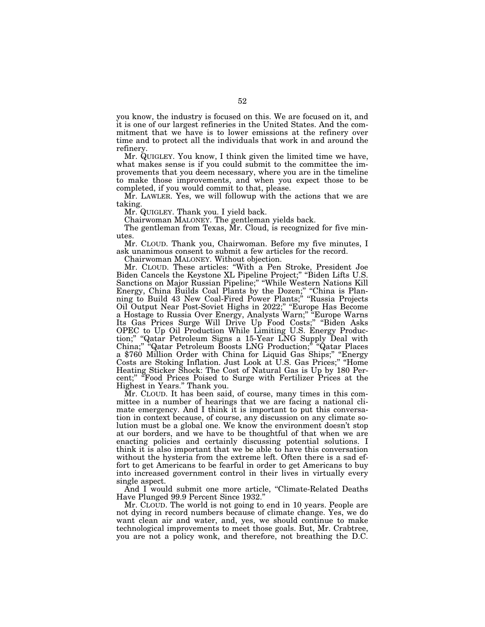you know, the industry is focused on this. We are focused on it, and it is one of our largest refineries in the United States. And the commitment that we have is to lower emissions at the refinery over time and to protect all the individuals that work in and around the refinery.

Mr. QUIGLEY. You know, I think given the limited time we have, what makes sense is if you could submit to the committee the improvements that you deem necessary, where you are in the timeline to make those improvements, and when you expect those to be completed, if you would commit to that, please.

Mr. LAWLER. Yes, we will followup with the actions that we are taking.

Mr. QUIGLEY. Thank you. I yield back.

Chairwoman MALONEY. The gentleman yields back.

The gentleman from Texas, Mr. Cloud, is recognized for five minutes.

Mr. CLOUD. Thank you, Chairwoman. Before my five minutes, I ask unanimous consent to submit a few articles for the record.

Chairwoman MALONEY. Without objection.

Mr. CLOUD. These articles: ''With a Pen Stroke, President Joe Biden Cancels the Keystone XL Pipeline Project;'' ''Biden Lifts U.S. Sanctions on Major Russian Pipeline;" "While Western Nations Kill Energy, China Builds Coal Plants by the Dozen;'' ''China is Planning to Build 43 New Coal-Fired Power Plants;'' ''Russia Projects Oil Output Near Post-Soviet Highs in 2022;'' ''Europe Has Become a Hostage to Russia Over Energy, Analysts Warn;'' ''Europe Warns Its Gas Prices Surge Will Drive Up Food Costs;'' ''Biden Asks OPEC to Up Oil Production While Limiting U.S. Energy Production;" "Qatar Petroleum Signs a 15-Year LNG Supply Deal with China;'' ''Qatar Petroleum Boosts LNG Production;'' ''Qatar Places a \$760 Million Order with China for Liquid Gas Ships;'' ''Energy Costs are Stoking Inflation. Just Look at U.S. Gas Prices;'' ''Home Heating Sticker Shock: The Cost of Natural Gas is Up by 180 Percent;" "Food Prices Poised to Surge with Fertilizer Prices at the Highest in Years.'' Thank you.

Mr. CLOUD. It has been said, of course, many times in this committee in a number of hearings that we are facing a national climate emergency. And I think it is important to put this conversation in context because, of course, any discussion on any climate solution must be a global one. We know the environment doesn't stop at our borders, and we have to be thoughtful of that when we are enacting policies and certainly discussing potential solutions. I think it is also important that we be able to have this conversation without the hysteria from the extreme left. Often there is a sad effort to get Americans to be fearful in order to get Americans to buy into increased government control in their lives in virtually every single aspect.

And I would submit one more article, "Climate-Related Deaths Have Plunged 99.9 Percent Since 1932.''

Mr. CLOUD. The world is not going to end in 10 years. People are not dying in record numbers because of climate change. Yes, we do want clean air and water, and, yes, we should continue to make technological improvements to meet those goals. But, Mr. Crabtree, you are not a policy wonk, and therefore, not breathing the D.C.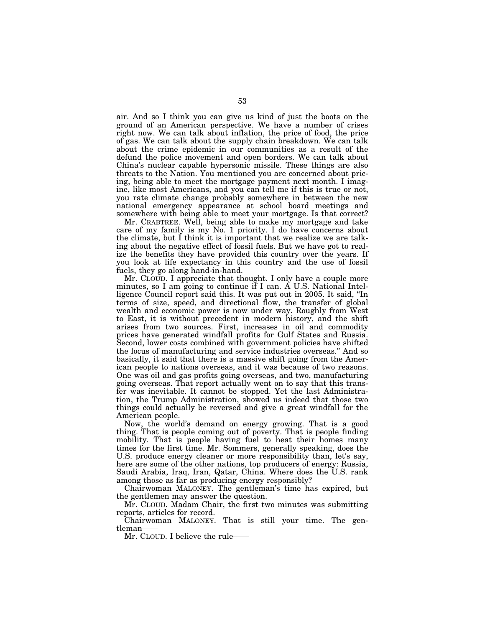air. And so I think you can give us kind of just the boots on the ground of an American perspective. We have a number of crises right now. We can talk about inflation, the price of food, the price of gas. We can talk about the supply chain breakdown. We can talk about the crime epidemic in our communities as a result of the defund the police movement and open borders. We can talk about China's nuclear capable hypersonic missile. These things are also threats to the Nation. You mentioned you are concerned about pricing, being able to meet the mortgage payment next month. I imagine, like most Americans, and you can tell me if this is true or not, you rate climate change probably somewhere in between the new national emergency appearance at school board meetings and somewhere with being able to meet your mortgage. Is that correct?

Mr. CRABTREE. Well, being able to make my mortgage and take care of my family is my No. 1 priority. I do have concerns about the climate, but I think it is important that we realize we are talking about the negative effect of fossil fuels. But we have got to realize the benefits they have provided this country over the years. If you look at life expectancy in this country and the use of fossil fuels, they go along hand-in-hand.

Mr. CLOUD. I appreciate that thought. I only have a couple more minutes, so I am going to continue if I can. A U.S. National Intelligence Council report said this. It was put out in 2005. It said, ''In terms of size, speed, and directional flow, the transfer of global wealth and economic power is now under way. Roughly from West to East, it is without precedent in modern history, and the shift arises from two sources. First, increases in oil and commodity prices have generated windfall profits for Gulf States and Russia. Second, lower costs combined with government policies have shifted the locus of manufacturing and service industries overseas.'' And so basically, it said that there is a massive shift going from the American people to nations overseas, and it was because of two reasons. One was oil and gas profits going overseas, and two, manufacturing going overseas. That report actually went on to say that this transfer was inevitable. It cannot be stopped. Yet the last Administration, the Trump Administration, showed us indeed that those two things could actually be reversed and give a great windfall for the American people.

Now, the world's demand on energy growing. That is a good thing. That is people coming out of poverty. That is people finding mobility. That is people having fuel to heat their homes many times for the first time. Mr. Sommers, generally speaking, does the U.S. produce energy cleaner or more responsibility than, let's say, here are some of the other nations, top producers of energy: Russia, Saudi Arabia, Iraq, Iran, Qatar, China. Where does the U.S. rank among those as far as producing energy responsibly?

Chairwoman MALONEY. The gentleman's time has expired, but the gentlemen may answer the question.

Mr. CLOUD. Madam Chair, the first two minutes was submitting reports, articles for record.

Chairwoman MALONEY. That is still your time. The gentleman——

Mr. CLOUD. I believe the rule——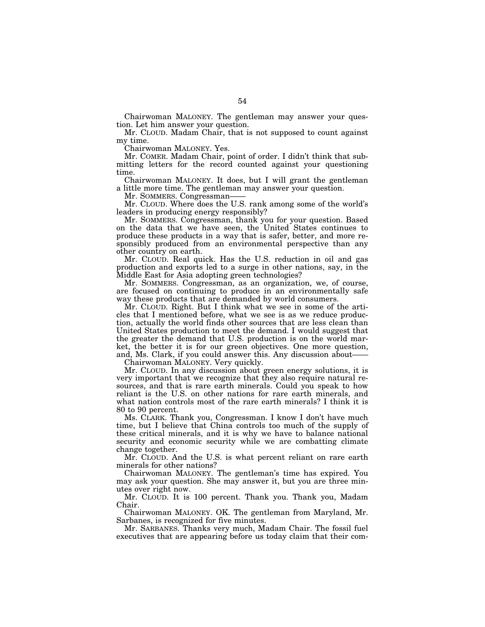Chairwoman MALONEY. The gentleman may answer your question. Let him answer your question.

Mr. CLOUD. Madam Chair, that is not supposed to count against my time.

Chairwoman MALONEY. Yes.

Mr. COMER. Madam Chair, point of order. I didn't think that submitting letters for the record counted against your questioning time.

Chairwoman MALONEY. It does, but I will grant the gentleman a little more time. The gentleman may answer your question.

Mr. SOMMERS. Congressman-

Mr. CLOUD. Where does the U.S. rank among some of the world's leaders in producing energy responsibly?

Mr. SOMMERS. Congressman, thank you for your question. Based on the data that we have seen, the United States continues to produce these products in a way that is safer, better, and more responsibly produced from an environmental perspective than any other country on earth.

Mr. CLOUD. Real quick. Has the U.S. reduction in oil and gas production and exports led to a surge in other nations, say, in the Middle East for Asia adopting green technologies?

Mr. SOMMERS. Congressman, as an organization, we, of course, are focused on continuing to produce in an environmentally safe way these products that are demanded by world consumers.

Mr. CLOUD. Right. But I think what we see in some of the articles that I mentioned before, what we see is as we reduce production, actually the world finds other sources that are less clean than United States production to meet the demand. I would suggest that the greater the demand that U.S. production is on the world market, the better it is for our green objectives. One more question, and, Ms. Clark, if you could answer this. Any discussion about——

Chairwoman MALONEY. Very quickly.

Mr. CLOUD. In any discussion about green energy solutions, it is very important that we recognize that they also require natural resources, and that is rare earth minerals. Could you speak to how reliant is the U.S. on other nations for rare earth minerals, and what nation controls most of the rare earth minerals? I think it is 80 to 90 percent.

Ms. CLARK. Thank you, Congressman. I know I don't have much time, but I believe that China controls too much of the supply of these critical minerals, and it is why we have to balance national security and economic security while we are combatting climate change together.

Mr. CLOUD. And the U.S. is what percent reliant on rare earth minerals for other nations?

Chairwoman MALONEY. The gentleman's time has expired. You may ask your question. She may answer it, but you are three minutes over right now.

Mr. CLOUD. It is 100 percent. Thank you. Thank you, Madam Chair.

Chairwoman MALONEY. OK. The gentleman from Maryland, Mr. Sarbanes, is recognized for five minutes.

Mr. SARBANES. Thanks very much, Madam Chair. The fossil fuel executives that are appearing before us today claim that their com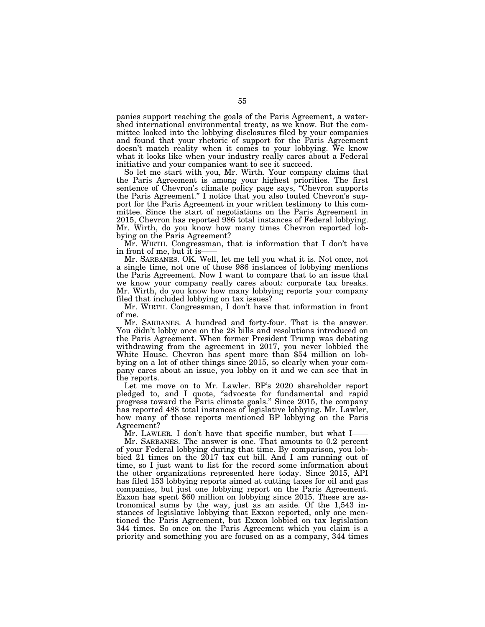panies support reaching the goals of the Paris Agreement, a watershed international environmental treaty, as we know. But the committee looked into the lobbying disclosures filed by your companies and found that your rhetoric of support for the Paris Agreement doesn't match reality when it comes to your lobbying. We know what it looks like when your industry really cares about a Federal initiative and your companies want to see it succeed.

So let me start with you, Mr. Wirth. Your company claims that the Paris Agreement is among your highest priorities. The first sentence of Chevron's climate policy page says, ''Chevron supports the Paris Agreement.'' I notice that you also touted Chevron's support for the Paris Agreement in your written testimony to this committee. Since the start of negotiations on the Paris Agreement in 2015, Chevron has reported 986 total instances of Federal lobbying. Mr. Wirth, do you know how many times Chevron reported lobbying on the Paris Agreement?

Mr. WIRTH. Congressman, that is information that I don't have in front of me, but it is-

Mr. SARBANES. OK. Well, let me tell you what it is. Not once, not a single time, not one of those 986 instances of lobbying mentions the Paris Agreement. Now I want to compare that to an issue that we know your company really cares about: corporate tax breaks. Mr. Wirth, do you know how many lobbying reports your company filed that included lobbying on tax issues?

Mr. WIRTH. Congressman, I don't have that information in front of me.

Mr. SARBANES. A hundred and forty-four. That is the answer. You didn't lobby once on the 28 bills and resolutions introduced on the Paris Agreement. When former President Trump was debating withdrawing from the agreement in 2017, you never lobbied the White House. Chevron has spent more than \$54 million on lobbying on a lot of other things since 2015, so clearly when your company cares about an issue, you lobby on it and we can see that in the reports.

Let me move on to Mr. Lawler. BP's 2020 shareholder report pledged to, and I quote, ''advocate for fundamental and rapid progress toward the Paris climate goals.'' Since 2015, the company has reported 488 total instances of legislative lobbying. Mr. Lawler, how many of those reports mentioned BP lobbying on the Paris Agreement?

Mr. LAWLER. I don't have that specific number, but what I-

Mr. SARBANES. The answer is one. That amounts to 0.2 percent of your Federal lobbying during that time. By comparison, you lobbied 21 times on the 2017 tax cut bill. And I am running out of time, so I just want to list for the record some information about the other organizations represented here today. Since 2015, API has filed 153 lobbying reports aimed at cutting taxes for oil and gas companies, but just one lobbying report on the Paris Agreement. Exxon has spent \$60 million on lobbying since 2015. These are astronomical sums by the way, just as an aside. Of the 1,543 instances of legislative lobbying that Exxon reported, only one mentioned the Paris Agreement, but Exxon lobbied on tax legislation 344 times. So once on the Paris Agreement which you claim is a priority and something you are focused on as a company, 344 times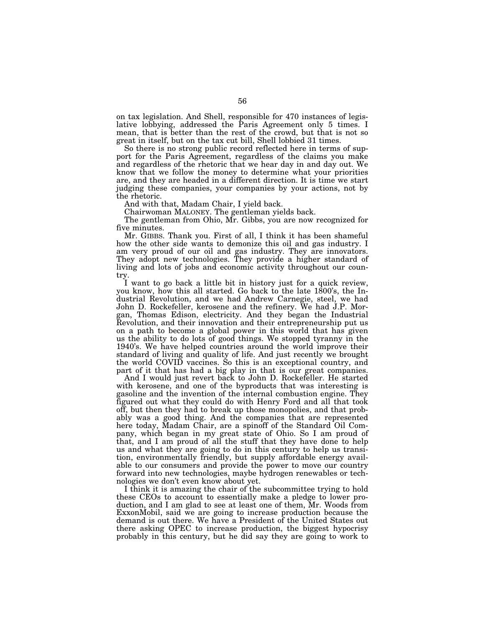on tax legislation. And Shell, responsible for 470 instances of legislative lobbying, addressed the Paris Agreement only 5 times. I mean, that is better than the rest of the crowd, but that is not so great in itself, but on the tax cut bill, Shell lobbied 31 times.

So there is no strong public record reflected here in terms of support for the Paris Agreement, regardless of the claims you make and regardless of the rhetoric that we hear day in and day out. We know that we follow the money to determine what your priorities are, and they are headed in a different direction. It is time we start judging these companies, your companies by your actions, not by the rhetoric.

And with that, Madam Chair, I yield back.

Chairwoman MALONEY. The gentleman yields back.

The gentleman from Ohio, Mr. Gibbs, you are now recognized for five minutes.

Mr. GIBBS. Thank you. First of all, I think it has been shameful how the other side wants to demonize this oil and gas industry. I am very proud of our oil and gas industry. They are innovators. They adopt new technologies. They provide a higher standard of living and lots of jobs and economic activity throughout our country.

I want to go back a little bit in history just for a quick review, you know, how this all started. Go back to the late 1800's, the Industrial Revolution, and we had Andrew Carnegie, steel, we had John D. Rockefeller, kerosene and the refinery. We had J.P. Morgan, Thomas Edison, electricity. And they began the Industrial Revolution, and their innovation and their entrepreneurship put us on a path to become a global power in this world that has given us the ability to do lots of good things. We stopped tyranny in the 1940's. We have helped countries around the world improve their standard of living and quality of life. And just recently we brought the world COVID vaccines. So this is an exceptional country, and part of it that has had a big play in that is our great companies.

And I would just revert back to John D. Rockefeller. He started with kerosene, and one of the byproducts that was interesting is gasoline and the invention of the internal combustion engine. They figured out what they could do with Henry Ford and all that took off, but then they had to break up those monopolies, and that probably was a good thing. And the companies that are represented here today, Madam Chair, are a spinoff of the Standard Oil Company, which began in my great state of Ohio. So I am proud of that, and I am proud of all the stuff that they have done to help us and what they are going to do in this century to help us transition, environmentally friendly, but supply affordable energy available to our consumers and provide the power to move our country forward into new technologies, maybe hydrogen renewables or technologies we don't even know about yet.

I think it is amazing the chair of the subcommittee trying to hold these CEOs to account to essentially make a pledge to lower production, and I am glad to see at least one of them, Mr. Woods from ExxonMobil, said we are going to increase production because the demand is out there. We have a President of the United States out there asking OPEC to increase production, the biggest hypocrisy probably in this century, but he did say they are going to work to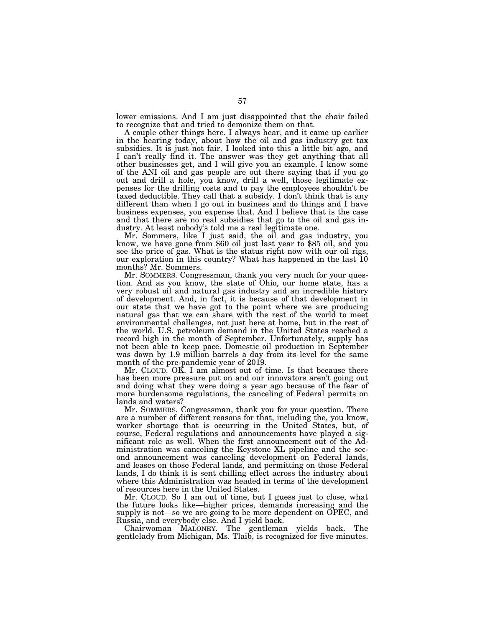lower emissions. And I am just disappointed that the chair failed to recognize that and tried to demonize them on that.

A couple other things here. I always hear, and it came up earlier in the hearing today, about how the oil and gas industry get tax subsidies. It is just not fair. I looked into this a little bit ago, and I can't really find it. The answer was they get anything that all other businesses get, and I will give you an example. I know some of the ANI oil and gas people are out there saying that if you go out and drill a hole, you know, drill a well, those legitimate expenses for the drilling costs and to pay the employees shouldn't be taxed deductible. They call that a subsidy. I don't think that is any different than when I go out in business and do things and I have business expenses, you expense that. And I believe that is the case and that there are no real subsidies that go to the oil and gas industry. At least nobody's told me a real legitimate one.

Mr. Sommers, like I just said, the oil and gas industry, you know, we have gone from \$60 oil just last year to \$85 oil, and you see the price of gas. What is the status right now with our oil rigs, our exploration in this country? What has happened in the last 10 months? Mr. Sommers.

Mr. SOMMERS. Congressman, thank you very much for your question. And as you know, the state of Ohio, our home state, has a very robust oil and natural gas industry and an incredible history of development. And, in fact, it is because of that development in our state that we have got to the point where we are producing natural gas that we can share with the rest of the world to meet environmental challenges, not just here at home, but in the rest of the world. U.S. petroleum demand in the United States reached a record high in the month of September. Unfortunately, supply has not been able to keep pace. Domestic oil production in September was down by 1.9 million barrels a day from its level for the same month of the pre-pandemic year of 2019.

Mr. CLOUD. OK. I am almost out of time. Is that because there has been more pressure put on and our innovators aren't going out and doing what they were doing a year ago because of the fear of more burdensome regulations, the canceling of Federal permits on lands and waters?

Mr. SOMMERS. Congressman, thank you for your question. There are a number of different reasons for that, including the, you know, worker shortage that is occurring in the United States, but, of course, Federal regulations and announcements have played a significant role as well. When the first announcement out of the Administration was canceling the Keystone XL pipeline and the second announcement was canceling development on Federal lands, and leases on those Federal lands, and permitting on those Federal lands, I do think it is sent chilling effect across the industry about where this Administration was headed in terms of the development of resources here in the United States.

Mr. CLOUD. So I am out of time, but I guess just to close, what the future looks like—higher prices, demands increasing and the supply is not—so we are going to be more dependent on OPEC, and Russia, and everybody else. And I yield back.

Chairwoman MALONEY. The gentleman yields back. The gentlelady from Michigan, Ms. Tlaib, is recognized for five minutes.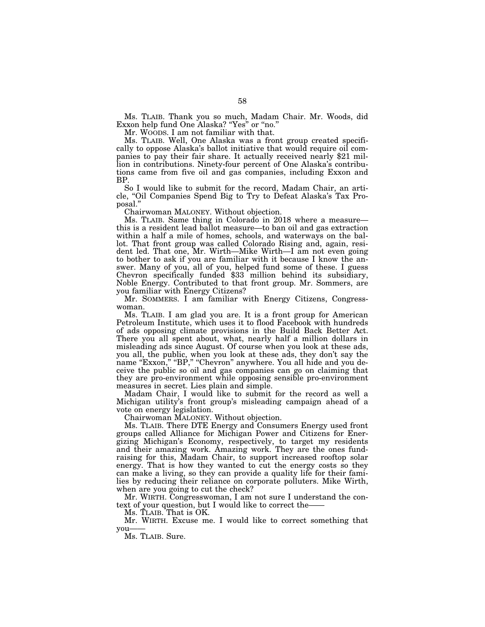Ms. TLAIB. Thank you so much, Madam Chair. Mr. Woods, did Exxon help fund One Alaska? ''Yes'' or ''no.''

Mr. WOODS. I am not familiar with that.

Ms. TLAIB. Well, One Alaska was a front group created specifically to oppose Alaska's ballot initiative that would require oil companies to pay their fair share. It actually received nearly \$21 million in contributions. Ninety-four percent of One Alaska's contributions came from five oil and gas companies, including Exxon and BP.

So I would like to submit for the record, Madam Chair, an article, ''Oil Companies Spend Big to Try to Defeat Alaska's Tax Proposal.''

Chairwoman MALONEY. Without objection.

Ms. TLAIB. Same thing in Colorado in 2018 where a measure this is a resident lead ballot measure—to ban oil and gas extraction within a half a mile of homes, schools, and waterways on the ballot. That front group was called Colorado Rising and, again, resident led. That one, Mr. Wirth—Mike Wirth—I am not even going to bother to ask if you are familiar with it because I know the answer. Many of you, all of you, helped fund some of these. I guess Chevron specifically funded \$33 million behind its subsidiary, Noble Energy. Contributed to that front group. Mr. Sommers, are you familiar with Energy Citizens?

Mr. SOMMERS. I am familiar with Energy Citizens, Congresswoman.

Ms. TLAIB. I am glad you are. It is a front group for American Petroleum Institute, which uses it to flood Facebook with hundreds of ads opposing climate provisions in the Build Back Better Act. There you all spent about, what, nearly half a million dollars in misleading ads since August. Of course when you look at these ads, you all, the public, when you look at these ads, they don't say the name "Exxon," "BP," "Chevron" anywhere. You all hide and you deceive the public so oil and gas companies can go on claiming that they are pro-environment while opposing sensible pro-environment measures in secret. Lies plain and simple.

Madam Chair, I would like to submit for the record as well a Michigan utility's front group's misleading campaign ahead of a vote on energy legislation.

Chairwoman MALONEY. Without objection.

Ms. TLAIB. There DTE Energy and Consumers Energy used front groups called Alliance for Michigan Power and Citizens for Energizing Michigan's Economy, respectively, to target my residents and their amazing work. Amazing work. They are the ones fundraising for this, Madam Chair, to support increased rooftop solar energy. That is how they wanted to cut the energy costs so they can make a living, so they can provide a quality life for their families by reducing their reliance on corporate polluters. Mike Wirth, when are you going to cut the check?

Mr. WIRTH. Congresswoman, I am not sure I understand the context of your question, but I would like to correct the——

Ms. TLAIB. That is OK.

Mr. WIRTH. Excuse me. I would like to correct something that you-

Ms. TLAIB. Sure.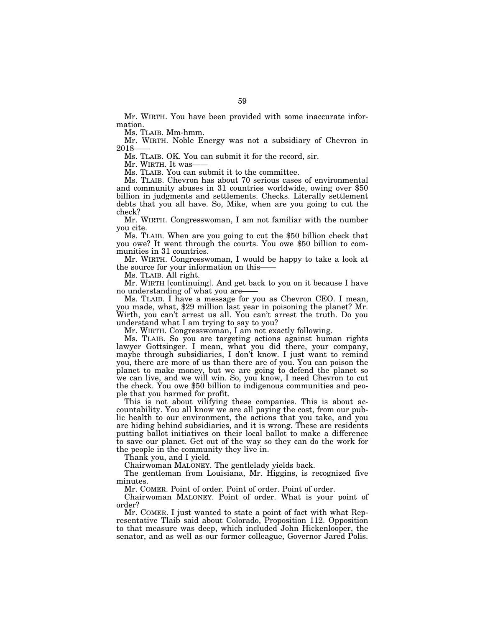Mr. WIRTH. You have been provided with some inaccurate information.

Ms. TLAIB. Mm-hmm.

Mr. WIRTH. Noble Energy was not a subsidiary of Chevron in 2018

Ms. TLAIB. OK. You can submit it for the record, sir.

Mr. WIRTH. It was-

Ms. TLAIB. You can submit it to the committee.

Ms. TLAIB. Chevron has about 70 serious cases of environmental and community abuses in 31 countries worldwide, owing over \$50 billion in judgments and settlements. Checks. Literally settlement debts that you all have. So, Mike, when are you going to cut the check?

Mr. WIRTH. Congresswoman, I am not familiar with the number you cite.

Ms. TLAIB. When are you going to cut the \$50 billion check that you owe? It went through the courts. You owe \$50 billion to communities in 31 countries.

Mr. WIRTH. Congresswoman, I would be happy to take a look at the source for your information on this——

Ms. TLAIB. All right.

Mr. WIRTH [continuing]. And get back to you on it because I have no understanding of what you are-

Ms. TLAIB. I have a message for you as Chevron CEO. I mean, you made, what, \$29 million last year in poisoning the planet? Mr. Wirth, you can't arrest us all. You can't arrest the truth. Do you understand what I am trying to say to you?

Mr. WIRTH. Congresswoman, I am not exactly following.

Ms. TLAIB. So you are targeting actions against human rights lawyer Gottsinger. I mean, what you did there, your company, maybe through subsidiaries, I don't know. I just want to remind you, there are more of us than there are of you. You can poison the planet to make money, but we are going to defend the planet so we can live, and we will win. So, you know, I need Chevron to cut the check. You owe \$50 billion to indigenous communities and people that you harmed for profit.

This is not about vilifying these companies. This is about accountability. You all know we are all paying the cost, from our public health to our environment, the actions that you take, and you are hiding behind subsidiaries, and it is wrong. These are residents putting ballot initiatives on their local ballot to make a difference to save our planet. Get out of the way so they can do the work for the people in the community they live in.

Thank you, and I yield.

Chairwoman MALONEY. The gentlelady yields back.

The gentleman from Louisiana, Mr. Higgins, is recognized five minutes.

Mr. COMER. Point of order. Point of order. Point of order.

Chairwoman MALONEY. Point of order. What is your point of order?

Mr. COMER. I just wanted to state a point of fact with what Representative Tlaib said about Colorado, Proposition 112. Opposition to that measure was deep, which included John Hickenlooper, the senator, and as well as our former colleague, Governor Jared Polis.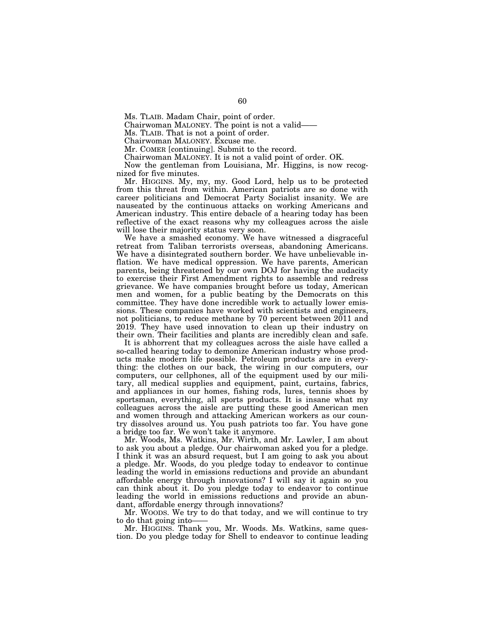Ms. TLAIB. Madam Chair, point of order.

Chairwoman MALONEY. The point is not a valid——

Ms. TLAIB. That is not a point of order.

Chairwoman MALONEY. Excuse me.

Mr. COMER [continuing]. Submit to the record.

Chairwoman MALONEY. It is not a valid point of order. OK.

Now the gentleman from Louisiana, Mr. Higgins, is now recognized for five minutes.

Mr. HIGGINS. My, my, my. Good Lord, help us to be protected from this threat from within. American patriots are so done with career politicians and Democrat Party Socialist insanity. We are nauseated by the continuous attacks on working Americans and American industry. This entire debacle of a hearing today has been reflective of the exact reasons why my colleagues across the aisle will lose their majority status very soon.

We have a smashed economy. We have witnessed a disgraceful retreat from Taliban terrorists overseas, abandoning Americans. We have a disintegrated southern border. We have unbelievable inflation. We have medical oppression. We have parents, American parents, being threatened by our own DOJ for having the audacity to exercise their First Amendment rights to assemble and redress grievance. We have companies brought before us today, American men and women, for a public beating by the Democrats on this committee. They have done incredible work to actually lower emissions. These companies have worked with scientists and engineers, not politicians, to reduce methane by 70 percent between 2011 and 2019. They have used innovation to clean up their industry on their own. Their facilities and plants are incredibly clean and safe.

It is abhorrent that my colleagues across the aisle have called a so-called hearing today to demonize American industry whose products make modern life possible. Petroleum products are in everything: the clothes on our back, the wiring in our computers, our computers, our cellphones, all of the equipment used by our military, all medical supplies and equipment, paint, curtains, fabrics, and appliances in our homes, fishing rods, lures, tennis shoes by sportsman, everything, all sports products. It is insane what my colleagues across the aisle are putting these good American men and women through and attacking American workers as our country dissolves around us. You push patriots too far. You have gone a bridge too far. We won't take it anymore.

Mr. Woods, Ms. Watkins, Mr. Wirth, and Mr. Lawler, I am about to ask you about a pledge. Our chairwoman asked you for a pledge. I think it was an absurd request, but I am going to ask you about a pledge. Mr. Woods, do you pledge today to endeavor to continue leading the world in emissions reductions and provide an abundant affordable energy through innovations? I will say it again so you can think about it. Do you pledge today to endeavor to continue leading the world in emissions reductions and provide an abundant, affordable energy through innovations?

Mr. WOODS. We try to do that today, and we will continue to try to do that going into-

Mr. HIGGINS. Thank you, Mr. Woods. Ms. Watkins, same question. Do you pledge today for Shell to endeavor to continue leading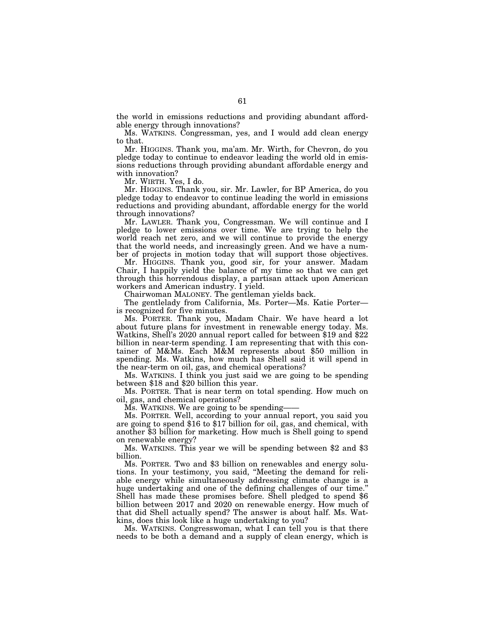the world in emissions reductions and providing abundant affordable energy through innovations?

Ms. WATKINS. Congressman, yes, and I would add clean energy to that.

Mr. HIGGINS. Thank you, ma'am. Mr. Wirth, for Chevron, do you pledge today to continue to endeavor leading the world old in emissions reductions through providing abundant affordable energy and with innovation?

Mr. WIRTH. Yes, I do.

Mr. HIGGINS. Thank you, sir. Mr. Lawler, for BP America, do you pledge today to endeavor to continue leading the world in emissions reductions and providing abundant, affordable energy for the world through innovations?

Mr. LAWLER. Thank you, Congressman. We will continue and I pledge to lower emissions over time. We are trying to help the world reach net zero, and we will continue to provide the energy that the world needs, and increasingly green. And we have a number of projects in motion today that will support those objectives.

Mr. HIGGINS. Thank you, good sir, for your answer. Madam Chair, I happily yield the balance of my time so that we can get through this horrendous display, a partisan attack upon American workers and American industry. I yield.

Chairwoman MALONEY. The gentleman yields back.

The gentlelady from California, Ms. Porter—Ms. Katie Porter is recognized for five minutes.

Ms. PORTER. Thank you, Madam Chair. We have heard a lot about future plans for investment in renewable energy today. Ms. Watkins, Shell's 2020 annual report called for between \$19 and \$22 billion in near-term spending. I am representing that with this container of M&Ms. Each M&M represents about \$50 million in spending. Ms. Watkins, how much has Shell said it will spend in the near-term on oil, gas, and chemical operations?

Ms. WATKINS. I think you just said we are going to be spending between \$18 and \$20 billion this year.

Ms. PORTER. That is near term on total spending. How much on oil, gas, and chemical operations?

Ms. WATKINS. We are going to be spending-

Ms. PORTER. Well, according to your annual report, you said you are going to spend \$16 to \$17 billion for oil, gas, and chemical, with another \$3 billion for marketing. How much is Shell going to spend on renewable energy?

Ms. WATKINS. This year we will be spending between \$2 and \$3 billion.

Ms. PORTER. Two and \$3 billion on renewables and energy solutions. In your testimony, you said, ''Meeting the demand for reliable energy while simultaneously addressing climate change is a huge undertaking and one of the defining challenges of our time.'' Shell has made these promises before. Shell pledged to spend \$6 billion between 2017 and 2020 on renewable energy. How much of that did Shell actually spend? The answer is about half. Ms. Watkins, does this look like a huge undertaking to you?

Ms. WATKINS. Congresswoman, what I can tell you is that there needs to be both a demand and a supply of clean energy, which is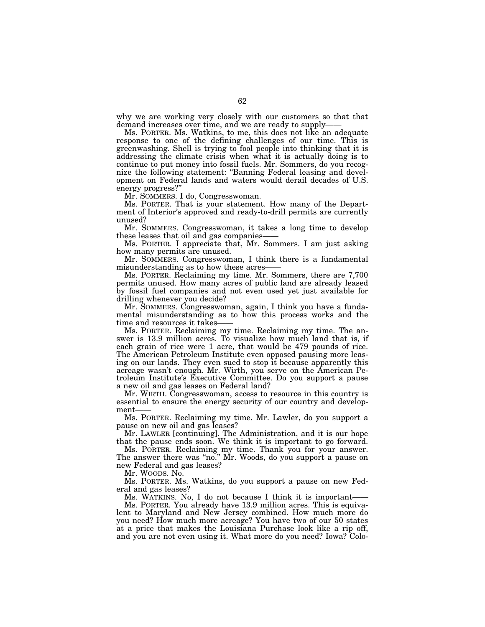why we are working very closely with our customers so that that demand increases over time, and we are ready to supply-

Ms. PORTER. Ms. Watkins, to me, this does not like an adequate response to one of the defining challenges of our time. This is greenwashing. Shell is trying to fool people into thinking that it is addressing the climate crisis when what it is actually doing is to continue to put money into fossil fuels. Mr. Sommers, do you recognize the following statement: ''Banning Federal leasing and development on Federal lands and waters would derail decades of U.S. energy progress?''

Mr. SOMMERS. I do, Congresswoman.

Ms. PORTER. That is your statement. How many of the Department of Interior's approved and ready-to-drill permits are currently unused?

Mr. SOMMERS. Congresswoman, it takes a long time to develop these leases that oil and gas companies——

Ms. PORTER. I appreciate that, Mr. Sommers. I am just asking how many permits are unused.

Mr. SOMMERS. Congresswoman, I think there is a fundamental misunderstanding as to how these acres-

Ms. PORTER. Reclaiming my time. Mr. Sommers, there are 7,700 permits unused. How many acres of public land are already leased by fossil fuel companies and not even used yet just available for drilling whenever you decide?

Mr. SOMMERS. Congresswoman, again, I think you have a fundamental misunderstanding as to how this process works and the time and resources it takes-

Ms. PORTER. Reclaiming my time. Reclaiming my time. The answer is 13.9 million acres. To visualize how much land that is, if each grain of rice were 1 acre, that would be 479 pounds of rice. The American Petroleum Institute even opposed pausing more leasing on our lands. They even sued to stop it because apparently this acreage wasn't enough. Mr. Wirth, you serve on the American Petroleum Institute's Executive Committee. Do you support a pause a new oil and gas leases on Federal land?

Mr. WIRTH. Congresswoman, access to resource in this country is essential to ensure the energy security of our country and development-

Ms. PORTER. Reclaiming my time. Mr. Lawler, do you support a pause on new oil and gas leases?

Mr. LAWLER [continuing]. The Administration, and it is our hope that the pause ends soon. We think it is important to go forward.

Ms. PORTER. Reclaiming my time. Thank you for your answer. The answer there was "no." Mr. Woods, do you support a pause on new Federal and gas leases?

Mr. WOODS. No.

Ms. PORTER. Ms. Watkins, do you support a pause on new Federal and gas leases?

Ms. WATKINS. No, I do not because I think it is important-

Ms. PORTER. You already have 13.9 million acres. This is equivalent to Maryland and New Jersey combined. How much more do you need? How much more acreage? You have two of our 50 states at a price that makes the Louisiana Purchase look like a rip off, and you are not even using it. What more do you need? Iowa? Colo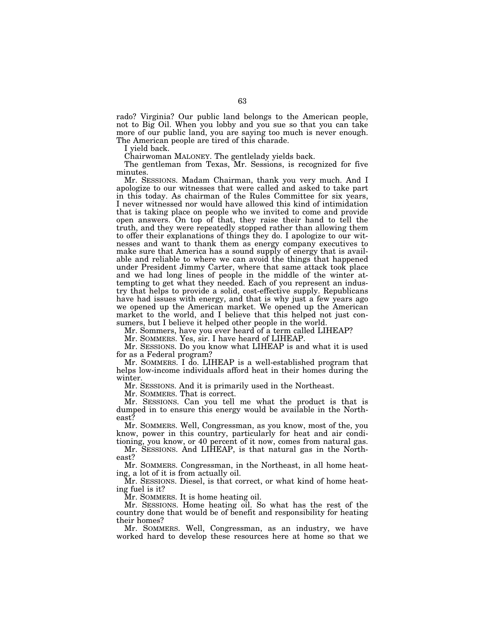rado? Virginia? Our public land belongs to the American people, not to Big Oil. When you lobby and you sue so that you can take more of our public land, you are saying too much is never enough. The American people are tired of this charade.

I yield back.

Chairwoman MALONEY. The gentlelady yields back.

The gentleman from Texas, Mr. Sessions, is recognized for five minutes.

Mr. SESSIONS. Madam Chairman, thank you very much. And I apologize to our witnesses that were called and asked to take part in this today. As chairman of the Rules Committee for six years, I never witnessed nor would have allowed this kind of intimidation that is taking place on people who we invited to come and provide open answers. On top of that, they raise their hand to tell the truth, and they were repeatedly stopped rather than allowing them to offer their explanations of things they do. I apologize to our witnesses and want to thank them as energy company executives to make sure that America has a sound supply of energy that is available and reliable to where we can avoid the things that happened under President Jimmy Carter, where that same attack took place and we had long lines of people in the middle of the winter attempting to get what they needed. Each of you represent an industry that helps to provide a solid, cost-effective supply. Republicans have had issues with energy, and that is why just a few years ago we opened up the American market. We opened up the American market to the world, and I believe that this helped not just consumers, but I believe it helped other people in the world.

Mr. Sommers, have you ever heard of a term called LIHEAP?

Mr. SOMMERS. Yes, sir. I have heard of LIHEAP.

Mr. SESSIONS. Do you know what LIHEAP is and what it is used for as a Federal program?

Mr. SOMMERS. I do. LIHEAP is a well-established program that helps low-income individuals afford heat in their homes during the winter.

Mr. SESSIONS. And it is primarily used in the Northeast.

Mr. SOMMERS. That is correct.

Mr. SESSIONS. Can you tell me what the product is that is dumped in to ensure this energy would be available in the Northeast?

Mr. SOMMERS. Well, Congressman, as you know, most of the, you know, power in this country, particularly for heat and air conditioning, you know, or 40 percent of it now, comes from natural gas.

Mr. SESSIONS. And LIHEAP, is that natural gas in the Northeast?

Mr. SOMMERS. Congressman, in the Northeast, in all home heating, a lot of it is from actually oil.

Mr. SESSIONS. Diesel, is that correct, or what kind of home heating fuel is it?

Mr. SOMMERS. It is home heating oil.

Mr. SESSIONS. Home heating oil. So what has the rest of the country done that would be of benefit and responsibility for heating their homes?

Mr. SOMMERS. Well, Congressman, as an industry, we have worked hard to develop these resources here at home so that we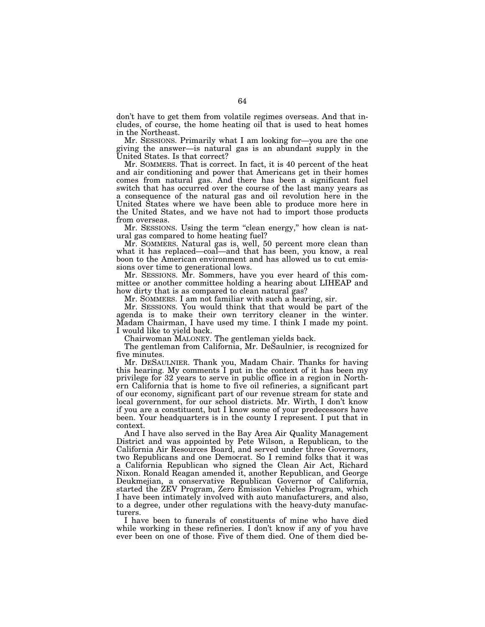don't have to get them from volatile regimes overseas. And that includes, of course, the home heating oil that is used to heat homes in the Northeast.

Mr. SESSIONS. Primarily what I am looking for—you are the one giving the answer—is natural gas is an abundant supply in the United States. Is that correct?

Mr. SOMMERS. That is correct. In fact, it is 40 percent of the heat and air conditioning and power that Americans get in their homes comes from natural gas. And there has been a significant fuel switch that has occurred over the course of the last many years as a consequence of the natural gas and oil revolution here in the United States where we have been able to produce more here in the United States, and we have not had to import those products from overseas.

Mr. SESSIONS. Using the term ''clean energy,'' how clean is natural gas compared to home heating fuel?

Mr. SOMMERS. Natural gas is, well, 50 percent more clean than what it has replaced—coal—and that has been, you know, a real boon to the American environment and has allowed us to cut emissions over time to generational lows.

Mr. SESSIONS. Mr. Sommers, have you ever heard of this committee or another committee holding a hearing about LIHEAP and how dirty that is as compared to clean natural gas?

Mr. SOMMERS. I am not familiar with such a hearing, sir.

Mr. SESSIONS. You would think that that would be part of the agenda is to make their own territory cleaner in the winter. Madam Chairman, I have used my time. I think I made my point. I would like to yield back.

Chairwoman MALONEY. The gentleman yields back.

The gentleman from California, Mr. DeSaulnier, is recognized for five minutes.

Mr. DESAULNIER. Thank you, Madam Chair. Thanks for having this hearing. My comments I put in the context of it has been my privilege for 32 years to serve in public office in a region in Northern California that is home to five oil refineries, a significant part of our economy, significant part of our revenue stream for state and local government, for our school districts. Mr. Wirth, I don't know if you are a constituent, but I know some of your predecessors have been. Your headquarters is in the county I represent. I put that in context.

And I have also served in the Bay Area Air Quality Management District and was appointed by Pete Wilson, a Republican, to the California Air Resources Board, and served under three Governors, two Republicans and one Democrat. So I remind folks that it was a California Republican who signed the Clean Air Act, Richard Nixon. Ronald Reagan amended it, another Republican, and George Deukmejian, a conservative Republican Governor of California, started the ZEV Program, Zero Emission Vehicles Program, which I have been intimately involved with auto manufacturers, and also, to a degree, under other regulations with the heavy-duty manufacturers.

I have been to funerals of constituents of mine who have died while working in these refineries. I don't know if any of you have ever been on one of those. Five of them died. One of them died be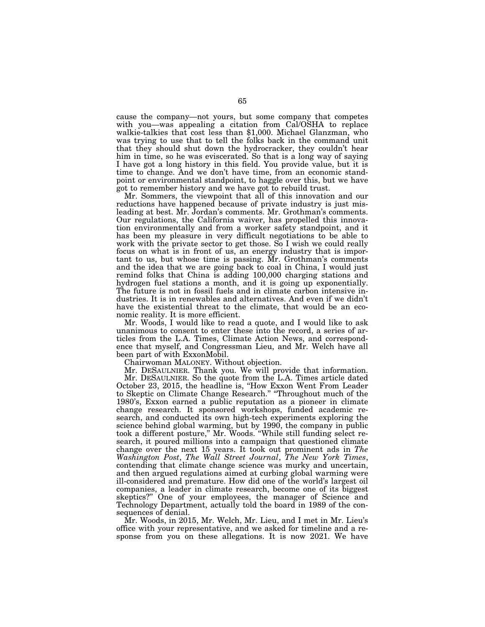cause the company—not yours, but some company that competes with you—was appealing a citation from Cal/OSHA to replace walkie-talkies that cost less than \$1,000. Michael Glanzman, who was trying to use that to tell the folks back in the command unit that they should shut down the hydrocracker, they couldn't hear him in time, so he was eviscerated. So that is a long way of saying I have got a long history in this field. You provide value, but it is time to change. And we don't have time, from an economic standpoint or environmental standpoint, to haggle over this, but we have got to remember history and we have got to rebuild trust.

Mr. Sommers, the viewpoint that all of this innovation and our reductions have happened because of private industry is just misleading at best. Mr. Jordan's comments. Mr. Grothman's comments. Our regulations, the California waiver, has propelled this innovation environmentally and from a worker safety standpoint, and it has been my pleasure in very difficult negotiations to be able to work with the private sector to get those. So I wish we could really focus on what is in front of us, an energy industry that is important to us, but whose time is passing. Mr. Grothman's comments and the idea that we are going back to coal in China, I would just remind folks that China is adding 100,000 charging stations and hydrogen fuel stations a month, and it is going up exponentially. The future is not in fossil fuels and in climate carbon intensive industries. It is in renewables and alternatives. And even if we didn't have the existential threat to the climate, that would be an economic reality. It is more efficient.

Mr. Woods, I would like to read a quote, and I would like to ask unanimous to consent to enter these into the record, a series of articles from the L.A. Times, Climate Action News, and correspondence that myself, and Congressman Lieu, and Mr. Welch have all been part of with ExxonMobil.

Chairwoman MALONEY. Without objection.

Mr. DESAULNIER. Thank you. We will provide that information.

Mr. DESAULNIER. So the quote from the L.A. Times article dated October 23, 2015, the headline is, ''How Exxon Went From Leader to Skeptic on Climate Change Research." "Throughout much of the 1980's, Exxon earned a public reputation as a pioneer in climate change research. It sponsored workshops, funded academic research, and conducted its own high-tech experiments exploring the science behind global warming, but by 1990, the company in public took a different posture,'' Mr. Woods. ''While still funding select research, it poured millions into a campaign that questioned climate change over the next 15 years. It took out prominent ads in *The Washington Post*, *The Wall Street Journal*, *The New York Times*, contending that climate change science was murky and uncertain, and then argued regulations aimed at curbing global warming were ill-considered and premature. How did one of the world's largest oil companies, a leader in climate research, become one of its biggest skeptics?'' One of your employees, the manager of Science and Technology Department, actually told the board in 1989 of the consequences of denial.

Mr. Woods, in 2015, Mr. Welch, Mr. Lieu, and I met in Mr. Lieu's office with your representative, and we asked for timeline and a response from you on these allegations. It is now 2021. We have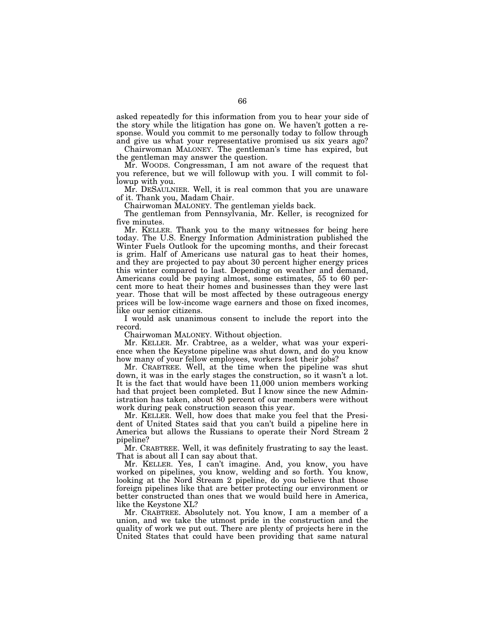asked repeatedly for this information from you to hear your side of the story while the litigation has gone on. We haven't gotten a response. Would you commit to me personally today to follow through and give us what your representative promised us six years ago?

Chairwoman MALONEY. The gentleman's time has expired, but the gentleman may answer the question.

Mr. WOODS. Congressman, I am not aware of the request that you reference, but we will followup with you. I will commit to followup with you.

Mr. DESAULNIER. Well, it is real common that you are unaware of it. Thank you, Madam Chair.

Chairwoman MALONEY. The gentleman yields back.

The gentleman from Pennsylvania, Mr. Keller, is recognized for five minutes.

Mr. KELLER. Thank you to the many witnesses for being here today. The U.S. Energy Information Administration published the Winter Fuels Outlook for the upcoming months, and their forecast is grim. Half of Americans use natural gas to heat their homes, and they are projected to pay about 30 percent higher energy prices this winter compared to last. Depending on weather and demand, Americans could be paying almost, some estimates, 55 to 60 percent more to heat their homes and businesses than they were last year. Those that will be most affected by these outrageous energy prices will be low-income wage earners and those on fixed incomes, like our senior citizens.

I would ask unanimous consent to include the report into the record.

Chairwoman MALONEY. Without objection.

Mr. KELLER. Mr. Crabtree, as a welder, what was your experience when the Keystone pipeline was shut down, and do you know how many of your fellow employees, workers lost their jobs?

Mr. CRABTREE. Well, at the time when the pipeline was shut down, it was in the early stages the construction, so it wasn't a lot. It is the fact that would have been 11,000 union members working had that project been completed. But I know since the new Administration has taken, about 80 percent of our members were without work during peak construction season this year.

Mr. KELLER. Well, how does that make you feel that the President of United States said that you can't build a pipeline here in America but allows the Russians to operate their Nord Stream 2 pipeline?

Mr. CRABTREE. Well, it was definitely frustrating to say the least. That is about all I can say about that.

Mr. KELLER. Yes, I can't imagine. And, you know, you have worked on pipelines, you know, welding and so forth. You know, looking at the Nord Stream 2 pipeline, do you believe that those foreign pipelines like that are better protecting our environment or better constructed than ones that we would build here in America, like the Keystone XL?

Mr. CRABTREE. Absolutely not. You know, I am a member of a union, and we take the utmost pride in the construction and the quality of work we put out. There are plenty of projects here in the United States that could have been providing that same natural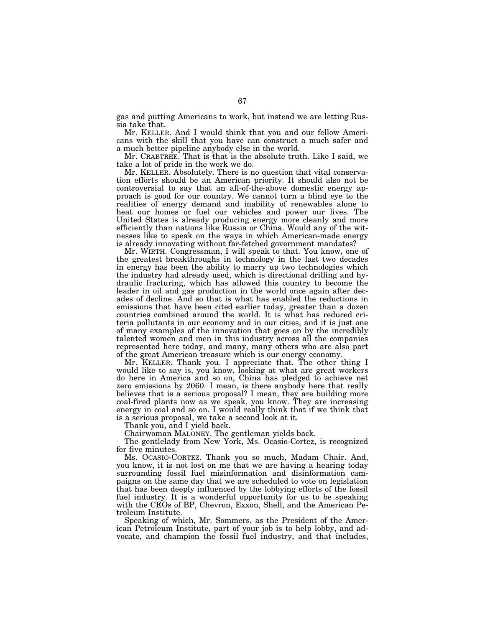gas and putting Americans to work, but instead we are letting Russia take that.

Mr. KELLER. And I would think that you and our fellow Americans with the skill that you have can construct a much safer and a much better pipeline anybody else in the world.

Mr. CRABTREE. That is that is the absolute truth. Like I said, we take a lot of pride in the work we do.

Mr. KELLER. Absolutely. There is no question that vital conservation efforts should be an American priority. It should also not be controversial to say that an all-of-the-above domestic energy approach is good for our country. We cannot turn a blind eye to the realities of energy demand and inability of renewables alone to heat our homes or fuel our vehicles and power our lives. The United States is already producing energy more cleanly and more efficiently than nations like Russia or China. Would any of the witnesses like to speak on the ways in which American-made energy is already innovating without far-fetched government mandates?

Mr. WIRTH. Congressman, I will speak to that. You know, one of the greatest breakthroughs in technology in the last two decades in energy has been the ability to marry up two technologies which the industry had already used, which is directional drilling and hydraulic fracturing, which has allowed this country to become the leader in oil and gas production in the world once again after decades of decline. And so that is what has enabled the reductions in emissions that have been cited earlier today, greater than a dozen countries combined around the world. It is what has reduced criteria pollutants in our economy and in our cities, and it is just one of many examples of the innovation that goes on by the incredibly talented women and men in this industry across all the companies represented here today, and many, many others who are also part of the great American treasure which is our energy economy.

Mr. KELLER. Thank you. I appreciate that. The other thing I would like to say is, you know, looking at what are great workers do here in America and so on, China has pledged to achieve net zero emissions by 2060. I mean, is there anybody here that really believes that is a serious proposal? I mean, they are building more coal-fired plants now as we speak, you know. They are increasing energy in coal and so on. I would really think that if we think that is a serious proposal, we take a second look at it.

Thank you, and I yield back.

Chairwoman MALONEY. The gentleman yields back.

The gentlelady from New York, Ms. Ocasio-Cortez, is recognized for five minutes.

Ms. OCASIO-CORTEZ. Thank you so much, Madam Chair. And, you know, it is not lost on me that we are having a hearing today surrounding fossil fuel misinformation and disinformation campaigns on the same day that we are scheduled to vote on legislation that has been deeply influenced by the lobbying efforts of the fossil fuel industry. It is a wonderful opportunity for us to be speaking with the CEOs of BP, Chevron, Exxon, Shell, and the American Petroleum Institute.

Speaking of which, Mr. Sommers, as the President of the American Petroleum Institute, part of your job is to help lobby, and advocate, and champion the fossil fuel industry, and that includes,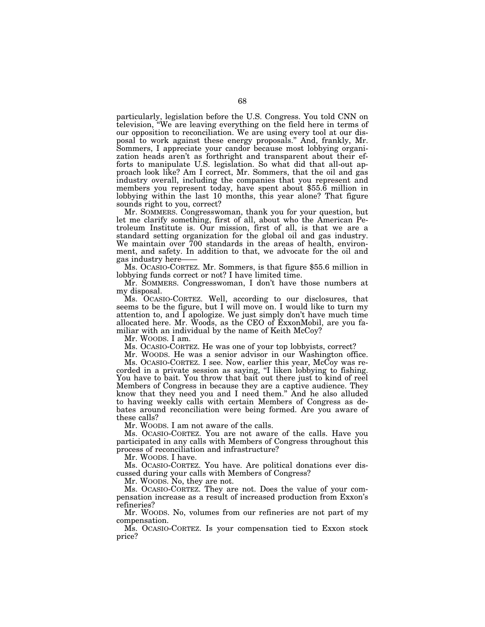particularly, legislation before the U.S. Congress. You told CNN on television, ''We are leaving everything on the field here in terms of our opposition to reconciliation. We are using every tool at our disposal to work against these energy proposals.'' And, frankly, Mr. Sommers, I appreciate your candor because most lobbying organization heads aren't as forthright and transparent about their efforts to manipulate U.S. legislation. So what did that all-out approach look like? Am I correct, Mr. Sommers, that the oil and gas industry overall, including the companies that you represent and members you represent today, have spent about \$55.6 million in lobbying within the last 10 months, this year alone? That figure sounds right to you, correct?

Mr. SOMMERS. Congresswoman, thank you for your question, but let me clarify something, first of all, about who the American Petroleum Institute is. Our mission, first of all, is that we are a standard setting organization for the global oil and gas industry. We maintain over 700 standards in the areas of health, environment, and safety. In addition to that, we advocate for the oil and gas industry here-

Ms. OCASIO-CORTEZ. Mr. Sommers, is that figure \$55.6 million in lobbying funds correct or not? I have limited time.

Mr. SOMMERS. Congresswoman, I don't have those numbers at my disposal.

Ms. OCASIO-CORTEZ. Well, according to our disclosures, that seems to be the figure, but I will move on. I would like to turn my attention to, and I apologize. We just simply don't have much time allocated here. Mr. Woods, as the CEO of ExxonMobil, are you familiar with an individual by the name of Keith McCoy?

Mr. WOODS. I am.

Ms. OCASIO-CORTEZ. He was one of your top lobbyists, correct?

Mr. WOODS. He was a senior advisor in our Washington office. Ms. OCASIO-CORTEZ. I see. Now, earlier this year, McCoy was re-

corded in a private session as saying, "I liken lobbying to fishing. You have to bait. You throw that bait out there just to kind of reel Members of Congress in because they are a captive audience. They know that they need you and I need them.'' And he also alluded to having weekly calls with certain Members of Congress as debates around reconciliation were being formed. Are you aware of these calls?

Mr. WOODS. I am not aware of the calls.

Ms. OCASIO-CORTEZ. You are not aware of the calls. Have you participated in any calls with Members of Congress throughout this process of reconciliation and infrastructure?

Mr. WOODS. I have.

Ms. OCASIO-CORTEZ. You have. Are political donations ever discussed during your calls with Members of Congress?

Mr. WOODS. No, they are not.

Ms. OCASIO-CORTEZ. They are not. Does the value of your compensation increase as a result of increased production from Exxon's refineries?

Mr. WOODS. No, volumes from our refineries are not part of my compensation.

Ms. OCASIO-CORTEZ. Is your compensation tied to Exxon stock price?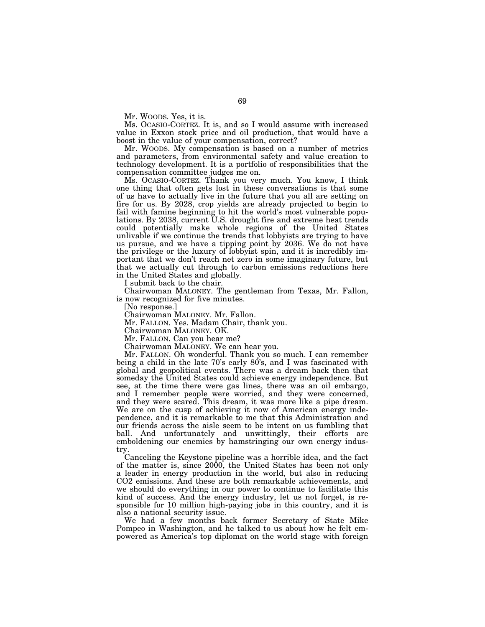Mr. WOODS. Yes, it is.

Ms. OCASIO-CORTEZ. It is, and so I would assume with increased value in Exxon stock price and oil production, that would have a boost in the value of your compensation, correct?

Mr. WOODS. My compensation is based on a number of metrics and parameters, from environmental safety and value creation to technology development. It is a portfolio of responsibilities that the compensation committee judges me on.

Ms. OCASIO-CORTEZ. Thank you very much. You know, I think one thing that often gets lost in these conversations is that some of us have to actually live in the future that you all are setting on fire for us. By 2028, crop yields are already projected to begin to fail with famine beginning to hit the world's most vulnerable populations. By 2038, current U.S. drought fire and extreme heat trends could potentially make whole regions of the United States unlivable if we continue the trends that lobbyists are trying to have us pursue, and we have a tipping point by 2036. We do not have the privilege or the luxury of lobbyist spin, and it is incredibly important that we don't reach net zero in some imaginary future, but that we actually cut through to carbon emissions reductions here in the United States and globally.

I submit back to the chair.

Chairwoman MALONEY. The gentleman from Texas, Mr. Fallon, is now recognized for five minutes.

[No response.]

Chairwoman MALONEY. Mr. Fallon.

Mr. FALLON. Yes. Madam Chair, thank you.

Chairwoman MALONEY. OK.

Mr. FALLON. Can you hear me?

Chairwoman MALONEY. We can hear you.

Mr. FALLON. Oh wonderful. Thank you so much. I can remember being a child in the late 70's early 80's, and I was fascinated with global and geopolitical events. There was a dream back then that someday the United States could achieve energy independence. But see, at the time there were gas lines, there was an oil embargo, and I remember people were worried, and they were concerned, and they were scared. This dream, it was more like a pipe dream. We are on the cusp of achieving it now of American energy independence, and it is remarkable to me that this Administration and our friends across the aisle seem to be intent on us fumbling that ball. And unfortunately and unwittingly, their efforts are emboldening our enemies by hamstringing our own energy industry.

Canceling the Keystone pipeline was a horrible idea, and the fact of the matter is, since 2000, the United States has been not only a leader in energy production in the world, but also in reducing CO2 emissions. And these are both remarkable achievements, and we should do everything in our power to continue to facilitate this kind of success. And the energy industry, let us not forget, is responsible for 10 million high-paying jobs in this country, and it is also a national security issue.

We had a few months back former Secretary of State Mike Pompeo in Washington, and he talked to us about how he felt empowered as America's top diplomat on the world stage with foreign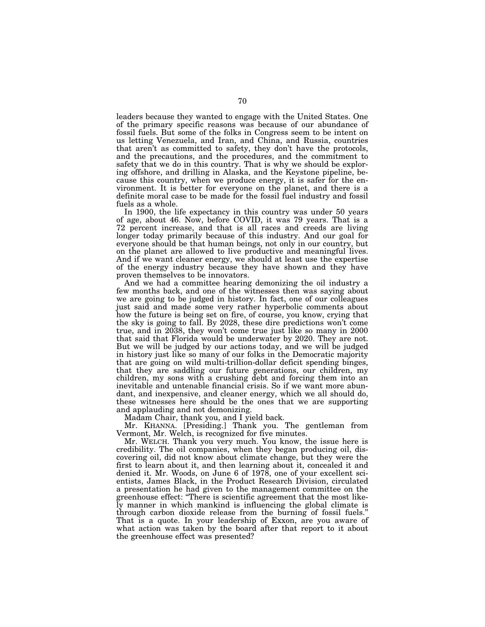leaders because they wanted to engage with the United States. One of the primary specific reasons was because of our abundance of fossil fuels. But some of the folks in Congress seem to be intent on us letting Venezuela, and Iran, and China, and Russia, countries that aren't as committed to safety, they don't have the protocols, and the precautions, and the procedures, and the commitment to safety that we do in this country. That is why we should be exploring offshore, and drilling in Alaska, and the Keystone pipeline, because this country, when we produce energy, it is safer for the environment. It is better for everyone on the planet, and there is a definite moral case to be made for the fossil fuel industry and fossil fuels as a whole.

In 1900, the life expectancy in this country was under 50 years of age, about 46. Now, before COVID, it was 79 years. That is a 72 percent increase, and that is all races and creeds are living longer today primarily because of this industry. And our goal for everyone should be that human beings, not only in our country, but on the planet are allowed to live productive and meaningful lives. And if we want cleaner energy, we should at least use the expertise of the energy industry because they have shown and they have proven themselves to be innovators.

And we had a committee hearing demonizing the oil industry a few months back, and one of the witnesses then was saying about we are going to be judged in history. In fact, one of our colleagues just said and made some very rather hyperbolic comments about how the future is being set on fire, of course, you know, crying that the sky is going to fall. By 2028, these dire predictions won't come true, and in 2038, they won't come true just like so many in 2000 that said that Florida would be underwater by 2020. They are not. But we will be judged by our actions today, and we will be judged in history just like so many of our folks in the Democratic majority that are going on wild multi-trillion-dollar deficit spending binges, that they are saddling our future generations, our children, my children, my sons with a crushing debt and forcing them into an inevitable and untenable financial crisis. So if we want more abundant, and inexpensive, and cleaner energy, which we all should do, these witnesses here should be the ones that we are supporting and applauding and not demonizing.

Madam Chair, thank you, and I yield back.

Mr. KHANNA. [Presiding.] Thank you. The gentleman from Vermont, Mr. Welch, is recognized for five minutes.

Mr. WELCH. Thank you very much. You know, the issue here is credibility. The oil companies, when they began producing oil, discovering oil, did not know about climate change, but they were the first to learn about it, and then learning about it, concealed it and denied it. Mr. Woods, on June 6 of 1978, one of your excellent scientists, James Black, in the Product Research Division, circulated a presentation he had given to the management committee on the greenhouse effect: ''There is scientific agreement that the most likely manner in which mankind is influencing the global climate is through carbon dioxide release from the burning of fossil fuels.'' That is a quote. In your leadership of Exxon, are you aware of what action was taken by the board after that report to it about the greenhouse effect was presented?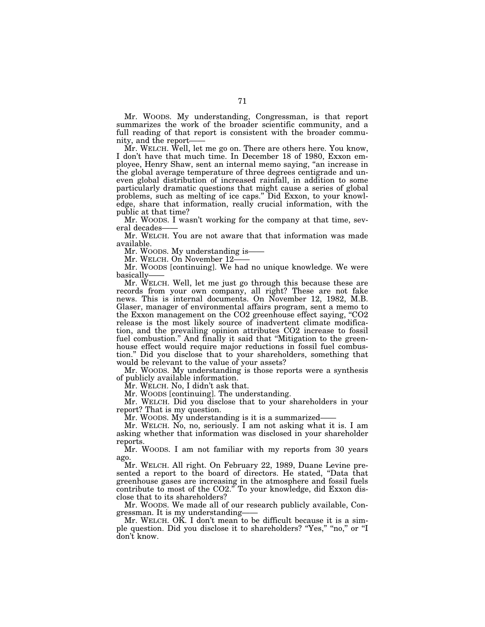Mr. WOODS. My understanding, Congressman, is that report summarizes the work of the broader scientific community, and a full reading of that report is consistent with the broader community, and the report-

Mr. WELCH. Well, let me go on. There are others here. You know, I don't have that much time. In December 18 of 1980, Exxon employee, Henry Shaw, sent an internal memo saying, ''an increase in the global average temperature of three degrees centigrade and uneven global distribution of increased rainfall, in addition to some particularly dramatic questions that might cause a series of global problems, such as melting of ice caps.'' Did Exxon, to your knowledge, share that information, really crucial information, with the public at that time?

Mr. WOODS. I wasn't working for the company at that time, several decades——

Mr. WELCH. You are not aware that that information was made available.

Mr. WOODS. My understanding is-

Mr. WELCH. On November 12-

Mr. WOODS [continuing]. We had no unique knowledge. We were basically——

Mr. WELCH. Well, let me just go through this because these are records from your own company, all right? These are not fake news. This is internal documents. On November 12, 1982, M.B. Glaser, manager of environmental affairs program, sent a memo to the Exxon management on the CO2 greenhouse effect saying, ''CO2 release is the most likely source of inadvertent climate modification, and the prevailing opinion attributes CO2 increase to fossil fuel combustion.'' And finally it said that ''Mitigation to the greenhouse effect would require major reductions in fossil fuel combustion.'' Did you disclose that to your shareholders, something that would be relevant to the value of your assets?

Mr. WOODS. My understanding is those reports were a synthesis of publicly available information.

Mr. WELCH. No, I didn't ask that.

Mr. WOODS [continuing]. The understanding.

Mr. WELCH. Did you disclose that to your shareholders in your report? That is my question.

Mr. WOODS. My understanding is it is a summarized–

Mr. WELCH. No, no, seriously. I am not asking what it is. I am asking whether that information was disclosed in your shareholder reports.

Mr. WOODS. I am not familiar with my reports from 30 years ago.

Mr. WELCH. All right. On February 22, 1989, Duane Levine presented a report to the board of directors. He stated, ''Data that greenhouse gases are increasing in the atmosphere and fossil fuels contribute to most of the CO2.'' To your knowledge, did Exxon disclose that to its shareholders?

Mr. WOODS. We made all of our research publicly available, Congressman. It is my understanding——

Mr. WELCH. OK. I don't mean to be difficult because it is a simple question. Did you disclose it to shareholders? ''Yes,'' ''no,'' or ''I don't know.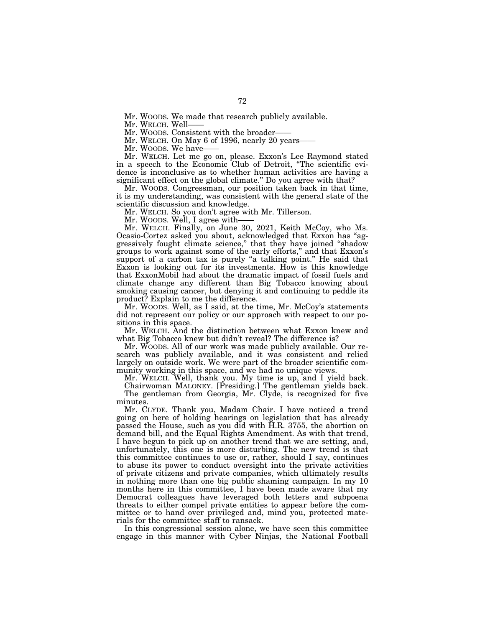Mr. WOODS. We made that research publicly available.

Mr. WELCH. Well-

Mr. WOODS. Consistent with the broader——

Mr. WELCH. On May 6 of 1996, nearly 20 years-

Mr. WOODS. We have-

Mr. WELCH. Let me go on, please. Exxon's Lee Raymond stated in a speech to the Economic Club of Detroit, ''The scientific evidence is inconclusive as to whether human activities are having a significant effect on the global climate.'' Do you agree with that?

Mr. WOODS. Congressman, our position taken back in that time, it is my understanding, was consistent with the general state of the scientific discussion and knowledge.

Mr. WELCH. So you don't agree with Mr. Tillerson.

Mr. WOODS. Well, I agree with-

Mr. WELCH. Finally, on June 30, 2021, Keith McCoy, who Ms. Ocasio-Cortez asked you about, acknowledged that Exxon has ''aggressively fought climate science,'' that they have joined ''shadow groups to work against some of the early efforts,'' and that Exxon's support of a carbon tax is purely "a talking point." He said that Exxon is looking out for its investments. How is this knowledge that ExxonMobil had about the dramatic impact of fossil fuels and climate change any different than Big Tobacco knowing about smoking causing cancer, but denying it and continuing to peddle its product? Explain to me the difference.

Mr. WOODS. Well, as I said, at the time, Mr. McCoy's statements did not represent our policy or our approach with respect to our positions in this space.

Mr. WELCH. And the distinction between what Exxon knew and what Big Tobacco knew but didn't reveal? The difference is?

Mr. WOODS. All of our work was made publicly available. Our research was publicly available, and it was consistent and relied largely on outside work. We were part of the broader scientific community working in this space, and we had no unique views.

Mr. WELCH. Well, thank you. My time is up, and I yield back.

Chairwoman MALONEY. [Presiding.] The gentleman yields back. The gentleman from Georgia, Mr. Clyde, is recognized for five minutes.

Mr. CLYDE. Thank you, Madam Chair. I have noticed a trend going on here of holding hearings on legislation that has already passed the House, such as you did with H.R. 3755, the abortion on demand bill, and the Equal Rights Amendment. As with that trend, I have begun to pick up on another trend that we are setting, and, unfortunately, this one is more disturbing. The new trend is that this committee continues to use or, rather, should I say, continues to abuse its power to conduct oversight into the private activities of private citizens and private companies, which ultimately results in nothing more than one big public shaming campaign. In my 10 months here in this committee, I have been made aware that my Democrat colleagues have leveraged both letters and subpoena threats to either compel private entities to appear before the committee or to hand over privileged and, mind you, protected materials for the committee staff to ransack.

In this congressional session alone, we have seen this committee engage in this manner with Cyber Ninjas, the National Football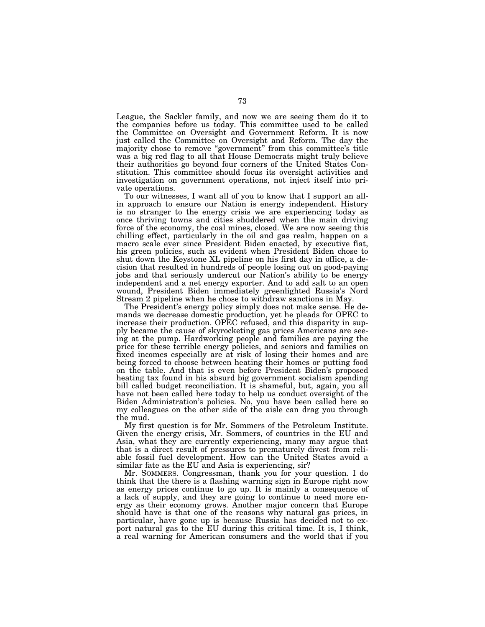League, the Sackler family, and now we are seeing them do it to the companies before us today. This committee used to be called the Committee on Oversight and Government Reform. It is now just called the Committee on Oversight and Reform. The day the majority chose to remove "government" from this committee's title was a big red flag to all that House Democrats might truly believe their authorities go beyond four corners of the United States Constitution. This committee should focus its oversight activities and investigation on government operations, not inject itself into private operations.

To our witnesses, I want all of you to know that I support an allin approach to ensure our Nation is energy independent. History is no stranger to the energy crisis we are experiencing today as once thriving towns and cities shuddered when the main driving force of the economy, the coal mines, closed. We are now seeing this chilling effect, particularly in the oil and gas realm, happen on a macro scale ever since President Biden enacted, by executive fiat, his green policies, such as evident when President Biden chose to shut down the Keystone XL pipeline on his first day in office, a decision that resulted in hundreds of people losing out on good-paying jobs and that seriously undercut our Nation's ability to be energy independent and a net energy exporter. And to add salt to an open wound, President Biden immediately greenlighted Russia's Nord Stream 2 pipeline when he chose to withdraw sanctions in May.

The President's energy policy simply does not make sense. He demands we decrease domestic production, yet he pleads for OPEC to increase their production. OPEC refused, and this disparity in supply became the cause of skyrocketing gas prices Americans are seeing at the pump. Hardworking people and families are paying the price for these terrible energy policies, and seniors and families on fixed incomes especially are at risk of losing their homes and are being forced to choose between heating their homes or putting food on the table. And that is even before President Biden's proposed heating tax found in his absurd big government socialism spending bill called budget reconciliation. It is shameful, but, again, you all have not been called here today to help us conduct oversight of the Biden Administration's policies. No, you have been called here so my colleagues on the other side of the aisle can drag you through the mud.

My first question is for Mr. Sommers of the Petroleum Institute. Given the energy crisis, Mr. Sommers, of countries in the EU and Asia, what they are currently experiencing, many may argue that that is a direct result of pressures to prematurely divest from reliable fossil fuel development. How can the United States avoid a similar fate as the EU and Asia is experiencing, sir?

Mr. SOMMERS. Congressman, thank you for your question. I do think that the there is a flashing warning sign in Europe right now as energy prices continue to go up. It is mainly a consequence of a lack of supply, and they are going to continue to need more energy as their economy grows. Another major concern that Europe should have is that one of the reasons why natural gas prices, in particular, have gone up is because Russia has decided not to export natural gas to the EU during this critical time. It is, I think, a real warning for American consumers and the world that if you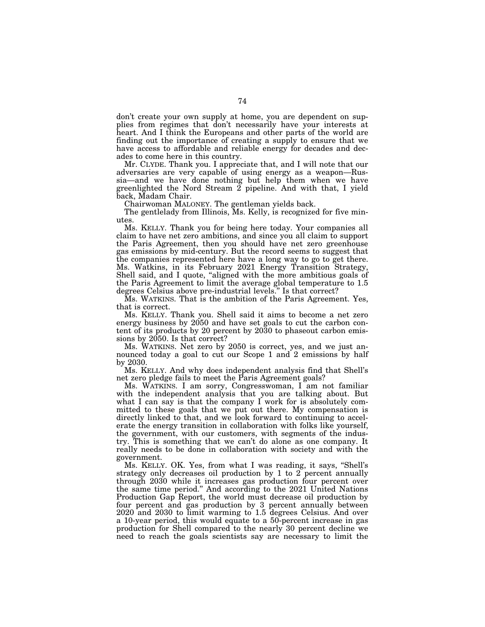don't create your own supply at home, you are dependent on supplies from regimes that don't necessarily have your interests at heart. And I think the Europeans and other parts of the world are finding out the importance of creating a supply to ensure that we have access to affordable and reliable energy for decades and decades to come here in this country.

Mr. CLYDE. Thank you. I appreciate that, and I will note that our adversaries are very capable of using energy as a weapon—Russia—and we have done nothing but help them when we have greenlighted the Nord Stream 2 pipeline. And with that, I yield back, Madam Chair.

Chairwoman MALONEY. The gentleman yields back.

The gentlelady from Illinois, Ms. Kelly, is recognized for five minutes.

Ms. KELLY. Thank you for being here today. Your companies all claim to have net zero ambitions, and since you all claim to support the Paris Agreement, then you should have net zero greenhouse gas emissions by mid-century. But the record seems to suggest that the companies represented here have a long way to go to get there. Ms. Watkins, in its February 2021 Energy Transition Strategy, Shell said, and I quote, "aligned with the more ambitious goals of the Paris Agreement to limit the average global temperature to 1.5 degrees Celsius above pre-industrial levels.'' Is that correct?

Ms. WATKINS. That is the ambition of the Paris Agreement. Yes, that is correct.

Ms. KELLY. Thank you. Shell said it aims to become a net zero energy business by 2050 and have set goals to cut the carbon content of its products by 20 percent by 2030 to phaseout carbon emissions by 2050. Is that correct?

Ms. WATKINS. Net zero by 2050 is correct, yes, and we just announced today a goal to cut our Scope 1 and 2 emissions by half by 2030.

Ms. KELLY. And why does independent analysis find that Shell's net zero pledge fails to meet the Paris Agreement goals?

Ms. WATKINS. I am sorry, Congresswoman, I am not familiar with the independent analysis that you are talking about. But what I can say is that the company I work for is absolutely committed to these goals that we put out there. My compensation is directly linked to that, and we look forward to continuing to accelerate the energy transition in collaboration with folks like yourself, the government, with our customers, with segments of the industry. This is something that we can't do alone as one company. It really needs to be done in collaboration with society and with the government.

Ms. KELLY. OK. Yes, from what I was reading, it says, ''Shell's strategy only decreases oil production by 1 to 2 percent annually through 2030 while it increases gas production four percent over the same time period.'' And according to the 2021 United Nations Production Gap Report, the world must decrease oil production by four percent and gas production by 3 percent annually between 2020 and 2030 to limit warming to 1.5 degrees Celsius. And over a 10-year period, this would equate to a 50-percent increase in gas production for Shell compared to the nearly 30 percent decline we need to reach the goals scientists say are necessary to limit the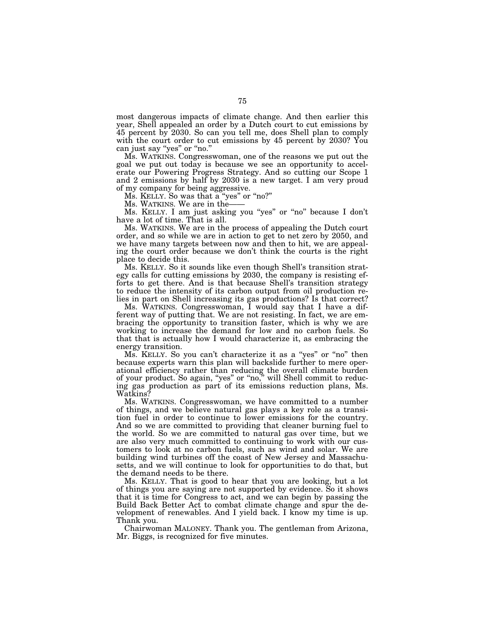most dangerous impacts of climate change. And then earlier this year, Shell appealed an order by a Dutch court to cut emissions by 45 percent by 2030. So can you tell me, does Shell plan to comply with the court order to cut emissions by 45 percent by 2030? You can just say "yes" or "no."

Ms. WATKINS. Congresswoman, one of the reasons we put out the goal we put out today is because we see an opportunity to accelerate our Powering Progress Strategy. And so cutting our Scope 1 and 2 emissions by half by 2030 is a new target. I am very proud of my company for being aggressive.

Ms. KELLY. So was that a "yes" or "no?"

Ms. WATKINS. We are in the——

Ms. KELLY. I am just asking you "yes" or "no" because I don't have a lot of time. That is all.

Ms. WATKINS. We are in the process of appealing the Dutch court order, and so while we are in action to get to net zero by 2050, and we have many targets between now and then to hit, we are appealing the court order because we don't think the courts is the right place to decide this.

Ms. KELLY. So it sounds like even though Shell's transition strategy calls for cutting emissions by 2030, the company is resisting efforts to get there. And is that because Shell's transition strategy to reduce the intensity of its carbon output from oil production relies in part on Shell increasing its gas productions? Is that correct?

Ms. WATKINS. Congresswoman, I would say that I have a different way of putting that. We are not resisting. In fact, we are embracing the opportunity to transition faster, which is why we are working to increase the demand for low and no carbon fuels. So that that is actually how I would characterize it, as embracing the energy transition.

Ms. KELLY. So you can't characterize it as a "yes" or "no" then because experts warn this plan will backslide further to mere operational efficiency rather than reducing the overall climate burden of your product. So again, ''yes'' or ''no,'' will Shell commit to reducing gas production as part of its emissions reduction plans, Ms. Watkins?

Ms. WATKINS. Congresswoman, we have committed to a number of things, and we believe natural gas plays a key role as a transition fuel in order to continue to lower emissions for the country. And so we are committed to providing that cleaner burning fuel to the world. So we are committed to natural gas over time, but we are also very much committed to continuing to work with our customers to look at no carbon fuels, such as wind and solar. We are building wind turbines off the coast of New Jersey and Massachusetts, and we will continue to look for opportunities to do that, but the demand needs to be there.

Ms. KELLY. That is good to hear that you are looking, but a lot of things you are saying are not supported by evidence. So it shows that it is time for Congress to act, and we can begin by passing the Build Back Better Act to combat climate change and spur the development of renewables. And I yield back. I know my time is up. Thank you.

Chairwoman MALONEY. Thank you. The gentleman from Arizona, Mr. Biggs, is recognized for five minutes.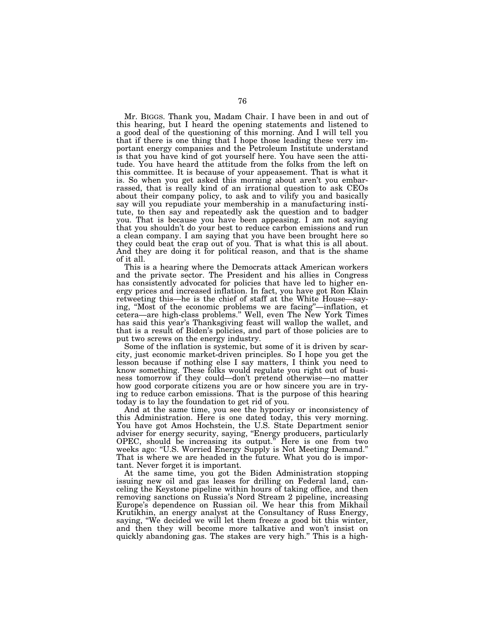Mr. BIGGS. Thank you, Madam Chair. I have been in and out of this hearing, but I heard the opening statements and listened to a good deal of the questioning of this morning. And I will tell you that if there is one thing that I hope those leading these very important energy companies and the Petroleum Institute understand is that you have kind of got yourself here. You have seen the attitude. You have heard the attitude from the folks from the left on this committee. It is because of your appeasement. That is what it is. So when you get asked this morning about aren't you embarrassed, that is really kind of an irrational question to ask CEOs about their company policy, to ask and to vilify you and basically say will you repudiate your membership in a manufacturing institute, to then say and repeatedly ask the question and to badger you. That is because you have been appeasing. I am not saying that you shouldn't do your best to reduce carbon emissions and run a clean company. I am saying that you have been brought here so they could beat the crap out of you. That is what this is all about. And they are doing it for political reason, and that is the shame of it all.

This is a hearing where the Democrats attack American workers and the private sector. The President and his allies in Congress has consistently advocated for policies that have led to higher energy prices and increased inflation. In fact, you have got Ron Klain retweeting this—he is the chief of staff at the White House—saying, ''Most of the economic problems we are facing''—inflation, et cetera—are high-class problems.'' Well, even The New York Times has said this year's Thanksgiving feast will wallop the wallet, and that is a result of Biden's policies, and part of those policies are to put two screws on the energy industry.

Some of the inflation is systemic, but some of it is driven by scarcity, just economic market-driven principles. So I hope you get the lesson because if nothing else I say matters, I think you need to know something. These folks would regulate you right out of business tomorrow if they could—don't pretend otherwise—no matter how good corporate citizens you are or how sincere you are in trying to reduce carbon emissions. That is the purpose of this hearing today is to lay the foundation to get rid of you.

And at the same time, you see the hypocrisy or inconsistency of this Administration. Here is one dated today, this very morning. You have got Amos Hochstein, the U.S. State Department senior adviser for energy security, saying, ''Energy producers, particularly OPEC, should be increasing its output.'' Here is one from two weeks ago: ''U.S. Worried Energy Supply is Not Meeting Demand.'' That is where we are headed in the future. What you do is important. Never forget it is important.

At the same time, you got the Biden Administration stopping issuing new oil and gas leases for drilling on Federal land, canceling the Keystone pipeline within hours of taking office, and then removing sanctions on Russia's Nord Stream 2 pipeline, increasing Europe's dependence on Russian oil. We hear this from Mikhail Krutikhin, an energy analyst at the Consultancy of Russ Energy, saying, "We decided we will let them freeze a good bit this winter, and then they will become more talkative and won't insist on quickly abandoning gas. The stakes are very high.'' This is a high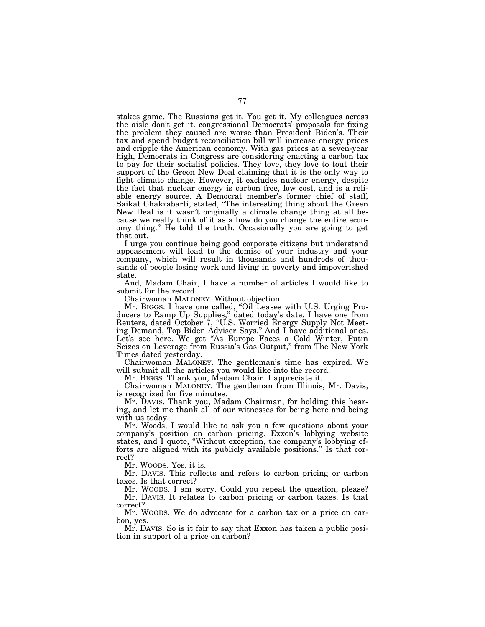stakes game. The Russians get it. You get it. My colleagues across the aisle don't get it. congressional Democrats' proposals for fixing the problem they caused are worse than President Biden's. Their tax and spend budget reconciliation bill will increase energy prices and cripple the American economy. With gas prices at a seven-year high, Democrats in Congress are considering enacting a carbon tax to pay for their socialist policies. They love, they love to tout their support of the Green New Deal claiming that it is the only way to fight climate change. However, it excludes nuclear energy, despite the fact that nuclear energy is carbon free, low cost, and is a reliable energy source. A Democrat member's former chief of staff, Saikat Chakrabarti, stated, "The interesting thing about the Green New Deal is it wasn't originally a climate change thing at all because we really think of it as a how do you change the entire economy thing.'' He told the truth. Occasionally you are going to get that out.

I urge you continue being good corporate citizens but understand appeasement will lead to the demise of your industry and your company, which will result in thousands and hundreds of thousands of people losing work and living in poverty and impoverished state.

And, Madam Chair, I have a number of articles I would like to submit for the record.

Chairwoman MALONEY. Without objection.

Mr. BIGGS. I have one called, "Oil Leases with U.S. Urging Producers to Ramp Up Supplies,'' dated today's date. I have one from Reuters, dated October 7, "U.S. Worried Energy Supply Not Meeting Demand, Top Biden Adviser Says.'' And I have additional ones. Let's see here. We got ''As Europe Faces a Cold Winter, Putin Seizes on Leverage from Russia's Gas Output,'' from The New York Times dated yesterday.

Chairwoman MALONEY. The gentleman's time has expired. We will submit all the articles you would like into the record.

Mr. BIGGS. Thank you, Madam Chair. I appreciate it.

Chairwoman MALONEY. The gentleman from Illinois, Mr. Davis, is recognized for five minutes.

Mr. DAVIS. Thank you, Madam Chairman, for holding this hearing, and let me thank all of our witnesses for being here and being with us today.

Mr. Woods, I would like to ask you a few questions about your company's position on carbon pricing. Exxon's lobbying website states, and I quote, ''Without exception, the company's lobbying efforts are aligned with its publicly available positions." Is that correct?

Mr. WOODS. Yes, it is.

Mr. DAVIS. This reflects and refers to carbon pricing or carbon taxes. Is that correct?

Mr. WOODS. I am sorry. Could you repeat the question, please? Mr. DAVIS. It relates to carbon pricing or carbon taxes. Is that correct?

Mr. WOODS. We do advocate for a carbon tax or a price on carbon, yes.

Mr. DAVIS. So is it fair to say that Exxon has taken a public position in support of a price on carbon?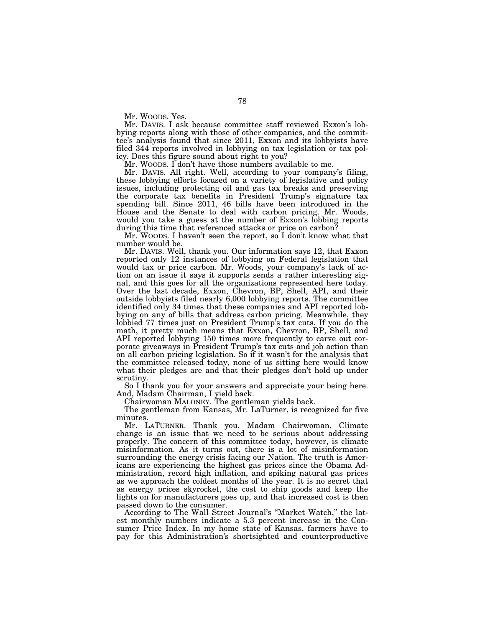Mr. WOODS. Yes.

Mr. DAVIS. I ask because committee staff reviewed Exxon's lobbying reports along with those of other companies, and the committee's analysis found that since 2011, Exxon and its lobbyists have filed 344 reports involved in lobbying on tax legislation or tax policy. Does this figure sound about right to you?

Mr. WOODS. I don't have those numbers available to me.

Mr. DAVIS. All right. Well, according to your company's filing, these lobbying efforts focused on a variety of legislative and policy issues, including protecting oil and gas tax breaks and preserving the corporate tax benefits in President Trump's signature tax spending bill. Since 2011, 46 bills have been introduced in the House and the Senate to deal with carbon pricing. Mr. Woods, would you take a guess at the number of Exxon's lobbing reports during this time that referenced attacks or price on carbon?

Mr. WOODS. I haven't seen the report, so I don't know what that number would be.

Mr. DAVIS. Well, thank you. Our information says 12, that Exxon reported only 12 instances of lobbying on Federal legislation that would tax or price carbon. Mr. Woods, your company's lack of action on an issue it says it supports sends a rather interesting signal, and this goes for all the organizations represented here today. Over the last decade, Exxon, Chevron, BP, Shell, API, and their outside lobbyists filed nearly 6,000 lobbying reports. The committee identified only 34 times that these companies and API reported lobbying on any of bills that address carbon pricing. Meanwhile, they lobbied 77 times just on President Trump's tax cuts. If you do the math, it pretty much means that Exxon, Chevron, BP, Shell, and API reported lobbying 150 times more frequently to carve out corporate giveaways in President Trump's tax cuts and job action than on all carbon pricing legislation. So if it wasn't for the analysis that the committee released today, none of us sitting here would know what their pledges are and that their pledges don't hold up under scrutiny.

So I thank you for your answers and appreciate your being here. And, Madam Chairman, I yield back.

Chairwoman MALONEY. The gentleman yields back.

The gentleman from Kansas, Mr. LaTurner, is recognized for five minutes.

Mr. LATURNER. Thank you, Madam Chairwoman. Climate change is an issue that we need to be serious about addressing properly. The concern of this committee today, however, is climate misinformation. As it turns out, there is a lot of misinformation surrounding the energy crisis facing our Nation. The truth is Americans are experiencing the highest gas prices since the Obama Administration, record high inflation, and spiking natural gas prices as we approach the coldest months of the year. It is no secret that as energy prices skyrocket, the cost to ship goods and keep the lights on for manufacturers goes up, and that increased cost is then passed down to the consumer.

According to The Wall Street Journal's ''Market Watch,'' the latest monthly numbers indicate a 5.3 percent increase in the Consumer Price Index. In my home state of Kansas, farmers have to pay for this Administration's shortsighted and counterproductive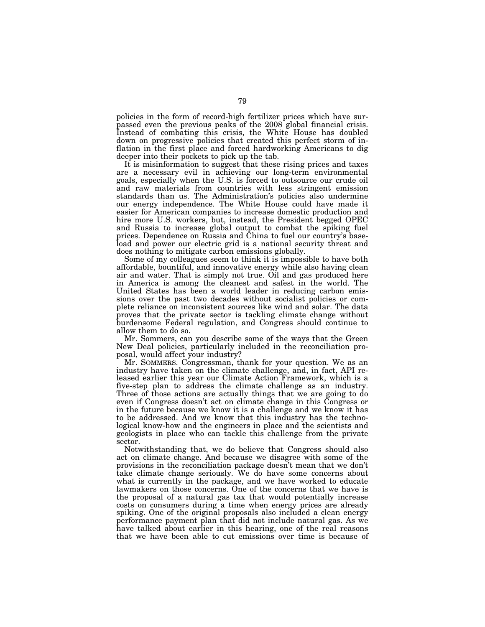policies in the form of record-high fertilizer prices which have surpassed even the previous peaks of the 2008 global financial crisis. Instead of combating this crisis, the White House has doubled down on progressive policies that created this perfect storm of inflation in the first place and forced hardworking Americans to dig deeper into their pockets to pick up the tab.

It is misinformation to suggest that these rising prices and taxes are a necessary evil in achieving our long-term environmental goals, especially when the U.S. is forced to outsource our crude oil and raw materials from countries with less stringent emission standards than us. The Administration's policies also undermine our energy independence. The White House could have made it easier for American companies to increase domestic production and hire more U.S. workers, but, instead, the President begged OPEC and Russia to increase global output to combat the spiking fuel prices. Dependence on Russia and China to fuel our country's baseload and power our electric grid is a national security threat and does nothing to mitigate carbon emissions globally.

Some of my colleagues seem to think it is impossible to have both affordable, bountiful, and innovative energy while also having clean air and water. That is simply not true. Oil and gas produced here in America is among the cleanest and safest in the world. The United States has been a world leader in reducing carbon emissions over the past two decades without socialist policies or complete reliance on inconsistent sources like wind and solar. The data proves that the private sector is tackling climate change without burdensome Federal regulation, and Congress should continue to allow them to do so.

Mr. Sommers, can you describe some of the ways that the Green New Deal policies, particularly included in the reconciliation proposal, would affect your industry?

Mr. SOMMERS. Congressman, thank for your question. We as an industry have taken on the climate challenge, and, in fact, API released earlier this year our Climate Action Framework, which is a five-step plan to address the climate challenge as an industry. Three of those actions are actually things that we are going to do even if Congress doesn't act on climate change in this Congress or in the future because we know it is a challenge and we know it has to be addressed. And we know that this industry has the technological know-how and the engineers in place and the scientists and geologists in place who can tackle this challenge from the private sector.

Notwithstanding that, we do believe that Congress should also act on climate change. And because we disagree with some of the provisions in the reconciliation package doesn't mean that we don't take climate change seriously. We do have some concerns about what is currently in the package, and we have worked to educate lawmakers on those concerns. One of the concerns that we have is the proposal of a natural gas tax that would potentially increase costs on consumers during a time when energy prices are already spiking. One of the original proposals also included a clean energy performance payment plan that did not include natural gas. As we have talked about earlier in this hearing, one of the real reasons that we have been able to cut emissions over time is because of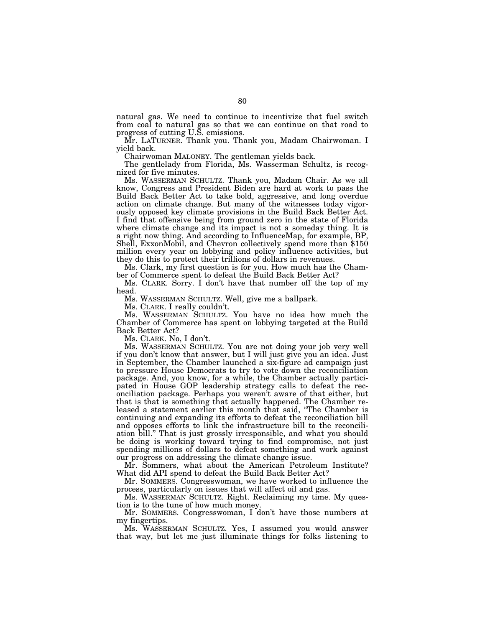natural gas. We need to continue to incentivize that fuel switch from coal to natural gas so that we can continue on that road to progress of cutting U.S. emissions.

Mr. LATURNER. Thank you. Thank you, Madam Chairwoman. I yield back.

Chairwoman MALONEY. The gentleman yields back.

The gentlelady from Florida, Ms. Wasserman Schultz, is recognized for five minutes.

Ms. WASSERMAN SCHULTZ. Thank you, Madam Chair. As we all know, Congress and President Biden are hard at work to pass the Build Back Better Act to take bold, aggressive, and long overdue action on climate change. But many of the witnesses today vigorously opposed key climate provisions in the Build Back Better Act. I find that offensive being from ground zero in the state of Florida where climate change and its impact is not a someday thing. It is a right now thing. And according to InfluenceMap, for example, BP, Shell, ExxonMobil, and Chevron collectively spend more than \$150 million every year on lobbying and policy influence activities, but they do this to protect their trillions of dollars in revenues.

Ms. Clark, my first question is for you. How much has the Chamber of Commerce spent to defeat the Build Back Better Act?

Ms. CLARK. Sorry. I don't have that number off the top of my head.

Ms. WASSERMAN SCHULTZ. Well, give me a ballpark.

Ms. CLARK. I really couldn't.

Ms. WASSERMAN SCHULTZ. You have no idea how much the Chamber of Commerce has spent on lobbying targeted at the Build Back Better Act?

Ms. CLARK. No, I don't.

Ms. WASSERMAN SCHULTZ. You are not doing your job very well if you don't know that answer, but I will just give you an idea. Just in September, the Chamber launched a six-figure ad campaign just to pressure House Democrats to try to vote down the reconciliation package. And, you know, for a while, the Chamber actually participated in House GOP leadership strategy calls to defeat the reconciliation package. Perhaps you weren't aware of that either, but that is that is something that actually happened. The Chamber released a statement earlier this month that said, ''The Chamber is continuing and expanding its efforts to defeat the reconciliation bill and opposes efforts to link the infrastructure bill to the reconciliation bill.'' That is just grossly irresponsible, and what you should be doing is working toward trying to find compromise, not just spending millions of dollars to defeat something and work against our progress on addressing the climate change issue.

Mr. Sommers, what about the American Petroleum Institute? What did API spend to defeat the Build Back Better Act?

Mr. SOMMERS. Congresswoman, we have worked to influence the process, particularly on issues that will affect oil and gas.

Ms. WASSERMAN SCHULTZ. Right. Reclaiming my time. My question is to the tune of how much money.

Mr. SOMMERS. Congresswoman, I don't have those numbers at my fingertips.

Ms. WASSERMAN SCHULTZ. Yes, I assumed you would answer that way, but let me just illuminate things for folks listening to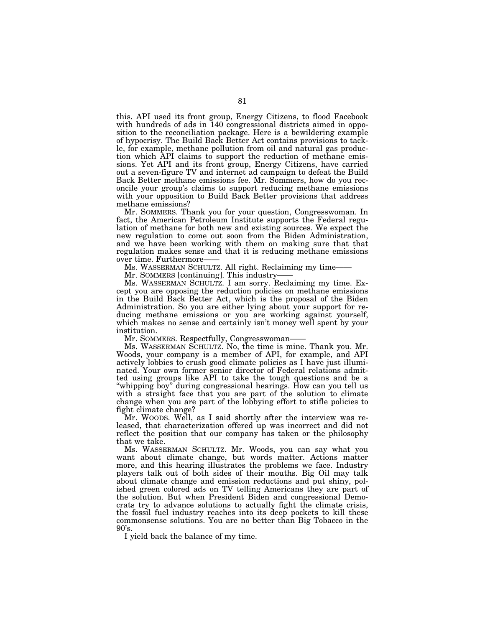this. API used its front group, Energy Citizens, to flood Facebook with hundreds of ads in 140 congressional districts aimed in opposition to the reconciliation package. Here is a bewildering example of hypocrisy. The Build Back Better Act contains provisions to tackle, for example, methane pollution from oil and natural gas production which API claims to support the reduction of methane emissions. Yet API and its front group, Energy Citizens, have carried out a seven-figure TV and internet ad campaign to defeat the Build Back Better methane emissions fee. Mr. Sommers, how do you reconcile your group's claims to support reducing methane emissions with your opposition to Build Back Better provisions that address methane emissions?

Mr. SOMMERS. Thank you for your question, Congresswoman. In fact, the American Petroleum Institute supports the Federal regulation of methane for both new and existing sources. We expect the new regulation to come out soon from the Biden Administration, and we have been working with them on making sure that that regulation makes sense and that it is reducing methane emissions over time. Furthermore-

Ms. WASSERMAN SCHULTZ. All right. Reclaiming my time——

Mr. SOMMERS [continuing]. This industry——

Ms. WASSERMAN SCHULTZ. I am sorry. Reclaiming my time. Except you are opposing the reduction policies on methane emissions in the Build Back Better Act, which is the proposal of the Biden Administration. So you are either lying about your support for reducing methane emissions or you are working against yourself, which makes no sense and certainly isn't money well spent by your institution.

Mr. SOMMERS. Respectfully, Congresswoman-

Ms. WASSERMAN SCHULTZ. No, the time is mine. Thank you. Mr. Woods, your company is a member of API, for example, and API actively lobbies to crush good climate policies as I have just illuminated. Your own former senior director of Federal relations admitted using groups like API to take the tough questions and be a ''whipping boy'' during congressional hearings. How can you tell us with a straight face that you are part of the solution to climate change when you are part of the lobbying effort to stifle policies to fight climate change?

Mr. WOODS. Well, as I said shortly after the interview was released, that characterization offered up was incorrect and did not reflect the position that our company has taken or the philosophy that we take.

Ms. WASSERMAN SCHULTZ. Mr. Woods, you can say what you want about climate change, but words matter. Actions matter more, and this hearing illustrates the problems we face. Industry players talk out of both sides of their mouths. Big Oil may talk about climate change and emission reductions and put shiny, polished green colored ads on TV telling Americans they are part of the solution. But when President Biden and congressional Democrats try to advance solutions to actually fight the climate crisis, the fossil fuel industry reaches into its deep pockets to kill these commonsense solutions. You are no better than Big Tobacco in the  $90's.$ 

I yield back the balance of my time.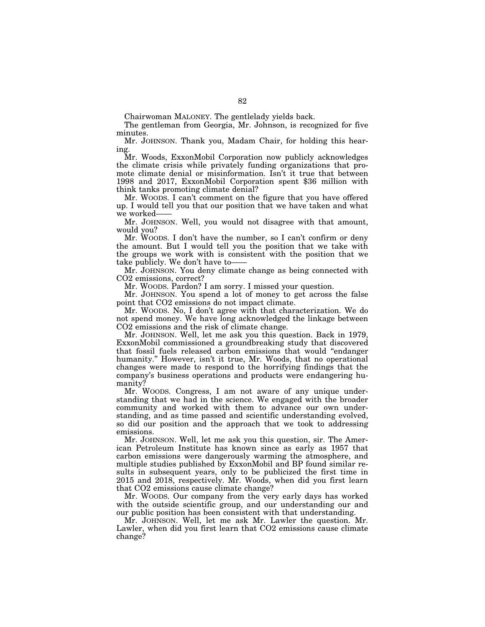Chairwoman MALONEY. The gentlelady yields back.

The gentleman from Georgia, Mr. Johnson, is recognized for five minutes.

Mr. JOHNSON. Thank you, Madam Chair, for holding this hearing.

Mr. Woods, ExxonMobil Corporation now publicly acknowledges the climate crisis while privately funding organizations that promote climate denial or misinformation. Isn't it true that between 1998 and 2017, ExxonMobil Corporation spent \$36 million with think tanks promoting climate denial?

Mr. WOODS. I can't comment on the figure that you have offered up. I would tell you that our position that we have taken and what we worked-

Mr. JOHNSON. Well, you would not disagree with that amount, would you?

Mr. WOODS. I don't have the number, so I can't confirm or deny the amount. But I would tell you the position that we take with the groups we work with is consistent with the position that we take publicly. We don't have to——

Mr. JOHNSON. You deny climate change as being connected with CO2 emissions, correct?

Mr. WOODS. Pardon? I am sorry. I missed your question.

Mr. JOHNSON. You spend a lot of money to get across the false point that CO2 emissions do not impact climate.

Mr. WOODS. No, I don't agree with that characterization. We do not spend money. We have long acknowledged the linkage between CO2 emissions and the risk of climate change.

Mr. JOHNSON. Well, let me ask you this question. Back in 1979, ExxonMobil commissioned a groundbreaking study that discovered that fossil fuels released carbon emissions that would ''endanger humanity.'' However, isn't it true, Mr. Woods, that no operational changes were made to respond to the horrifying findings that the company's business operations and products were endangering humanity?

Mr. WOODS. Congress, I am not aware of any unique understanding that we had in the science. We engaged with the broader community and worked with them to advance our own understanding, and as time passed and scientific understanding evolved, so did our position and the approach that we took to addressing emissions.

Mr. JOHNSON. Well, let me ask you this question, sir. The American Petroleum Institute has known since as early as 1957 that carbon emissions were dangerously warming the atmosphere, and multiple studies published by ExxonMobil and BP found similar results in subsequent years, only to be publicized the first time in 2015 and 2018, respectively. Mr. Woods, when did you first learn that CO2 emissions cause climate change?

Mr. WOODS. Our company from the very early days has worked with the outside scientific group, and our understanding our and our public position has been consistent with that understanding.

Mr. JOHNSON. Well, let me ask Mr. Lawler the question. Mr. Lawler, when did you first learn that CO2 emissions cause climate change?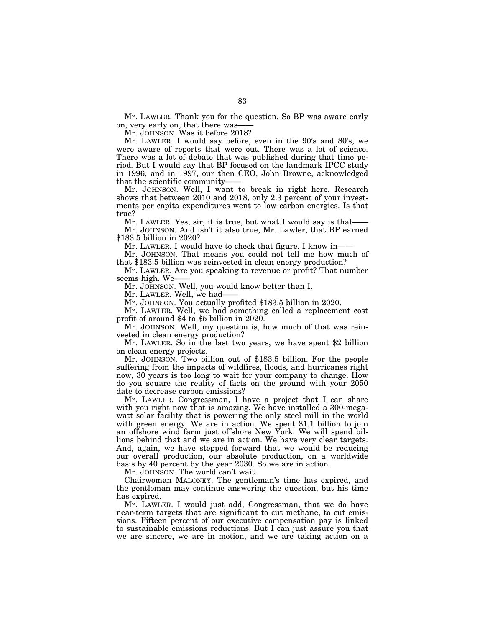Mr. LAWLER. Thank you for the question. So BP was aware early on, very early on, that there was-

Mr. JOHNSON. Was it before 2018?

Mr. LAWLER. I would say before, even in the 90's and 80's, we were aware of reports that were out. There was a lot of science. There was a lot of debate that was published during that time period. But I would say that BP focused on the landmark IPCC study in 1996, and in 1997, our then CEO, John Browne, acknowledged that the scientific community-

Mr. JOHNSON. Well, I want to break in right here. Research shows that between 2010 and 2018, only 2.3 percent of your investments per capita expenditures went to low carbon energies. Is that true?

Mr. LAWLER. Yes, sir, it is true, but what I would say is that-Mr. JOHNSON. And isn't it also true, Mr. Lawler, that BP earned \$183.5 billion in 2020?

Mr. LAWLER. I would have to check that figure. I know in-Mr. JOHNSON. That means you could not tell me how much of

that \$183.5 billion was reinvested in clean energy production?

Mr. LAWLER. Are you speaking to revenue or profit? That number seems high. We-

Mr. JOHNSON. Well, you would know better than I.

Mr. LAWLER. Well, we had-

Mr. JOHNSON. You actually profited \$183.5 billion in 2020.

Mr. LAWLER. Well, we had something called a replacement cost profit of around \$4 to \$5 billion in 2020.

Mr. JOHNSON. Well, my question is, how much of that was reinvested in clean energy production?

Mr. LAWLER. So in the last two years, we have spent \$2 billion on clean energy projects.

Mr. JOHNSON. Two billion out of \$183.5 billion. For the people suffering from the impacts of wildfires, floods, and hurricanes right now, 30 years is too long to wait for your company to change. How do you square the reality of facts on the ground with your 2050 date to decrease carbon emissions?

Mr. LAWLER. Congressman, I have a project that I can share with you right now that is amazing. We have installed a 300-megawatt solar facility that is powering the only steel mill in the world with green energy. We are in action. We spent \$1.1 billion to join an offshore wind farm just offshore New York. We will spend billions behind that and we are in action. We have very clear targets. And, again, we have stepped forward that we would be reducing our overall production, our absolute production, on a worldwide basis by 40 percent by the year 2030. So we are in action.

Mr. JOHNSON. The world can't wait.

Chairwoman MALONEY. The gentleman's time has expired, and the gentleman may continue answering the question, but his time has expired.

Mr. LAWLER. I would just add, Congressman, that we do have near-term targets that are significant to cut methane, to cut emissions. Fifteen percent of our executive compensation pay is linked to sustainable emissions reductions. But I can just assure you that we are sincere, we are in motion, and we are taking action on a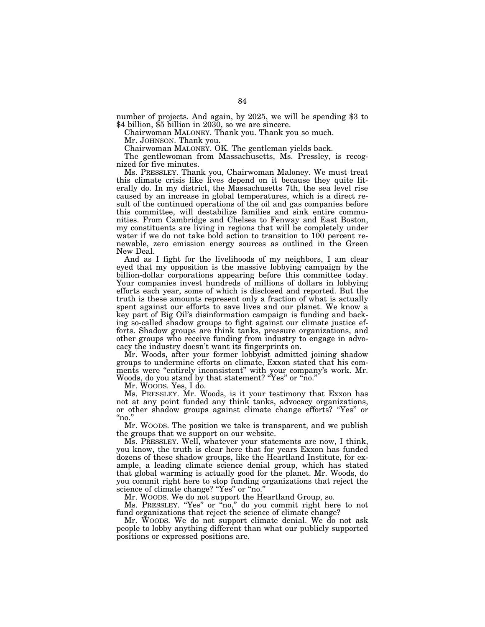number of projects. And again, by 2025, we will be spending \$3 to \$4 billion, \$5 billion in 2030, so we are sincere.

Chairwoman MALONEY. Thank you. Thank you so much.

Mr. JOHNSON. Thank you.

Chairwoman MALONEY. OK. The gentleman yields back.

The gentlewoman from Massachusetts, Ms. Pressley, is recognized for five minutes.

Ms. PRESSLEY. Thank you, Chairwoman Maloney. We must treat this climate crisis like lives depend on it because they quite literally do. In my district, the Massachusetts 7th, the sea level rise caused by an increase in global temperatures, which is a direct result of the continued operations of the oil and gas companies before this committee, will destabilize families and sink entire communities. From Cambridge and Chelsea to Fenway and East Boston, my constituents are living in regions that will be completely under water if we do not take bold action to transition to 100 percent renewable, zero emission energy sources as outlined in the Green New Deal.

And as I fight for the livelihoods of my neighbors, I am clear eyed that my opposition is the massive lobbying campaign by the billion-dollar corporations appearing before this committee today. Your companies invest hundreds of millions of dollars in lobbying efforts each year, some of which is disclosed and reported. But the truth is these amounts represent only a fraction of what is actually spent against our efforts to save lives and our planet. We know a key part of Big Oil's disinformation campaign is funding and backing so-called shadow groups to fight against our climate justice efforts. Shadow groups are think tanks, pressure organizations, and other groups who receive funding from industry to engage in advocacy the industry doesn't want its fingerprints on.

Mr. Woods, after your former lobbyist admitted joining shadow groups to undermine efforts on climate, Exxon stated that his comments were "entirely inconsistent" with your company's work. Mr. Woods, do you stand by that statement? ''Yes'' or ''no.''

Mr. WOODS. Yes, I do.

Ms. PRESSLEY. Mr. Woods, is it your testimony that Exxon has not at any point funded any think tanks, advocacy organizations, or other shadow groups against climate change efforts? ''Yes'' or " $_{\rm no.}'$ 

Mr. WOODS. The position we take is transparent, and we publish the groups that we support on our website.

Ms. PRESSLEY. Well, whatever your statements are now, I think, you know, the truth is clear here that for years Exxon has funded dozens of these shadow groups, like the Heartland Institute, for example, a leading climate science denial group, which has stated that global warming is actually good for the planet. Mr. Woods, do you commit right here to stop funding organizations that reject the science of climate change? "Yes" or "no."

Mr. WOODS. We do not support the Heartland Group, so.

Ms. PRESSLEY. ''Yes'' or ''no,'' do you commit right here to not fund organizations that reject the science of climate change?

Mr. WOODS. We do not support climate denial. We do not ask people to lobby anything different than what our publicly supported positions or expressed positions are.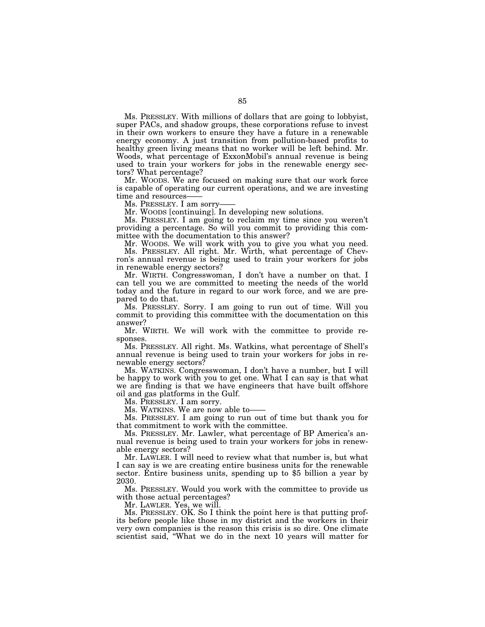Ms. PRESSLEY. With millions of dollars that are going to lobbyist, super PACs, and shadow groups, these corporations refuse to invest in their own workers to ensure they have a future in a renewable energy economy. A just transition from pollution-based profits to healthy green living means that no worker will be left behind. Mr. Woods, what percentage of ExxonMobil's annual revenue is being used to train your workers for jobs in the renewable energy sectors? What percentage?

Mr. WOODS. We are focused on making sure that our work force is capable of operating our current operations, and we are investing time and resources-

Ms. PRESSLEY. I am sorry-

Mr. WOODS [continuing]. In developing new solutions.

Ms. PRESSLEY. I am going to reclaim my time since you weren't providing a percentage. So will you commit to providing this committee with the documentation to this answer?

Mr. WOODS. We will work with you to give you what you need. Ms. PRESSLEY. All right. Mr. Wirth, what percentage of Chevron's annual revenue is being used to train your workers for jobs in renewable energy sectors?

Mr. WIRTH. Congresswoman, I don't have a number on that. I can tell you we are committed to meeting the needs of the world today and the future in regard to our work force, and we are prepared to do that.

Ms. PRESSLEY. Sorry. I am going to run out of time. Will you commit to providing this committee with the documentation on this answer?

Mr. WIRTH. We will work with the committee to provide responses.

Ms. PRESSLEY. All right. Ms. Watkins, what percentage of Shell's annual revenue is being used to train your workers for jobs in renewable energy sectors?

Ms. WATKINS. Congresswoman, I don't have a number, but I will be happy to work with you to get one. What I can say is that what we are finding is that we have engineers that have built offshore oil and gas platforms in the Gulf.

Ms. PRESSLEY. I am sorry.

Ms. WATKINS. We are now able to——

Ms. PRESSLEY. I am going to run out of time but thank you for that commitment to work with the committee.

Ms. PRESSLEY. Mr. Lawler, what percentage of BP America's annual revenue is being used to train your workers for jobs in renewable energy sectors?

Mr. LAWLER. I will need to review what that number is, but what I can say is we are creating entire business units for the renewable sector. Entire business units, spending up to \$5 billion a year by 2030.

Ms. PRESSLEY. Would you work with the committee to provide us with those actual percentages?

Mr. LAWLER. Yes, we will.

Ms. PRESSLEY. OK. So I think the point here is that putting profits before people like those in my district and the workers in their very own companies is the reason this crisis is so dire. One climate scientist said, ''What we do in the next 10 years will matter for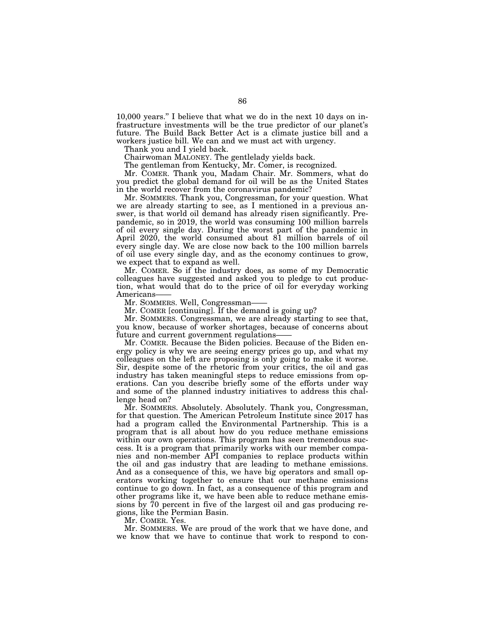10,000 years.'' I believe that what we do in the next 10 days on infrastructure investments will be the true predictor of our planet's future. The Build Back Better Act is a climate justice bill and a workers justice bill. We can and we must act with urgency.

Thank you and I yield back.

Chairwoman MALONEY. The gentlelady yields back.

The gentleman from Kentucky, Mr. Comer, is recognized.

Mr. COMER. Thank you, Madam Chair. Mr. Sommers, what do you predict the global demand for oil will be as the United States in the world recover from the coronavirus pandemic?

Mr. SOMMERS. Thank you, Congressman, for your question. What we are already starting to see, as I mentioned in a previous answer, is that world oil demand has already risen significantly. Prepandemic, so in 2019, the world was consuming 100 million barrels of oil every single day. During the worst part of the pandemic in April 2020, the world consumed about 81 million barrels of oil every single day. We are close now back to the 100 million barrels of oil use every single day, and as the economy continues to grow, we expect that to expand as well.

Mr. COMER. So if the industry does, as some of my Democratic colleagues have suggested and asked you to pledge to cut production, what would that do to the price of oil for everyday working Americans-

Mr. SOMMERS. Well, Congressman-

Mr. COMER [continuing]. If the demand is going up?

Mr. SOMMERS. Congressman, we are already starting to see that, you know, because of worker shortages, because of concerns about future and current government regulations-

Mr. COMER. Because the Biden policies. Because of the Biden energy policy is why we are seeing energy prices go up, and what my colleagues on the left are proposing is only going to make it worse. Sir, despite some of the rhetoric from your critics, the oil and gas industry has taken meaningful steps to reduce emissions from operations. Can you describe briefly some of the efforts under way and some of the planned industry initiatives to address this challenge head on?

Mr. SOMMERS. Absolutely. Absolutely. Thank you, Congressman, for that question. The American Petroleum Institute since 2017 has had a program called the Environmental Partnership. This is a program that is all about how do you reduce methane emissions within our own operations. This program has seen tremendous success. It is a program that primarily works with our member companies and non-member API companies to replace products within the oil and gas industry that are leading to methane emissions. And as a consequence of this, we have big operators and small operators working together to ensure that our methane emissions continue to go down. In fact, as a consequence of this program and other programs like it, we have been able to reduce methane emissions by 70 percent in five of the largest oil and gas producing regions, like the Permian Basin.

Mr. COMER. Yes.

Mr. SOMMERS. We are proud of the work that we have done, and we know that we have to continue that work to respond to con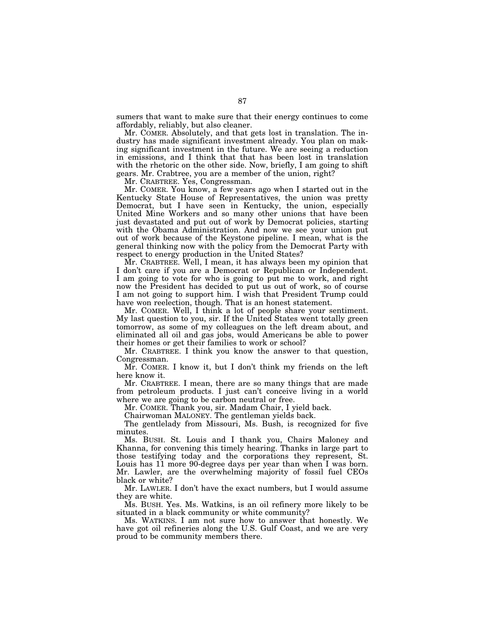sumers that want to make sure that their energy continues to come affordably, reliably, but also cleaner.

Mr. COMER. Absolutely, and that gets lost in translation. The industry has made significant investment already. You plan on making significant investment in the future. We are seeing a reduction in emissions, and I think that that has been lost in translation with the rhetoric on the other side. Now, briefly, I am going to shift gears. Mr. Crabtree, you are a member of the union, right?

Mr. CRABTREE. Yes, Congressman.

Mr. COMER. You know, a few years ago when I started out in the Kentucky State House of Representatives, the union was pretty Democrat, but I have seen in Kentucky, the union, especially United Mine Workers and so many other unions that have been just devastated and put out of work by Democrat policies, starting with the Obama Administration. And now we see your union put out of work because of the Keystone pipeline. I mean, what is the general thinking now with the policy from the Democrat Party with respect to energy production in the United States?

Mr. CRABTREE. Well, I mean, it has always been my opinion that I don't care if you are a Democrat or Republican or Independent. I am going to vote for who is going to put me to work, and right now the President has decided to put us out of work, so of course I am not going to support him. I wish that President Trump could have won reelection, though. That is an honest statement.

Mr. COMER. Well, I think a lot of people share your sentiment. My last question to you, sir. If the United States went totally green tomorrow, as some of my colleagues on the left dream about, and eliminated all oil and gas jobs, would Americans be able to power their homes or get their families to work or school?

Mr. CRABTREE. I think you know the answer to that question, Congressman.

Mr. COMER. I know it, but I don't think my friends on the left here know it.

Mr. CRABTREE. I mean, there are so many things that are made from petroleum products. I just can't conceive living in a world where we are going to be carbon neutral or free.

Mr. COMER. Thank you, sir. Madam Chair, I yield back.

Chairwoman MALONEY. The gentleman yields back.

The gentlelady from Missouri, Ms. Bush, is recognized for five minutes.

Ms. BUSH. St. Louis and I thank you, Chairs Maloney and Khanna, for convening this timely hearing. Thanks in large part to those testifying today and the corporations they represent, St. Louis has 11 more 90-degree days per year than when I was born. Mr. Lawler, are the overwhelming majority of fossil fuel CEOs black or white?

Mr. LAWLER. I don't have the exact numbers, but I would assume they are white.

Ms. BUSH. Yes. Ms. Watkins, is an oil refinery more likely to be situated in a black community or white community?

Ms. WATKINS. I am not sure how to answer that honestly. We have got oil refineries along the U.S. Gulf Coast, and we are very proud to be community members there.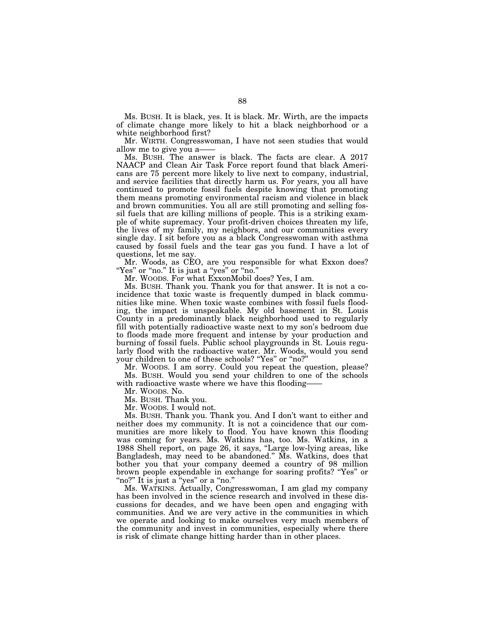Ms. BUSH. It is black, yes. It is black. Mr. Wirth, are the impacts of climate change more likely to hit a black neighborhood or a white neighborhood first?

Mr. WIRTH. Congresswoman, I have not seen studies that would allow me to give you a——

Ms. BUSH. The answer is black. The facts are clear. A 2017 NAACP and Clean Air Task Force report found that black Americans are 75 percent more likely to live next to company, industrial, and service facilities that directly harm us. For years, you all have continued to promote fossil fuels despite knowing that promoting them means promoting environmental racism and violence in black and brown communities. You all are still promoting and selling fossil fuels that are killing millions of people. This is a striking example of white supremacy. Your profit-driven choices threaten my life, the lives of my family, my neighbors, and our communities every single day. I sit before you as a black Congresswoman with asthma caused by fossil fuels and the tear gas you fund. I have a lot of questions, let me say.

Mr. Woods, as CEO, are you responsible for what Exxon does? "Yes" or "no." It is just a "yes" or "no."

Mr. WOODS. For what ExxonMobil does? Yes, I am.

Ms. BUSH. Thank you. Thank you for that answer. It is not a coincidence that toxic waste is frequently dumped in black communities like mine. When toxic waste combines with fossil fuels flooding, the impact is unspeakable. My old basement in St. Louis County in a predominantly black neighborhood used to regularly fill with potentially radioactive waste next to my son's bedroom due to floods made more frequent and intense by your production and burning of fossil fuels. Public school playgrounds in St. Louis regularly flood with the radioactive water. Mr. Woods, would you send your children to one of these schools? ''Yes'' or ''no?''

Mr. WOODS. I am sorry. Could you repeat the question, please? Ms. BUSH. Would you send your children to one of the schools with radioactive waste where we have this flooding-

Mr. WOODS. No.

Ms. BUSH. Thank you.

Mr. WOODS. I would not.

Ms. BUSH. Thank you. Thank you. And I don't want to either and neither does my community. It is not a coincidence that our communities are more likely to flood. You have known this flooding was coming for years. Ms. Watkins has, too. Ms. Watkins, in a 1988 Shell report, on page 26, it says, "Large low-lying areas, like Bangladesh, may need to be abandoned.'' Ms. Watkins, does that bother you that your company deemed a country of 98 million brown people expendable in exchange for soaring profits? ''Yes'' or ''no?'' It is just a ''yes'' or a ''no.''

Ms. WATKINS. Actually, Congresswoman, I am glad my company has been involved in the science research and involved in these discussions for decades, and we have been open and engaging with communities. And we are very active in the communities in which we operate and looking to make ourselves very much members of the community and invest in communities, especially where there is risk of climate change hitting harder than in other places.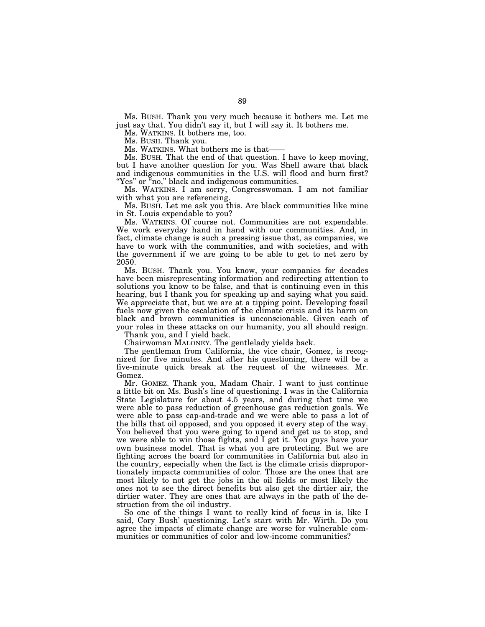Ms. BUSH. Thank you very much because it bothers me. Let me just say that. You didn't say it, but I will say it. It bothers me.

Ms. WATKINS. It bothers me, too.

Ms. BUSH. Thank you.

Ms. WATKINS. What bothers me is that——

Ms. BUSH. That the end of that question. I have to keep moving, but I have another question for you. Was Shell aware that black and indigenous communities in the U.S. will flood and burn first? "Yes" or "no," black and indigenous communities.

Ms. WATKINS. I am sorry, Congresswoman. I am not familiar with what you are referencing.

Ms. BUSH. Let me ask you this. Are black communities like mine in St. Louis expendable to you?

Ms. WATKINS. Of course not. Communities are not expendable. We work everyday hand in hand with our communities. And, in fact, climate change is such a pressing issue that, as companies, we have to work with the communities, and with societies, and with the government if we are going to be able to get to net zero by 2050.

Ms. BUSH. Thank you. You know, your companies for decades have been misrepresenting information and redirecting attention to solutions you know to be false, and that is continuing even in this hearing, but I thank you for speaking up and saying what you said. We appreciate that, but we are at a tipping point. Developing fossil fuels now given the escalation of the climate crisis and its harm on black and brown communities is unconscionable. Given each of your roles in these attacks on our humanity, you all should resign.

Thank you, and I yield back.

Chairwoman MALONEY. The gentlelady yields back.

The gentleman from California, the vice chair, Gomez, is recognized for five minutes. And after his questioning, there will be a five-minute quick break at the request of the witnesses. Mr. Gomez.

Mr. GOMEZ. Thank you, Madam Chair. I want to just continue a little bit on Ms. Bush's line of questioning. I was in the California State Legislature for about 4.5 years, and during that time we were able to pass reduction of greenhouse gas reduction goals. We were able to pass cap-and-trade and we were able to pass a lot of the bills that oil opposed, and you opposed it every step of the way. You believed that you were going to upend and get us to stop, and we were able to win those fights, and I get it. You guys have your own business model. That is what you are protecting. But we are fighting across the board for communities in California but also in the country, especially when the fact is the climate crisis disproportionately impacts communities of color. Those are the ones that are most likely to not get the jobs in the oil fields or most likely the ones not to see the direct benefits but also get the dirtier air, the dirtier water. They are ones that are always in the path of the destruction from the oil industry.

So one of the things I want to really kind of focus in is, like I said, Cory Bush' questioning. Let's start with Mr. Wirth. Do you agree the impacts of climate change are worse for vulnerable communities or communities of color and low-income communities?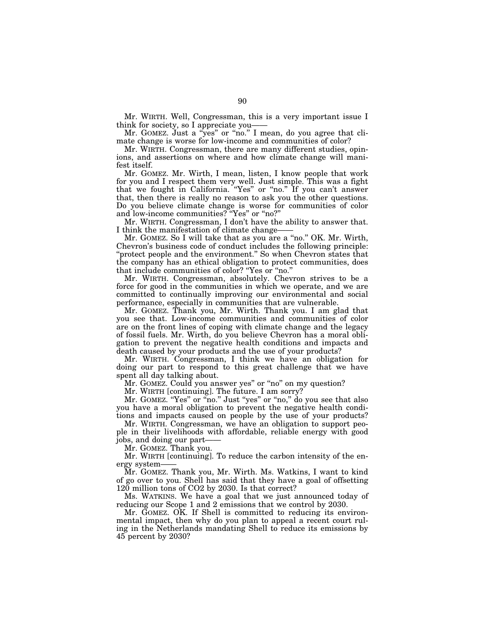Mr. WIRTH. Well, Congressman, this is a very important issue I think for society, so I appreciate you——

Mr. GOMEZ. Just a ''yes'' or ''no.'' I mean, do you agree that climate change is worse for low-income and communities of color?

Mr. WIRTH. Congressman, there are many different studies, opinions, and assertions on where and how climate change will manifest itself.

Mr. GOMEZ. Mr. Wirth, I mean, listen, I know people that work for you and I respect them very well. Just simple. This was a fight that we fought in California. "Yes" or "no." If you can't answer that, then there is really no reason to ask you the other questions. Do you believe climate change is worse for communities of color and low-income communities? ''Yes'' or ''no?''

Mr. WIRTH. Congressman, I don't have the ability to answer that. I think the manifestation of climate change-

Mr. GOMEZ. So I will take that as you are a ''no.'' OK. Mr. Wirth, Chevron's business code of conduct includes the following principle: 'protect people and the environment." So when Chevron states that the company has an ethical obligation to protect communities, does that include communities of color? ''Yes or ''no.''

Mr. WIRTH. Congressman, absolutely. Chevron strives to be a force for good in the communities in which we operate, and we are committed to continually improving our environmental and social performance, especially in communities that are vulnerable.

Mr. GOMEZ. Thank you, Mr. Wirth. Thank you. I am glad that you see that. Low-income communities and communities of color are on the front lines of coping with climate change and the legacy of fossil fuels. Mr. Wirth, do you believe Chevron has a moral obligation to prevent the negative health conditions and impacts and death caused by your products and the use of your products?

Mr. WIRTH. Congressman, I think we have an obligation for doing our part to respond to this great challenge that we have spent all day talking about.

Mr. GOMEZ. Could you answer yes" or "no" on my question?

Mr. WIRTH [continuing]. The future. I am sorry?

Mr. GOMEZ. "Yes" or "no." Just "yes" or "no," do you see that also you have a moral obligation to prevent the negative health conditions and impacts caused on people by the use of your products?

Mr. WIRTH. Congressman, we have an obligation to support people in their livelihoods with affordable, reliable energy with good jobs, and doing our part——

Mr. GOMEZ. Thank you.

Mr. WIRTH [continuing]. To reduce the carbon intensity of the energy system——

Mr. GOMEZ. Thank you, Mr. Wirth. Ms. Watkins, I want to kind of go over to you. Shell has said that they have a goal of offsetting 120 million tons of CO2 by 2030. Is that correct?

Ms. WATKINS. We have a goal that we just announced today of reducing our Scope 1 and 2 emissions that we control by 2030.

Mr. GOMEZ. OK. If Shell is committed to reducing its environmental impact, then why do you plan to appeal a recent court ruling in the Netherlands mandating Shell to reduce its emissions by 45 percent by 2030?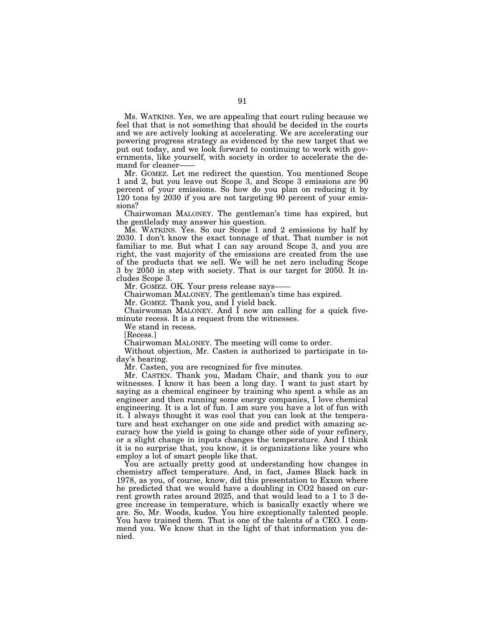Ms. WATKINS. Yes, we are appealing that court ruling because we feel that that is not something that should be decided in the courts and we are actively looking at accelerating. We are accelerating our powering progress strategy as evidenced by the new target that we put out today, and we look forward to continuing to work with governments, like yourself, with society in order to accelerate the demand for cleaner-

Mr. GOMEZ. Let me redirect the question. You mentioned Scope 1 and 2, but you leave out Scope 3, and Scope 3 emissions are 90 percent of your emissions. So how do you plan on reducing it by 120 tons by 2030 if you are not targeting 90 percent of your emissions?

Chairwoman MALONEY. The gentleman's time has expired, but the gentlelady may answer his question.

Ms. WATKINS. Yes. So our Scope 1 and 2 emissions by half by 2030. I don't know the exact tonnage of that. That number is not familiar to me. But what I can say around Scope 3, and you are right, the vast majority of the emissions are created from the use of the products that we sell. We will be net zero including Scope 3 by 2050 in step with society. That is our target for 2050. It includes Scope 3.

Mr. GOMEZ. OK. Your press release says-

Chairwoman MALONEY. The gentleman's time has expired.

Mr. GOMEZ. Thank you, and I yield back.

Chairwoman MALONEY. And I now am calling for a quick fiveminute recess. It is a request from the witnesses.

We stand in recess.

[Recess.]

Chairwoman MALONEY. The meeting will come to order.

Without objection, Mr. Casten is authorized to participate in today's hearing.

Mr. Casten, you are recognized for five minutes.

Mr. CASTEN. Thank you, Madam Chair, and thank you to our witnesses. I know it has been a long day. I want to just start by saying as a chemical engineer by training who spent a while as an engineer and then running some energy companies, I love chemical engineering. It is a lot of fun. I am sure you have a lot of fun with it. I always thought it was cool that you can look at the temperature and heat exchanger on one side and predict with amazing accuracy how the yield is going to change other side of your refinery, or a slight change in inputs changes the temperature. And I think it is no surprise that, you know, it is organizations like yours who employ a lot of smart people like that.

You are actually pretty good at understanding how changes in chemistry affect temperature. And, in fact, James Black back in 1978, as you, of course, know, did this presentation to Exxon where he predicted that we would have a doubling in CO2 based on current growth rates around 2025, and that would lead to a 1 to 3 degree increase in temperature, which is basically exactly where we are. So, Mr. Woods, kudos. You hire exceptionally talented people. You have trained them. That is one of the talents of a CEO. I commend you. We know that in the light of that information you denied.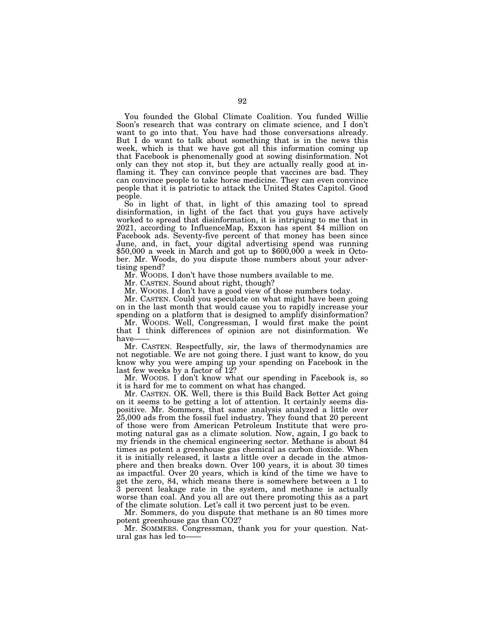You founded the Global Climate Coalition. You funded Willie Soon's research that was contrary on climate science, and I don't want to go into that. You have had those conversations already. But I do want to talk about something that is in the news this week, which is that we have got all this information coming up that Facebook is phenomenally good at sowing disinformation. Not only can they not stop it, but they are actually really good at inflaming it. They can convince people that vaccines are bad. They can convince people to take horse medicine. They can even convince people that it is patriotic to attack the United States Capitol. Good people.

So in light of that, in light of this amazing tool to spread disinformation, in light of the fact that you guys have actively worked to spread that disinformation, it is intriguing to me that in 2021, according to InfluenceMap, Exxon has spent \$4 million on Facebook ads. Seventy-five percent of that money has been since June, and, in fact, your digital advertising spend was running  $$50,000$  a week in March and got up to  $$600,000$  a week in October. Mr. Woods, do you dispute those numbers about your advertising spend?

Mr. WOODS. I don't have those numbers available to me.

Mr. CASTEN. Sound about right, though?

Mr. WOODS. I don't have a good view of those numbers today.

Mr. CASTEN. Could you speculate on what might have been going on in the last month that would cause you to rapidly increase your spending on a platform that is designed to amplify disinformation?

Mr. WOODS. Well, Congressman, I would first make the point that I think differences of opinion are not disinformation. We have-

Mr. CASTEN. Respectfully, sir, the laws of thermodynamics are not negotiable. We are not going there. I just want to know, do you know why you were amping up your spending on Facebook in the last few weeks by a factor of 12?

Mr. WOODS. I don't know what our spending in Facebook is, so it is hard for me to comment on what has changed.

Mr. CASTEN. OK. Well, there is this Build Back Better Act going on it seems to be getting a lot of attention. It certainly seems dispositive. Mr. Sommers, that same analysis analyzed a little over 25,000 ads from the fossil fuel industry. They found that 20 percent of those were from American Petroleum Institute that were promoting natural gas as a climate solution. Now, again, I go back to my friends in the chemical engineering sector. Methane is about 84 times as potent a greenhouse gas chemical as carbon dioxide. When it is initially released, it lasts a little over a decade in the atmosphere and then breaks down. Over 100 years, it is about 30 times as impactful. Over 20 years, which is kind of the time we have to get the zero, 84, which means there is somewhere between a 1 to 3 percent leakage rate in the system, and methane is actually worse than coal. And you all are out there promoting this as a part of the climate solution. Let's call it two percent just to be even.

Mr. Sommers, do you dispute that methane is an 80 times more potent greenhouse gas than CO2?

Mr. SOMMERS. Congressman, thank you for your question. Natural gas has led to——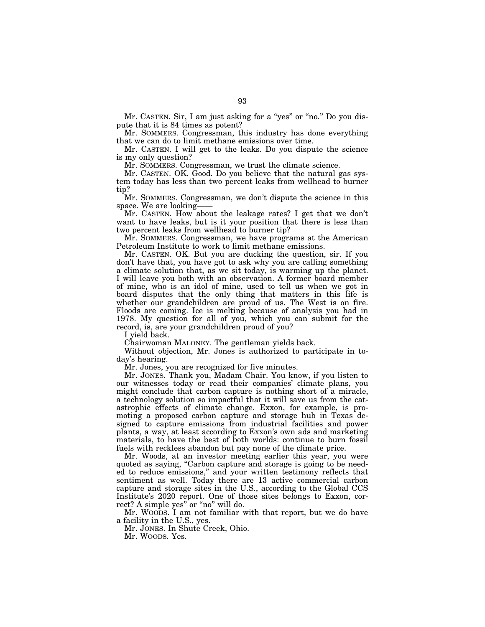Mr. CASTEN. Sir, I am just asking for a "yes" or "no." Do you dispute that it is 84 times as potent?

Mr. SOMMERS. Congressman, this industry has done everything that we can do to limit methane emissions over time.

Mr. CASTEN. I will get to the leaks. Do you dispute the science is my only question?

Mr. SOMMERS. Congressman, we trust the climate science.

Mr. CASTEN. OK. Good. Do you believe that the natural gas system today has less than two percent leaks from wellhead to burner tip?

Mr. SOMMERS. Congressman, we don't dispute the science in this space. We are looking-

Mr. CASTEN. How about the leakage rates? I get that we don't want to have leaks, but is it your position that there is less than two percent leaks from wellhead to burner tip?

Mr. SOMMERS. Congressman, we have programs at the American Petroleum Institute to work to limit methane emissions.

Mr. CASTEN. OK. But you are ducking the question, sir. If you don't have that, you have got to ask why you are calling something a climate solution that, as we sit today, is warming up the planet. I will leave you both with an observation. A former board member of mine, who is an idol of mine, used to tell us when we got in board disputes that the only thing that matters in this life is whether our grandchildren are proud of us. The West is on fire. Floods are coming. Ice is melting because of analysis you had in 1978. My question for all of you, which you can submit for the record, is, are your grandchildren proud of you?

I yield back.

Chairwoman MALONEY. The gentleman yields back.

Without objection, Mr. Jones is authorized to participate in today's hearing.

Mr. Jones, you are recognized for five minutes.

Mr. JONES. Thank you, Madam Chair. You know, if you listen to our witnesses today or read their companies' climate plans, you might conclude that carbon capture is nothing short of a miracle, a technology solution so impactful that it will save us from the catastrophic effects of climate change. Exxon, for example, is promoting a proposed carbon capture and storage hub in Texas designed to capture emissions from industrial facilities and power plants, a way, at least according to Exxon's own ads and marketing materials, to have the best of both worlds: continue to burn fossil fuels with reckless abandon but pay none of the climate price.

Mr. Woods, at an investor meeting earlier this year, you were quoted as saying, "Carbon capture and storage is going to be needed to reduce emissions,'' and your written testimony reflects that sentiment as well. Today there are 13 active commercial carbon capture and storage sites in the U.S., according to the Global CCS Institute's 2020 report. One of those sites belongs to Exxon, correct? A simple yes" or "no" will do.

Mr. WOODS. I am not familiar with that report, but we do have a facility in the U.S., yes.

Mr. JONES. In Shute Creek, Ohio.

Mr. WOODS. Yes.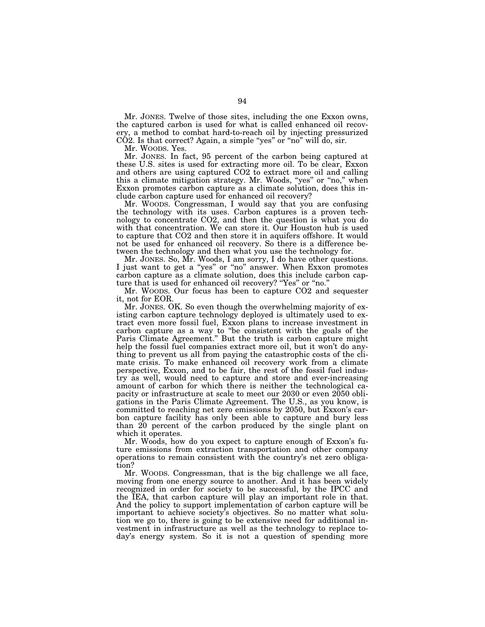Mr. JONES. Twelve of those sites, including the one Exxon owns, the captured carbon is used for what is called enhanced oil recovery, a method to combat hard-to-reach oil by injecting pressurized  $CO2$ . Is that correct? Again, a simple "yes" or "no" will do, sir.

Mr. WOODS. Yes.

Mr. JONES. In fact, 95 percent of the carbon being captured at these U.S. sites is used for extracting more oil. To be clear, Exxon and others are using captured CO2 to extract more oil and calling this a climate mitigation strategy. Mr. Woods, "yes" or "no," when Exxon promotes carbon capture as a climate solution, does this include carbon capture used for enhanced oil recovery?

Mr. WOODS. Congressman, I would say that you are confusing the technology with its uses. Carbon captures is a proven technology to concentrate CO2, and then the question is what you do with that concentration. We can store it. Our Houston hub is used to capture that CO2 and then store it in aquifers offshore. It would not be used for enhanced oil recovery. So there is a difference between the technology and then what you use the technology for.

Mr. JONES. So, Mr. Woods, I am sorry, I do have other questions. I just want to get a ''yes'' or ''no'' answer. When Exxon promotes carbon capture as a climate solution, does this include carbon capture that is used for enhanced oil recovery? "Yes" or "no."

Mr. WOODS. Our focus has been to capture CO2 and sequester it, not for EOR.

Mr. JONES. OK. So even though the overwhelming majority of existing carbon capture technology deployed is ultimately used to extract even more fossil fuel, Exxon plans to increase investment in carbon capture as a way to ''be consistent with the goals of the Paris Climate Agreement.'' But the truth is carbon capture might help the fossil fuel companies extract more oil, but it won't do anything to prevent us all from paying the catastrophic costs of the climate crisis. To make enhanced oil recovery work from a climate perspective, Exxon, and to be fair, the rest of the fossil fuel industry as well, would need to capture and store and ever-increasing amount of carbon for which there is neither the technological capacity or infrastructure at scale to meet our 2030 or even 2050 obligations in the Paris Climate Agreement. The U.S., as you know, is committed to reaching net zero emissions by 2050, but Exxon's carbon capture facility has only been able to capture and bury less than 20 percent of the carbon produced by the single plant on which it operates.

Mr. Woods, how do you expect to capture enough of Exxon's future emissions from extraction transportation and other company operations to remain consistent with the country's net zero obligation?

Mr. WOODS. Congressman, that is the big challenge we all face, moving from one energy source to another. And it has been widely recognized in order for society to be successful, by the IPCC and the IEA, that carbon capture will play an important role in that. And the policy to support implementation of carbon capture will be important to achieve society's objectives. So no matter what solution we go to, there is going to be extensive need for additional investment in infrastructure as well as the technology to replace today's energy system. So it is not a question of spending more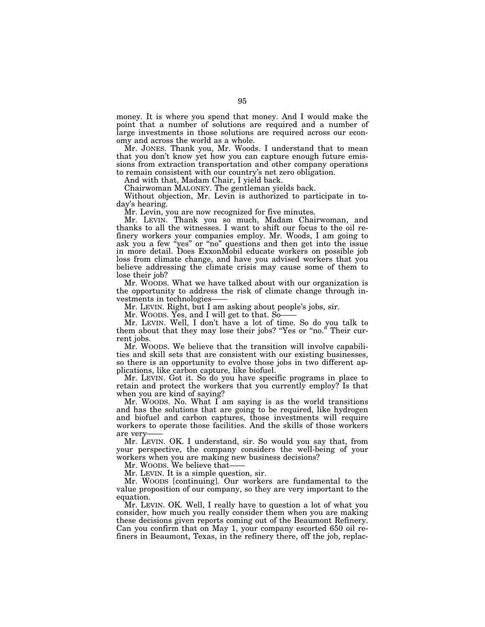money. It is where you spend that money. And I would make the point that a number of solutions are required and a number of large investments in those solutions are required across our economy and across the world as a whole.

Mr. JONES. Thank you, Mr. Woods. I understand that to mean that you don't know yet how you can capture enough future emissions from extraction transportation and other company operations to remain consistent with our country's net zero obligation.

And with that, Madam Chair, I yield back.

Chairwoman MALONEY. The gentleman yields back.

Without objection, Mr. Levin is authorized to participate in today's hearing.

Mr. Levin, you are now recognized for five minutes.

Mr. LEVIN. Thank you so much, Madam Chairwoman, and thanks to all the witnesses. I want to shift our focus to the oil refinery workers your companies employ. Mr. Woods, I am going to ask you a few "yes" or "no" questions and then get into the issue in more detail. Does ExxonMobil educate workers on possible job loss from climate change, and have you advised workers that you believe addressing the climate crisis may cause some of them to lose their job?

Mr. WOODS. What we have talked about with our organization is the opportunity to address the risk of climate change through investments in technologies-

Mr. LEVIN. Right, but I am asking about people's jobs, sir.

Mr. WOODS. Yes, and I will get to that. So-

Mr. LEVIN. Well, I don't have a lot of time. So do you talk to them about that they may lose their jobs? "Yes or "no." Their current jobs.

Mr. WOODS. We believe that the transition will involve capabilities and skill sets that are consistent with our existing businesses, so there is an opportunity to evolve those jobs in two different applications, like carbon capture, like biofuel.

Mr. LEVIN. Got it. So do you have specific programs in place to retain and protect the workers that you currently employ? Is that when you are kind of saying?

 $Mr.$  Woods. No. What I am saying is as the world transitions and has the solutions that are going to be required, like hydrogen and biofuel and carbon captures, those investments will require workers to operate those facilities. And the skills of those workers are very

Mr. LEVIN. OK. I understand, sir. So would you say that, from your perspective, the company considers the well-being of your workers when you are making new business decisions?

Mr. WOODS. We believe that-

Mr. LEVIN. It is a simple question, sir.

Mr. WOODS [continuing]. Our workers are fundamental to the value proposition of our company, so they are very important to the equation.

Mr. LEVIN. OK. Well, I really have to question a lot of what you consider, how much you really consider them when you are making these decisions given reports coming out of the Beaumont Refinery. Can you confirm that on May 1, your company escorted 650 oil refiners in Beaumont, Texas, in the refinery there, off the job, replac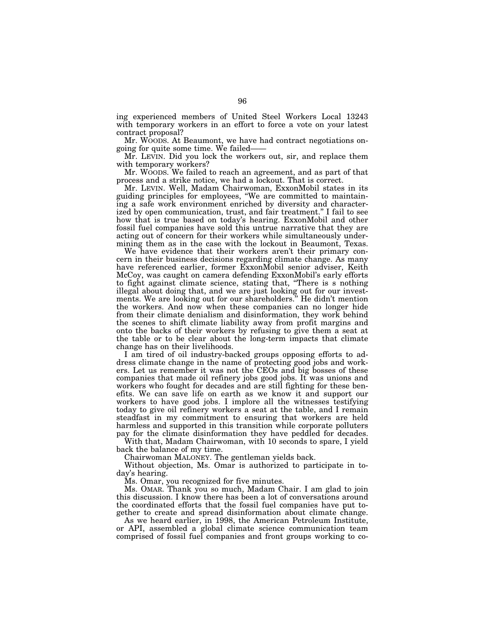ing experienced members of United Steel Workers Local 13243 with temporary workers in an effort to force a vote on your latest contract proposal?

Mr. WOODS. At Beaumont, we have had contract negotiations ongoing for quite some time. We failed——

Mr. LEVIN. Did you lock the workers out, sir, and replace them with temporary workers?

Mr. WOODS. We failed to reach an agreement, and as part of that process and a strike notice, we had a lockout. That is correct.

Mr. LEVIN. Well, Madam Chairwoman, ExxonMobil states in its guiding principles for employees, ''We are committed to maintaining a safe work environment enriched by diversity and characterized by open communication, trust, and fair treatment." I fail to see how that is true based on today's hearing. ExxonMobil and other fossil fuel companies have sold this untrue narrative that they are acting out of concern for their workers while simultaneously undermining them as in the case with the lockout in Beaumont, Texas.

We have evidence that their workers aren't their primary concern in their business decisions regarding climate change. As many have referenced earlier, former ExxonMobil senior adviser, Keith McCoy, was caught on camera defending ExxonMobil's early efforts to fight against climate science, stating that, ''There is s nothing illegal about doing that, and we are just looking out for our investments. We are looking out for our shareholders.'' He didn't mention the workers. And now when these companies can no longer hide from their climate denialism and disinformation, they work behind the scenes to shift climate liability away from profit margins and onto the backs of their workers by refusing to give them a seat at the table or to be clear about the long-term impacts that climate change has on their livelihoods.

I am tired of oil industry-backed groups opposing efforts to address climate change in the name of protecting good jobs and workers. Let us remember it was not the CEOs and big bosses of these companies that made oil refinery jobs good jobs. It was unions and workers who fought for decades and are still fighting for these benefits. We can save life on earth as we know it and support our workers to have good jobs. I implore all the witnesses testifying today to give oil refinery workers a seat at the table, and I remain steadfast in my commitment to ensuring that workers are held harmless and supported in this transition while corporate polluters pay for the climate disinformation they have peddled for decades.

With that, Madam Chairwoman, with 10 seconds to spare, I yield back the balance of my time.

Chairwoman MALONEY. The gentleman yields back.

Without objection, Ms. Omar is authorized to participate in today's hearing.

Ms. Omar, you recognized for five minutes.

Ms. OMAR. Thank you so much, Madam Chair. I am glad to join this discussion. I know there has been a lot of conversations around the coordinated efforts that the fossil fuel companies have put together to create and spread disinformation about climate change.

As we heard earlier, in 1998, the American Petroleum Institute, or API, assembled a global climate science communication team comprised of fossil fuel companies and front groups working to co-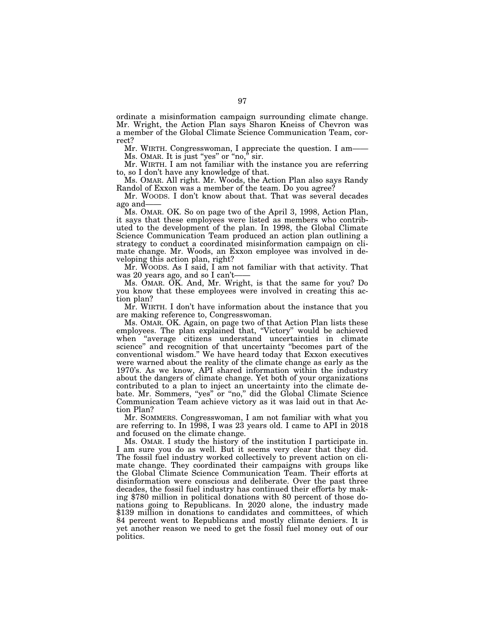ordinate a misinformation campaign surrounding climate change. Mr. Wright, the Action Plan says Sharon Kneiss of Chevron was a member of the Global Climate Science Communication Team, correct?

Mr. WIRTH. Congresswoman, I appreciate the question. I am- $Ms.$  OMAR. It is just "yes" or "no," sir.

Mr. WIRTH. I am not familiar with the instance you are referring to, so I don't have any knowledge of that.

Ms. OMAR. All right. Mr. Woods, the Action Plan also says Randy Randol of Exxon was a member of the team. Do you agree?

Mr. WOODS. I don't know about that. That was several decades ago and——

Ms. OMAR. OK. So on page two of the April 3, 1998, Action Plan, it says that these employees were listed as members who contributed to the development of the plan. In 1998, the Global Climate Science Communication Team produced an action plan outlining a strategy to conduct a coordinated misinformation campaign on climate change. Mr. Woods, an Exxon employee was involved in developing this action plan, right?

Mr. WOODS. As I said, I am not familiar with that activity. That was 20 years ago, and so I can't——

Ms. OMAR. OK. And, Mr. Wright, is that the same for you? Do you know that these employees were involved in creating this action plan?

Mr. WIRTH. I don't have information about the instance that you are making reference to, Congresswoman.

Ms. OMAR. OK. Again, on page two of that Action Plan lists these employees. The plan explained that, ''Victory'' would be achieved when ''average citizens understand uncertainties in climate science'' and recognition of that uncertainty ''becomes part of the conventional wisdom.'' We have heard today that Exxon executives were warned about the reality of the climate change as early as the 1970's. As we know, API shared information within the industry about the dangers of climate change. Yet both of your organizations contributed to a plan to inject an uncertainty into the climate debate. Mr. Sommers, "yes" or "no," did the Global Climate Science Communication Team achieve victory as it was laid out in that Action Plan?

Mr. SOMMERS. Congresswoman, I am not familiar with what you are referring to. In 1998, I was 23 years old. I came to API in 2018 and focused on the climate change.

Ms. OMAR. I study the history of the institution I participate in. I am sure you do as well. But it seems very clear that they did. The fossil fuel industry worked collectively to prevent action on climate change. They coordinated their campaigns with groups like the Global Climate Science Communication Team. Their efforts at disinformation were conscious and deliberate. Over the past three decades, the fossil fuel industry has continued their efforts by making \$780 million in political donations with 80 percent of those donations going to Republicans. In 2020 alone, the industry made \$139 million in donations to candidates and committees, of which 84 percent went to Republicans and mostly climate deniers. It is yet another reason we need to get the fossil fuel money out of our politics.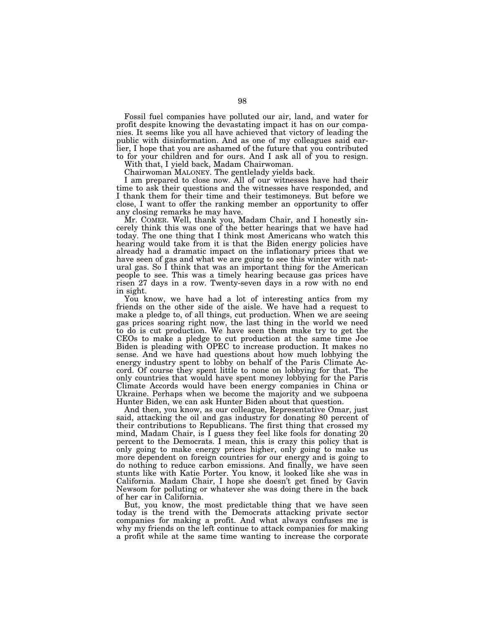Fossil fuel companies have polluted our air, land, and water for profit despite knowing the devastating impact it has on our companies. It seems like you all have achieved that victory of leading the public with disinformation. And as one of my colleagues said earlier, I hope that you are ashamed of the future that you contributed to for your children and for ours. And I ask all of you to resign.

With that, I yield back, Madam Chairwoman.

Chairwoman MALONEY. The gentlelady yields back.

I am prepared to close now. All of our witnesses have had their time to ask their questions and the witnesses have responded, and I thank them for their time and their testimoneys. But before we close, I want to offer the ranking member an opportunity to offer any closing remarks he may have.

Mr. COMER. Well, thank you, Madam Chair, and I honestly sincerely think this was one of the better hearings that we have had today. The one thing that I think most Americans who watch this hearing would take from it is that the Biden energy policies have already had a dramatic impact on the inflationary prices that we have seen of gas and what we are going to see this winter with natural gas. So I think that was an important thing for the American people to see. This was a timely hearing because gas prices have risen 27 days in a row. Twenty-seven days in a row with no end in sight.

You know, we have had a lot of interesting antics from my friends on the other side of the aisle. We have had a request to make a pledge to, of all things, cut production. When we are seeing gas prices soaring right now, the last thing in the world we need to do is cut production. We have seen them make try to get the CEOs to make a pledge to cut production at the same time Joe Biden is pleading with OPEC to increase production. It makes no sense. And we have had questions about how much lobbying the energy industry spent to lobby on behalf of the Paris Climate Accord. Of course they spent little to none on lobbying for that. The only countries that would have spent money lobbying for the Paris Climate Accords would have been energy companies in China or Ukraine. Perhaps when we become the majority and we subpoena Hunter Biden, we can ask Hunter Biden about that question.

And then, you know, as our colleague, Representative Omar, just said, attacking the oil and gas industry for donating 80 percent of their contributions to Republicans. The first thing that crossed my mind, Madam Chair, is I guess they feel like fools for donating 20 percent to the Democrats. I mean, this is crazy this policy that is only going to make energy prices higher, only going to make us more dependent on foreign countries for our energy and is going to do nothing to reduce carbon emissions. And finally, we have seen stunts like with Katie Porter. You know, it looked like she was in California. Madam Chair, I hope she doesn't get fined by Gavin Newsom for polluting or whatever she was doing there in the back of her car in California.

But, you know, the most predictable thing that we have seen today is the trend with the Democrats attacking private sector companies for making a profit. And what always confuses me is why my friends on the left continue to attack companies for making a profit while at the same time wanting to increase the corporate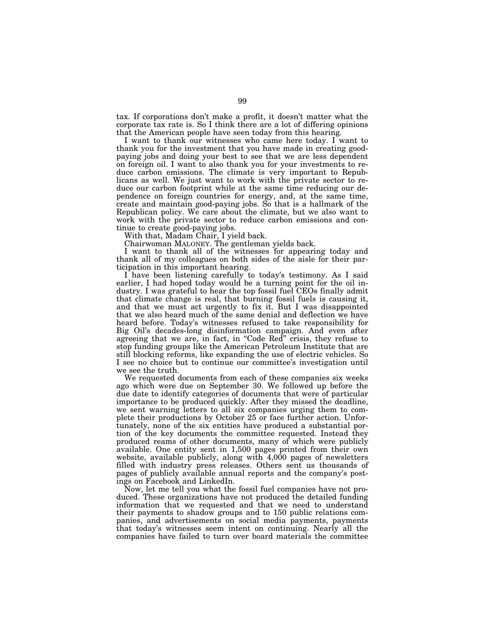tax. If corporations don't make a profit, it doesn't matter what the corporate tax rate is. So I think there are a lot of differing opinions that the American people have seen today from this hearing.

I want to thank our witnesses who came here today. I want to thank you for the investment that you have made in creating goodpaying jobs and doing your best to see that we are less dependent on foreign oil. I want to also thank you for your investments to reduce carbon emissions. The climate is very important to Republicans as well. We just want to work with the private sector to reduce our carbon footprint while at the same time reducing our dependence on foreign countries for energy, and, at the same time, create and maintain good-paying jobs. So that is a hallmark of the Republican policy. We care about the climate, but we also want to work with the private sector to reduce carbon emissions and continue to create good-paying jobs.

With that, Madam Chair, I yield back.

Chairwoman MALONEY. The gentleman yields back.

I want to thank all of the witnesses for appearing today and thank all of my colleagues on both sides of the aisle for their participation in this important hearing.

I have been listening carefully to today's testimony. As I said earlier, I had hoped today would be a turning point for the oil industry. I was grateful to hear the top fossil fuel CEOs finally admit that climate change is real, that burning fossil fuels is causing it, and that we must act urgently to fix it. But I was disappointed that we also heard much of the same denial and deflection we have heard before. Today's witnesses refused to take responsibility for Big Oil's decades-long disinformation campaign. And even after agreeing that we are, in fact, in "Code Red" crisis, they refuse to stop funding groups like the American Petroleum Institute that are still blocking reforms, like expanding the use of electric vehicles. So I see no choice but to continue our committee's investigation until we see the truth.

We requested documents from each of these companies six weeks ago which were due on September 30. We followed up before the due date to identify categories of documents that were of particular importance to be produced quickly. After they missed the deadline, we sent warning letters to all six companies urging them to complete their productions by October 25 or face further action. Unfortunately, none of the six entities have produced a substantial portion of the key documents the committee requested. Instead they produced reams of other documents, many of which were publicly available. One entity sent in 1,500 pages printed from their own website, available publicly, along with 4,000 pages of newsletters filled with industry press releases. Others sent us thousands of pages of publicly available annual reports and the company's postings on Facebook and LinkedIn.

Now, let me tell you what the fossil fuel companies have not produced. These organizations have not produced the detailed funding information that we requested and that we need to understand their payments to shadow groups and to 150 public relations companies, and advertisements on social media payments, payments that today's witnesses seem intent on continuing. Nearly all the companies have failed to turn over board materials the committee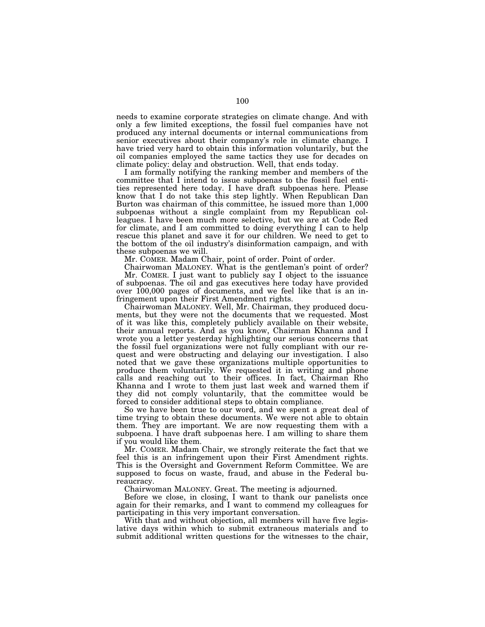needs to examine corporate strategies on climate change. And with only a few limited exceptions, the fossil fuel companies have not produced any internal documents or internal communications from senior executives about their company's role in climate change. I have tried very hard to obtain this information voluntarily, but the oil companies employed the same tactics they use for decades on climate policy: delay and obstruction. Well, that ends today.

I am formally notifying the ranking member and members of the committee that I intend to issue subpoenas to the fossil fuel entities represented here today. I have draft subpoenas here. Please know that I do not take this step lightly. When Republican Dan Burton was chairman of this committee, he issued more than 1,000 subpoenas without a single complaint from my Republican colleagues. I have been much more selective, but we are at Code Red for climate, and I am committed to doing everything I can to help rescue this planet and save it for our children. We need to get to the bottom of the oil industry's disinformation campaign, and with these subpoenas we will.

Mr. COMER. Madam Chair, point of order. Point of order.

Chairwoman MALONEY. What is the gentleman's point of order? Mr. COMER. I just want to publicly say I object to the issuance of subpoenas. The oil and gas executives here today have provided over 100,000 pages of documents, and we feel like that is an infringement upon their First Amendment rights.

Chairwoman MALONEY. Well, Mr. Chairman, they produced documents, but they were not the documents that we requested. Most of it was like this, completely publicly available on their website, their annual reports. And as you know, Chairman Khanna and I wrote you a letter yesterday highlighting our serious concerns that the fossil fuel organizations were not fully compliant with our request and were obstructing and delaying our investigation. I also noted that we gave these organizations multiple opportunities to produce them voluntarily. We requested it in writing and phone calls and reaching out to their offices. In fact, Chairman Rho Khanna and I wrote to them just last week and warned them if they did not comply voluntarily, that the committee would be forced to consider additional steps to obtain compliance.

So we have been true to our word, and we spent a great deal of time trying to obtain these documents. We were not able to obtain them. They are important. We are now requesting them with a subpoena. I have draft subpoenas here. I am willing to share them if you would like them.

Mr. COMER. Madam Chair, we strongly reiterate the fact that we feel this is an infringement upon their First Amendment rights. This is the Oversight and Government Reform Committee. We are supposed to focus on waste, fraud, and abuse in the Federal bureaucracy.

Chairwoman MALONEY. Great. The meeting is adjourned.

Before we close, in closing, I want to thank our panelists once again for their remarks, and I want to commend my colleagues for participating in this very important conversation.

With that and without objection, all members will have five legislative days within which to submit extraneous materials and to submit additional written questions for the witnesses to the chair,